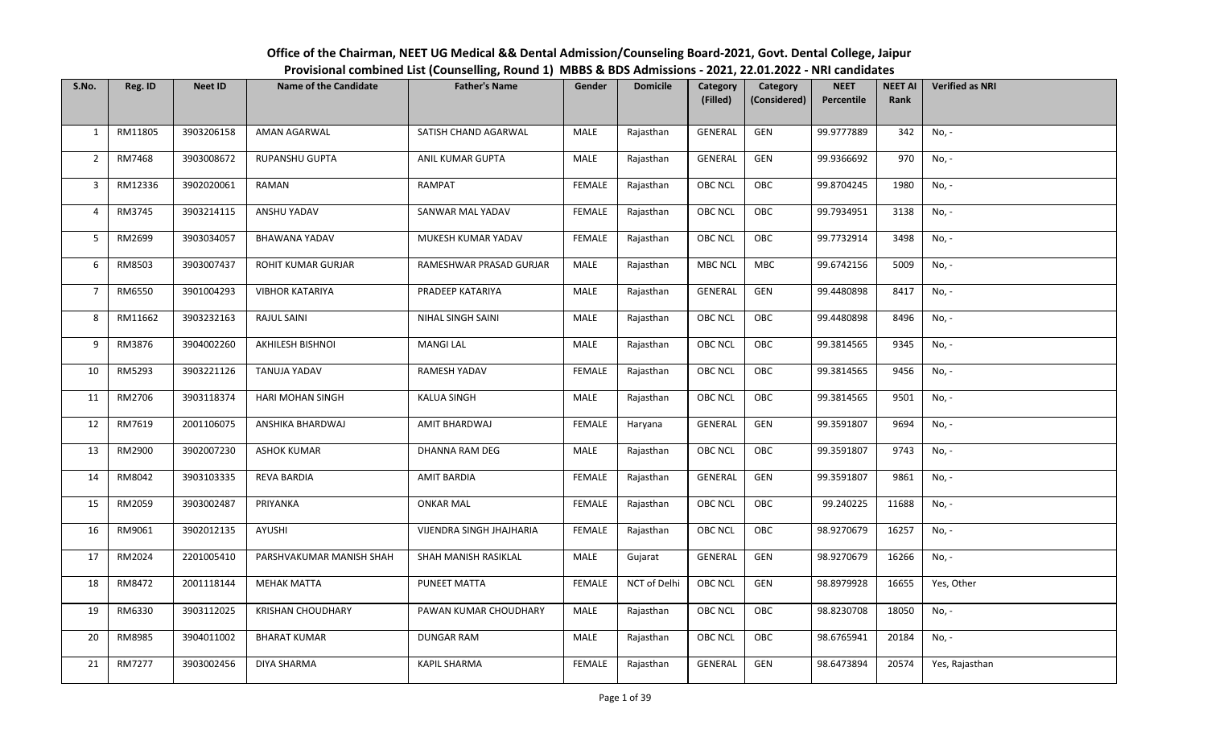## S.No. | Reg. ID | Neet ID | Name of the Candidate | Father's Name | Gender | Domicile | Category (Filled)**Category** (Considered)**NEET** PercentileNEET AI RankVerified as NRI1 | RM11805 | 3903206158 | AMAN AGARWAL | SATISH CHAND AGARWAL | MALE | Rajasthan | GENERAL | GEN | 99.9777889 | 342 | No, -2 | RM7468 | 3903008672 | RUPANSHU GUPTA | ANIL KUMAR GUPTA | MALE | Rajasthan | GENERAL | GEN | 99.9366692 | 970 | No, -3 | RM12336 | 3902020061 | RAMAN | RAMPAT | FEMALE | Rajasthan | OBC NCL | OBC | 99.8704245 | 1980 | No, -4 | RM3745 | 3903214115 | ANSHU YADAV | SANWAR MAL YADAV | FEMALE | Rajasthan | OBC NCL | OBC | 99.7934951 | 3138 | No, -5 | RM2699 | 3903034057 | BHAWANA YADAV | MUKESH KUMAR YADAV | FEMALE | Rajasthan | OBC NCL | OBC | 99.7732914 | 3498 | No, -6 | RM8503 | 3903007437 | ROHIT KUMAR GURJAR | RAMESHWAR PRASAD GURJAR | MALE | Rajasthan | MBC NCL | MBC | 99.6742156 | 5009 | No, -7 | RM6550 | 3901004293 | VIBHOR KATARIYA | PRADEEP KATARIYA | MALE | Rajasthan | GENERAL | GEN | 99.4480898 | 8417 | No, -<sup>8</sup> RM11662 <sup>3903232163</sup> RAJUL SAINI NIHAL SINGH SAINI MALE Rajasthan OBC NCL OBC 99.4480898 <sup>8496</sup> No, - 9 | RM3876 | 3904002260 | AKHILESH BISHNOI | MANGI LAL | MALE | Rajasthan | OBC NCL | OBC | 99.3814565 | 9345 | No, -<sup>10</sup> RM5293 <sup>3903221126</sup> TANUJA YADAV RAMESH YADAV FEMALE Rajasthan OBC NCL OBC 99.3814565 <sup>9456</sup> No, - 11 | RM2706 | 3903118374 | HARI MOHAN SINGH | KALUA SINGH | MALE | Rajasthan | OBC NCL | OBC | 99.3814565 | 9501 | No, -<sup>12</sup> RM7619 <sup>2001106075</sup> ANSHIKA BHARDWAJ AMIT BHARDWAJ FEMALE Haryana GENERAL GEN 99.3591807 <sup>9694</sup> No, - 13 | RM2900 | 3902007230 | ASHOK KUMAR | DHANNA RAM DEG | MALE | Rajasthan | OBC NCL | OBC | 99.3591807 | 9743 | No, -14 RM8042 | 3903103335 | REVA BARDIA | AMIT BARDIA | FEMALE | Rajasthan | GENERAL | GEN | 99.3591807 | 9861 | No, -15 | RM2059 | 3903002487 | PRIYANKA | ONKAR MAL | FEMALE | Rajasthan | OBC NCL | OBC | 99.240225 | 11688 | No, -16 RM9061 | 3902012135 | AYUSHI | VIJENDRA SINGH JHAJHARIA | FEMALE | Rajasthan | OBC NCL | OBC | 98.9270679 | 16257 | No, -17 | RM2024 | 2201005410 | PARSHVAKUMAR MANISH SHAH | SHAH MANISH RASIKLAL | MALE | Gujarat | GENERAL | GEN | 98.9270679 | 16266 | No, -<sup>18</sup> RM8472 <sup>2001118144</sup> MEHAK MATTA PUNEET MATTA FEMALE NCT of Delhi OBC NCL GEN 98.8979928 <sup>16655</sup> Yes, Other 19 | RM6330 | 3903112025 | KRISHAN CHOUDHARY | PAWAN KUMAR CHOUDHARY | MALE | Rajasthan | OBC NCL | OBC | 98.8230708 | 18050 | No, -20 RM8985 | 3904011002 | BHARAT KUMAR | DUNGAR RAM | MALE | Rajasthan | OBC NCL | OBC | 98.6765941 | 20184 | No, -21 RM7277 | 3903002456 | DIYA SHARMA | KAPIL SHARMA | FEMALE | Rajasthan | GENERAL | GEN | 98.6473894 | 20574 | Yes, Rajasthan

## Office of the Chairman, NEET UG Medical && Dental Admission/Counseling Board-2021, Govt. Dental College, JaipurProvisional combined List (Counselling, Round 1) MBBS & BDS Admissions - 2021, 22.01.2022 - NRI candidates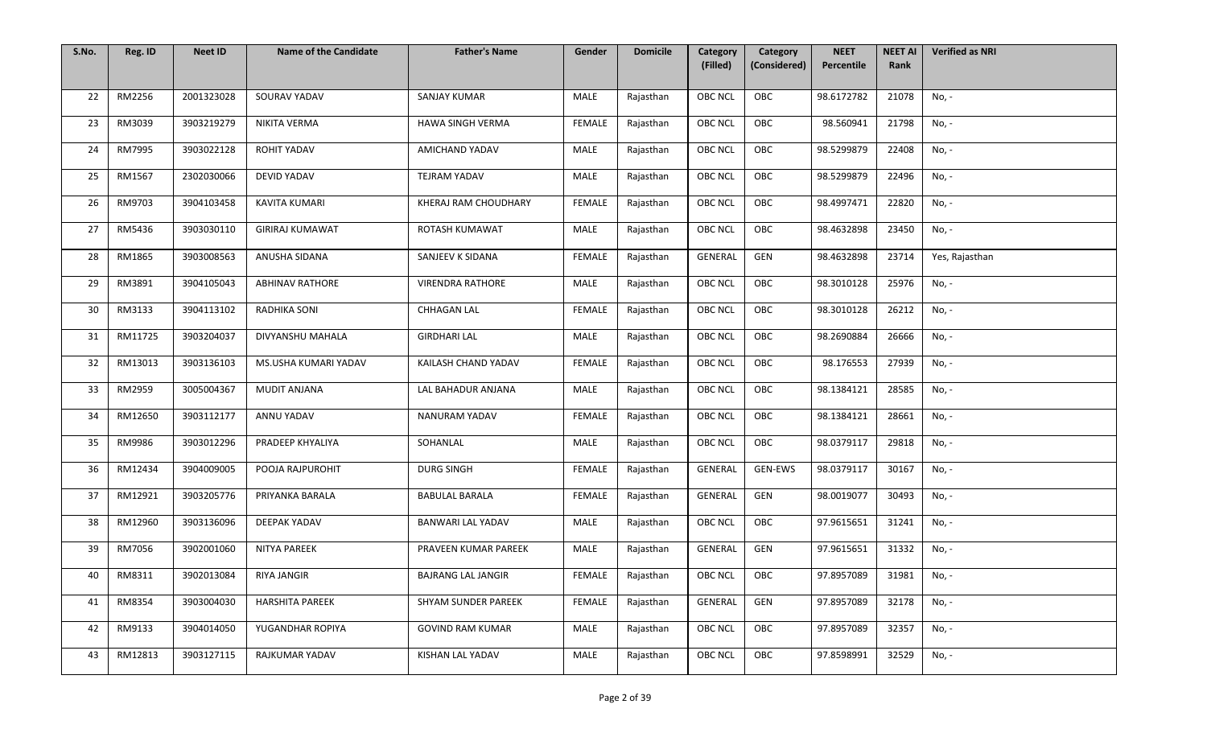| S.No. | Reg. ID | <b>Neet ID</b> | <b>Name of the Candidate</b> | <b>Father's Name</b>       | Gender        | <b>Domicile</b> | Category<br>(Filled) | Category<br>(Considered) | <b>NEET</b><br>Percentile | <b>NEET AI</b><br>Rank | <b>Verified as NRI</b> |
|-------|---------|----------------|------------------------------|----------------------------|---------------|-----------------|----------------------|--------------------------|---------------------------|------------------------|------------------------|
|       |         |                |                              |                            |               |                 |                      |                          |                           |                        |                        |
| 22    | RM2256  | 2001323028     | SOURAV YADAV                 | <b>SANJAY KUMAR</b>        | MALE          | Rajasthan       | <b>OBC NCL</b>       | OBC                      | 98.6172782                | 21078                  | No, -                  |
| 23    | RM3039  | 3903219279     | NIKITA VERMA                 | HAWA SINGH VERMA           | <b>FEMALE</b> | Rajasthan       | <b>OBC NCL</b>       | OBC                      | 98.560941                 | 21798                  | No, -                  |
| 24    | RM7995  | 3903022128     | ROHIT YADAV                  | AMICHAND YADAV             | MALE          | Rajasthan       | <b>OBC NCL</b>       | OBC                      | 98.5299879                | 22408                  | No, -                  |
| 25    | RM1567  | 2302030066     | <b>DEVID YADAV</b>           | TEJRAM YADAV               | <b>MALE</b>   | Rajasthan       | <b>OBC NCL</b>       | OBC                      | 98.5299879                | 22496                  | No, -                  |
| 26    | RM9703  | 3904103458     | KAVITA KUMARI                | KHERAJ RAM CHOUDHARY       | <b>FEMALE</b> | Rajasthan       | OBC NCL              | OBC                      | 98.4997471                | 22820                  | No, -                  |
| 27    | RM5436  | 3903030110     | <b>GIRIRAJ KUMAWAT</b>       | ROTASH KUMAWAT             | MALE          | Rajasthan       | OBC NCL              | OBC                      | 98.4632898                | 23450                  | No, -                  |
| 28    | RM1865  | 3903008563     | ANUSHA SIDANA                | SANJEEV K SIDANA           | FEMALE        | Rajasthan       | GENERAL              | GEN                      | 98.4632898                | 23714                  | Yes, Rajasthan         |
| 29    | RM3891  | 3904105043     | <b>ABHINAV RATHORE</b>       | <b>VIRENDRA RATHORE</b>    | MALE          | Rajasthan       | <b>OBC NCL</b>       | OBC                      | 98.3010128                | 25976                  | No, -                  |
| 30    | RM3133  | 3904113102     | RADHIKA SONI                 | CHHAGAN LAL                | <b>FEMALE</b> | Rajasthan       | <b>OBC NCL</b>       | OBC                      | 98.3010128                | 26212                  | No, -                  |
| 31    | RM11725 | 3903204037     | DIVYANSHU MAHALA             | <b>GIRDHARI LAL</b>        | MALE          | Rajasthan       | <b>OBC NCL</b>       | OBC                      | 98.2690884                | 26666                  | No, -                  |
| 32    | RM13013 | 3903136103     | MS.USHA KUMARI YADAV         | KAILASH CHAND YADAV        | FEMALE        | Rajasthan       | OBC NCL              | OBC                      | 98.176553                 | 27939                  | No, -                  |
| 33    | RM2959  | 3005004367     | MUDIT ANJANA                 | LAL BAHADUR ANJANA         | <b>MALE</b>   | Rajasthan       | OBC NCL              | OBC                      | 98.1384121                | 28585                  | No, -                  |
| 34    | RM12650 | 3903112177     | ANNU YADAV                   | NANURAM YADAV              | FEMALE        | Rajasthan       | OBC NCL              | OBC                      | 98.1384121                | 28661                  | No, -                  |
| 35    | RM9986  | 3903012296     | PRADEEP KHYALIYA             | SOHANLAL                   | <b>MALE</b>   | Rajasthan       | <b>OBC NCL</b>       | OBC                      | 98.0379117                | 29818                  | No, -                  |
| 36    | RM12434 | 3904009005     | POOJA RAJPUROHIT             | <b>DURG SINGH</b>          | FEMALE        | Rajasthan       | GENERAL              | GEN-EWS                  | 98.0379117                | 30167                  | No, -                  |
| 37    | RM12921 | 3903205776     | PRIYANKA BARALA              | <b>BABULAL BARALA</b>      | FEMALE        | Rajasthan       | GENERAL              | GEN                      | 98.0019077                | 30493                  | No, -                  |
| 38    | RM12960 | 3903136096     | DEEPAK YADAV                 | BANWARI LAL YADAV          | MALE          | Rajasthan       | <b>OBC NCL</b>       | OBC                      | 97.9615651                | 31241                  | No, -                  |
| 39    | RM7056  | 3902001060     | NITYA PAREEK                 | PRAVEEN KUMAR PAREEK       | MALE          | Rajasthan       | <b>GENERAL</b>       | GEN                      | 97.9615651                | 31332                  | No, -                  |
| 40    | RM8311  | 3902013084     | RIYA JANGIR                  | <b>BAJRANG LAL JANGIR</b>  | FEMALE        | Rajasthan       | OBC NCL              | OBC                      | 97.8957089                | 31981                  | No, -                  |
| 41    | RM8354  | 3903004030     | <b>HARSHITA PAREEK</b>       | <b>SHYAM SUNDER PAREEK</b> | FEMALE        | Rajasthan       | GENERAL              | GEN                      | 97.8957089                | 32178                  | No, -                  |
| 42    | RM9133  | 3904014050     | YUGANDHAR ROPIYA             | <b>GOVIND RAM KUMAR</b>    | MALE          | Rajasthan       | <b>OBC NCL</b>       | OBC                      | 97.8957089                | 32357                  | No, -                  |
| 43    | RM12813 | 3903127115     | RAJKUMAR YADAV               | KISHAN LAL YADAV           | MALE          | Rajasthan       | OBC NCL              | OBC                      | 97.8598991                | 32529                  | No, -                  |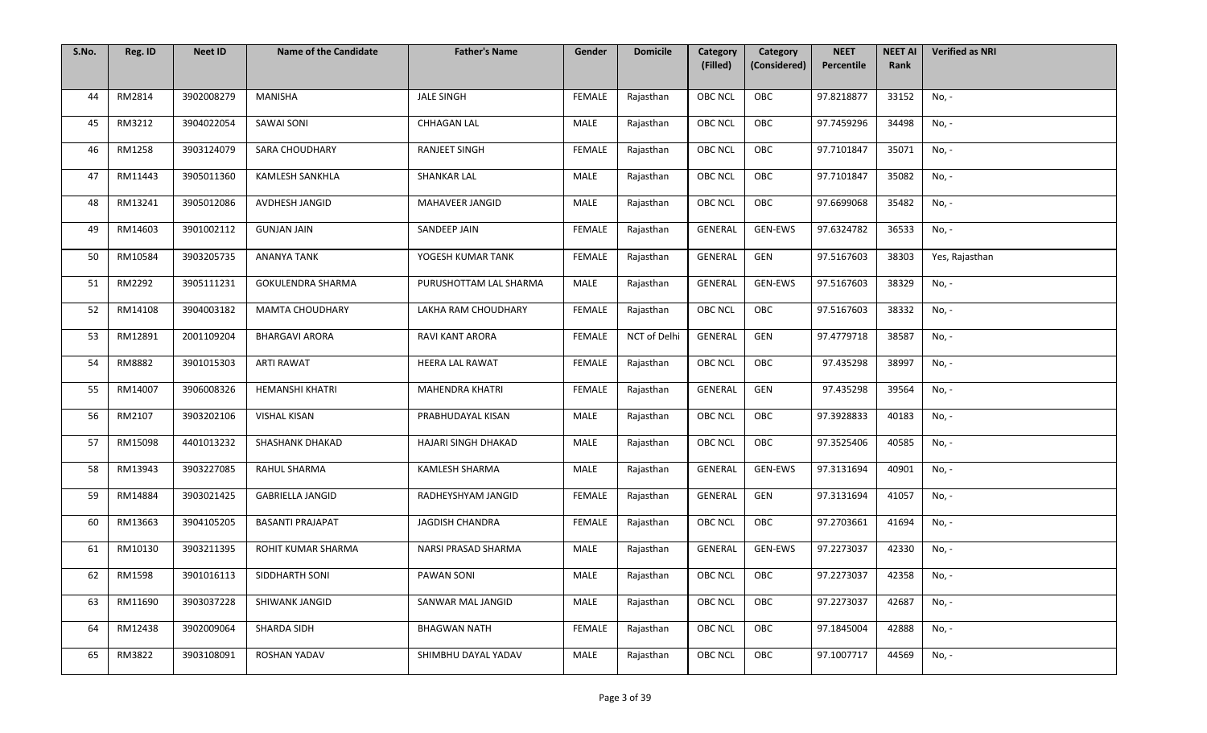| S.No. | Reg. ID | <b>Neet ID</b> | <b>Name of the Candidate</b> | <b>Father's Name</b>   | Gender        | <b>Domicile</b> | Category<br>(Filled) | Category<br>(Considered) | <b>NEET</b><br>Percentile | <b>NEET AI</b><br>Rank | <b>Verified as NRI</b> |
|-------|---------|----------------|------------------------------|------------------------|---------------|-----------------|----------------------|--------------------------|---------------------------|------------------------|------------------------|
|       |         |                |                              |                        |               |                 |                      |                          |                           |                        |                        |
| 44    | RM2814  | 3902008279     | MANISHA                      | <b>JALE SINGH</b>      | <b>FEMALE</b> | Rajasthan       | <b>OBC NCL</b>       | OBC                      | 97.8218877                | 33152                  | No, -                  |
| 45    | RM3212  | 3904022054     | <b>SAWAI SONI</b>            | <b>CHHAGAN LAL</b>     | <b>MALE</b>   | Rajasthan       | <b>OBC NCL</b>       | OBC                      | 97.7459296                | 34498                  | No, -                  |
| 46    | RM1258  | 3903124079     | SARA CHOUDHARY               | <b>RANJEET SINGH</b>   | <b>FEMALE</b> | Rajasthan       | <b>OBC NCL</b>       | OBC                      | 97.7101847                | 35071                  | No, -                  |
| 47    | RM11443 | 3905011360     | <b>KAMLESH SANKHLA</b>       | <b>SHANKAR LAL</b>     | <b>MALE</b>   | Rajasthan       | <b>OBC NCL</b>       | OBC                      | 97.7101847                | 35082                  | No, -                  |
| 48    | RM13241 | 3905012086     | AVDHESH JANGID               | MAHAVEER JANGID        | MALE          | Rajasthan       | OBC NCL              | OBC                      | 97.6699068                | 35482                  | No, -                  |
| 49    | RM14603 | 3901002112     | <b>GUNJAN JAIN</b>           | SANDEEP JAIN           | <b>FEMALE</b> | Rajasthan       | <b>GENERAL</b>       | GEN-EWS                  | 97.6324782                | 36533                  | No, -                  |
| 50    | RM10584 | 3903205735     | <b>ANANYA TANK</b>           | YOGESH KUMAR TANK      | <b>FEMALE</b> | Rajasthan       | GENERAL              | GEN                      | 97.5167603                | 38303                  | Yes, Rajasthan         |
| 51    | RM2292  | 3905111231     | <b>GOKULENDRA SHARMA</b>     | PURUSHOTTAM LAL SHARMA | <b>MALE</b>   | Rajasthan       | GENERAL              | GEN-EWS                  | 97.5167603                | 38329                  | No, -                  |
| 52    | RM14108 | 3904003182     | <b>MAMTA CHOUDHARY</b>       | LAKHA RAM CHOUDHARY    | <b>FEMALE</b> | Rajasthan       | <b>OBC NCL</b>       | OBC                      | 97.5167603                | 38332                  | No, -                  |
| 53    | RM12891 | 2001109204     | <b>BHARGAVI ARORA</b>        | <b>RAVI KANT ARORA</b> | <b>FEMALE</b> | NCT of Delhi    | GENERAL              | GEN                      | 97.4779718                | 38587                  | No, -                  |
| 54    | RM8882  | 3901015303     | <b>ARTI RAWAT</b>            | HEERA LAL RAWAT        | <b>FEMALE</b> | Rajasthan       | <b>OBC NCL</b>       | OBC                      | 97.435298                 | 38997                  | No, -                  |
| 55    | RM14007 | 3906008326     | <b>HEMANSHI KHATRI</b>       | <b>MAHENDRA KHATRI</b> | FEMALE        | Rajasthan       | GENERAL              | GEN                      | 97.435298                 | 39564                  | No, -                  |
| 56    | RM2107  | 3903202106     | <b>VISHAL KISAN</b>          | PRABHUDAYAL KISAN      | <b>MALE</b>   | Rajasthan       | OBC NCL              | OBC                      | 97.3928833                | 40183                  | No, -                  |
| 57    | RM15098 | 4401013232     | SHASHANK DHAKAD              | HAJARI SINGH DHAKAD    | <b>MALE</b>   | Rajasthan       | <b>OBC NCL</b>       | OBC                      | 97.3525406                | 40585                  | No, -                  |
| 58    | RM13943 | 3903227085     | RAHUL SHARMA                 | KAMLESH SHARMA         | MALE          | Rajasthan       | GENERAL              | GEN-EWS                  | 97.3131694                | 40901                  | No, -                  |
| 59    | RM14884 | 3903021425     | <b>GABRIELLA JANGID</b>      | RADHEYSHYAM JANGID     | <b>FEMALE</b> | Rajasthan       | GENERAL              | GEN                      | 97.3131694                | 41057                  | No, -                  |
| 60    | RM13663 | 3904105205     | <b>BASANTI PRAJAPAT</b>      | JAGDISH CHANDRA        | <b>FEMALE</b> | Rajasthan       | <b>OBC NCL</b>       | OBC                      | 97.2703661                | 41694                  | No, -                  |
| 61    | RM10130 | 3903211395     | ROHIT KUMAR SHARMA           | NARSI PRASAD SHARMA    | <b>MALE</b>   | Rajasthan       | GENERAL              | GEN-EWS                  | 97.2273037                | 42330                  | No, -                  |
| 62    | RM1598  | 3901016113     | SIDDHARTH SONI               | <b>PAWAN SONI</b>      | MALE          | Rajasthan       | OBC NCL              | OBC                      | 97.2273037                | 42358                  | No, -                  |
| 63    | RM11690 | 3903037228     | SHIWANK JANGID               | SANWAR MAL JANGID      | MALE          | Rajasthan       | <b>OBC NCL</b>       | OBC                      | 97.2273037                | 42687                  | No, -                  |
| 64    | RM12438 | 3902009064     | SHARDA SIDH                  | <b>BHAGWAN NATH</b>    | <b>FEMALE</b> | Rajasthan       | <b>OBC NCL</b>       | OBC                      | 97.1845004                | 42888                  | No, -                  |
| 65    | RM3822  | 3903108091     | <b>ROSHAN YADAV</b>          | SHIMBHU DAYAL YADAV    | MALE          | Rajasthan       | OBC NCL              | OBC                      | 97.1007717                | 44569                  | No, -                  |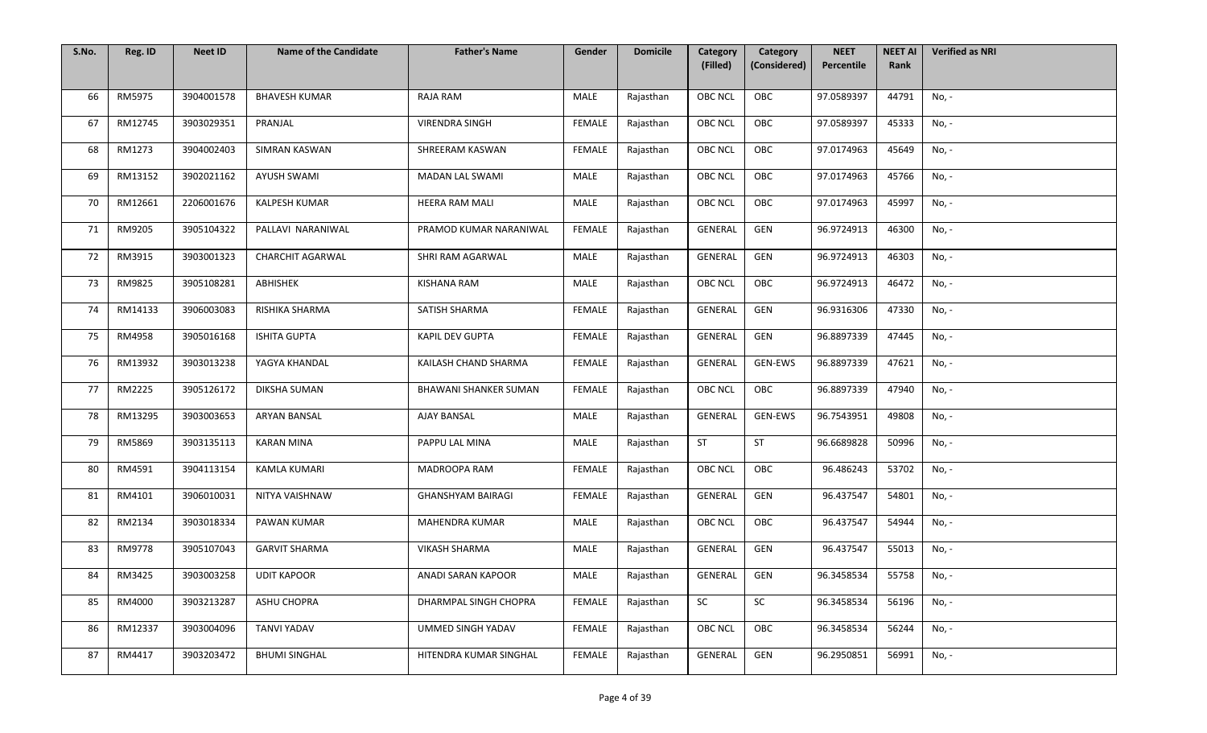| S.No. | Reg. ID | <b>Neet ID</b> | <b>Name of the Candidate</b> | <b>Father's Name</b>     | Gender        | <b>Domicile</b> | Category<br>(Filled) | Category<br>(Considered) | <b>NEET</b><br>Percentile | <b>NEET AI</b><br>Rank | <b>Verified as NRI</b> |
|-------|---------|----------------|------------------------------|--------------------------|---------------|-----------------|----------------------|--------------------------|---------------------------|------------------------|------------------------|
|       |         |                |                              |                          |               |                 |                      |                          |                           |                        |                        |
| 66    | RM5975  | 3904001578     | <b>BHAVESH KUMAR</b>         | RAJA RAM                 | MALE          | Rajasthan       | <b>OBC NCL</b>       | OBC                      | 97.0589397                | 44791                  | No, -                  |
| 67    | RM12745 | 3903029351     | PRANJAL                      | <b>VIRENDRA SINGH</b>    | FEMALE        | Rajasthan       | <b>OBC NCL</b>       | OBC                      | 97.0589397                | 45333                  | No, -                  |
| 68    | RM1273  | 3904002403     | <b>SIMRAN KASWAN</b>         | SHREERAM KASWAN          | FEMALE        | Rajasthan       | <b>OBC NCL</b>       | OBC                      | 97.0174963                | 45649                  | No, -                  |
| 69    | RM13152 | 3902021162     | <b>AYUSH SWAMI</b>           | MADAN LAL SWAMI          | <b>MALE</b>   | Rajasthan       | <b>OBC NCL</b>       | OBC                      | 97.0174963                | 45766                  | No, -                  |
| 70    | RM12661 | 2206001676     | KALPESH KUMAR                | HEERA RAM MALI           | MALE          | Rajasthan       | OBC NCL              | OBC                      | 97.0174963                | 45997                  | No, -                  |
| 71    | RM9205  | 3905104322     | PALLAVI NARANIWAL            | PRAMOD KUMAR NARANIWAL   | <b>FEMALE</b> | Rajasthan       | GENERAL              | GEN                      | 96.9724913                | 46300                  | No, -                  |
| 72    | RM3915  | 3903001323     | <b>CHARCHIT AGARWAL</b>      | SHRI RAM AGARWAL         | MALE          | Rajasthan       | GENERAL              | GEN                      | 96.9724913                | 46303                  | No, -                  |
| 73    | RM9825  | 3905108281     | ABHISHEK                     | <b>KISHANA RAM</b>       | MALE          | Rajasthan       | <b>OBC NCL</b>       | OBC                      | 96.9724913                | 46472                  | No, -                  |
| 74    | RM14133 | 3906003083     | RISHIKA SHARMA               | SATISH SHARMA            | <b>FEMALE</b> | Rajasthan       | GENERAL              | GEN                      | 96.9316306                | 47330                  | No, -                  |
| 75    | RM4958  | 3905016168     | <b>ISHITA GUPTA</b>          | KAPIL DEV GUPTA          | FEMALE        | Rajasthan       | GENERAL              | GEN                      | 96.8897339                | 47445                  | No, -                  |
| 76    | RM13932 | 3903013238     | YAGYA KHANDAL                | KAILASH CHAND SHARMA     | FEMALE        | Rajasthan       | GENERAL              | GEN-EWS                  | 96.8897339                | 47621                  | No, -                  |
| 77    | RM2225  | 3905126172     | DIKSHA SUMAN                 | BHAWANI SHANKER SUMAN    | <b>FEMALE</b> | Rajasthan       | OBC NCL              | OBC                      | 96.8897339                | 47940                  | No, -                  |
| 78    | RM13295 | 3903003653     | <b>ARYAN BANSAL</b>          | <b>AJAY BANSAL</b>       | MALE          | Rajasthan       | GENERAL              | <b>GEN-EWS</b>           | 96.7543951                | 49808                  | No, -                  |
| 79    | RM5869  | 3903135113     | <b>KARAN MINA</b>            | PAPPU LAL MINA           | <b>MALE</b>   | Rajasthan       | <b>ST</b>            | ST                       | 96.6689828                | 50996                  | No, -                  |
| 80    | RM4591  | 3904113154     | <b>KAMLA KUMARI</b>          | MADROOPA RAM             | FEMALE        | Rajasthan       | <b>OBC NCL</b>       | OBC                      | 96.486243                 | 53702                  | No, -                  |
| 81    | RM4101  | 3906010031     | NITYA VAISHNAW               | <b>GHANSHYAM BAIRAGI</b> | FEMALE        | Rajasthan       | GENERAL              | GEN                      | 96.437547                 | 54801                  | No, -                  |
| 82    | RM2134  | 3903018334     | PAWAN KUMAR                  | MAHENDRA KUMAR           | MALE          | Rajasthan       | <b>OBC NCL</b>       | OBC                      | 96.437547                 | 54944                  | No, -                  |
| 83    | RM9778  | 3905107043     | <b>GARVIT SHARMA</b>         | <b>VIKASH SHARMA</b>     | MALE          | Rajasthan       | <b>GENERAL</b>       | GEN                      | 96.437547                 | 55013                  | No, -                  |
| 84    | RM3425  | 3903003258     | <b>UDIT KAPOOR</b>           | ANADI SARAN KAPOOR       | MALE          | Rajasthan       | GENERAL              | GEN                      | 96.3458534                | 55758                  | No, -                  |
| 85    | RM4000  | 3903213287     | <b>ASHU CHOPRA</b>           | DHARMPAL SINGH CHOPRA    | FEMALE        | Rajasthan       | SC                   | SC                       | 96.3458534                | 56196                  | No, -                  |
| 86    | RM12337 | 3903004096     | <b>TANVI YADAV</b>           | UMMED SINGH YADAV        | <b>FEMALE</b> | Rajasthan       | <b>OBC NCL</b>       | OBC                      | 96.3458534                | 56244                  | No, -                  |
| 87    | RM4417  | 3903203472     | <b>BHUMI SINGHAL</b>         | HITENDRA KUMAR SINGHAL   | <b>FEMALE</b> | Rajasthan       | GENERAL              | GEN                      | 96.2950851                | 56991                  | No, -                  |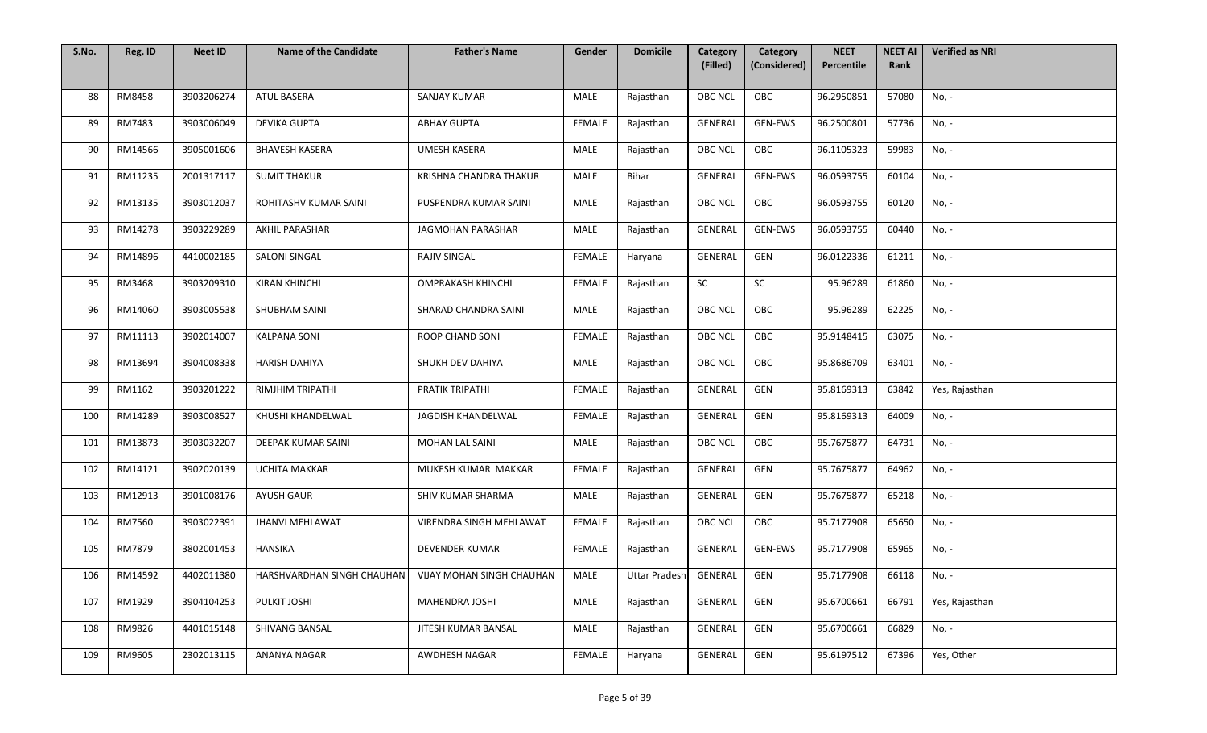| S.No. | Reg. ID | <b>Neet ID</b> | <b>Name of the Candidate</b> | <b>Father's Name</b>      | Gender        | <b>Domicile</b> | Category<br>(Filled) | Category<br>(Considered) | <b>NEET</b><br>Percentile | <b>NEET AI</b><br>Rank | <b>Verified as NRI</b> |
|-------|---------|----------------|------------------------------|---------------------------|---------------|-----------------|----------------------|--------------------------|---------------------------|------------------------|------------------------|
|       |         |                |                              |                           |               |                 |                      |                          |                           |                        |                        |
| 88    | RM8458  | 3903206274     | ATUL BASERA                  | SANJAY KUMAR              | <b>MALE</b>   | Rajasthan       | <b>OBC NCL</b>       | OBC                      | 96.2950851                | 57080                  | No, -                  |
| 89    | RM7483  | 3903006049     | DEVIKA GUPTA                 | <b>ABHAY GUPTA</b>        | <b>FEMALE</b> | Rajasthan       | GENERAL              | GEN-EWS                  | 96.2500801                | 57736                  | No, -                  |
| 90    | RM14566 | 3905001606     | <b>BHAVESH KASERA</b>        | <b>UMESH KASERA</b>       | MALE          | Rajasthan       | OBC NCL              | OBC                      | 96.1105323                | 59983                  | No, -                  |
| 91    | RM11235 | 2001317117     | <b>SUMIT THAKUR</b>          | KRISHNA CHANDRA THAKUR    | <b>MALE</b>   | Bihar           | <b>GENERAL</b>       | <b>GEN-EWS</b>           | 96.0593755                | 60104                  | No, -                  |
| 92    | RM13135 | 3903012037     | ROHITASHV KUMAR SAINI        | PUSPENDRA KUMAR SAINI     | <b>MALE</b>   | Rajasthan       | OBC NCL              | OBC                      | 96.0593755                | 60120                  | No, -                  |
| 93    | RM14278 | 3903229289     | AKHIL PARASHAR               | JAGMOHAN PARASHAR         | <b>MALE</b>   | Rajasthan       | GENERAL              | GEN-EWS                  | 96.0593755                | 60440                  | No, -                  |
| 94    | RM14896 | 4410002185     | SALONI SINGAL                | RAJIV SINGAL              | FEMALE        | Haryana         | GENERAL              | GEN                      | 96.0122336                | 61211                  | No, -                  |
| 95    | RM3468  | 3903209310     | <b>KIRAN KHINCHI</b>         | <b>OMPRAKASH KHINCHI</b>  | FEMALE        | Rajasthan       | SC                   | SC                       | 95.96289                  | 61860                  | No, -                  |
| 96    | RM14060 | 3903005538     | SHUBHAM SAINI                | SHARAD CHANDRA SAINI      | MALE          | Rajasthan       | <b>OBC NCL</b>       | OBC                      | 95.96289                  | 62225                  | No, -                  |
| 97    | RM11113 | 3902014007     | <b>KALPANA SONI</b>          | ROOP CHAND SONI           | FEMALE        | Rajasthan       | <b>OBC NCL</b>       | OBC                      | 95.9148415                | 63075                  | No, -                  |
| 98    | RM13694 | 3904008338     | <b>HARISH DAHIYA</b>         | SHUKH DEV DAHIYA          | <b>MALE</b>   | Rajasthan       | OBC NCL              | OBC                      | 95.8686709                | 63401                  | No, -                  |
| 99    | RM1162  | 3903201222     | RIMJHIM TRIPATHI             | PRATIK TRIPATHI           | <b>FEMALE</b> | Rajasthan       | GENERAL              | GEN                      | 95.8169313                | 63842                  | Yes, Rajasthan         |
| 100   | RM14289 | 3903008527     | KHUSHI KHANDELWAL            | JAGDISH KHANDELWAL        | <b>FEMALE</b> | Rajasthan       | <b>GENERAL</b>       | GEN                      | 95.8169313                | 64009                  | No, -                  |
| 101   | RM13873 | 3903032207     | DEEPAK KUMAR SAINI           | MOHAN LAL SAINI           | <b>MALE</b>   | Rajasthan       | <b>OBC NCL</b>       | OBC                      | 95.7675877                | 64731                  | No, -                  |
| 102   | RM14121 | 3902020139     | UCHITA MAKKAR                | MUKESH KUMAR MAKKAR       | <b>FEMALE</b> | Rajasthan       | GENERAL              | GEN                      | 95.7675877                | 64962                  | No, -                  |
| 103   | RM12913 | 3901008176     | <b>AYUSH GAUR</b>            | SHIV KUMAR SHARMA         | MALE          | Rajasthan       | GENERAL              | GEN                      | 95.7675877                | 65218                  | No, -                  |
| 104   | RM7560  | 3903022391     | <b>JHANVI MEHLAWAT</b>       | VIRENDRA SINGH MEHLAWAT   | FEMALE        | Rajasthan       | <b>OBC NCL</b>       | OBC                      | 95.7177908                | 65650                  | No, -                  |
| 105   | RM7879  | 3802001453     | HANSIKA                      | DEVENDER KUMAR            | <b>FEMALE</b> | Rajasthan       | GENERAL              | GEN-EWS                  | 95.7177908                | 65965                  | No, -                  |
| 106   | RM14592 | 4402011380     | HARSHVARDHAN SINGH CHAUHAN   | VIJAY MOHAN SINGH CHAUHAN | MALE          | Uttar Pradesh   | GENERAL              | GEN                      | 95.7177908                | 66118                  | No, -                  |
| 107   | RM1929  | 3904104253     | PULKIT JOSHI                 | <b>MAHENDRA JOSHI</b>     | <b>MALE</b>   | Rajasthan       | GENERAL              | GEN                      | 95.6700661                | 66791                  | Yes, Rajasthan         |
| 108   | RM9826  | 4401015148     | SHIVANG BANSAL               | JITESH KUMAR BANSAL       | <b>MALE</b>   | Rajasthan       | GENERAL              | GEN                      | 95.6700661                | 66829                  | No, -                  |
| 109   | RM9605  | 2302013115     | ANANYA NAGAR                 | AWDHESH NAGAR             | FEMALE        | Haryana         | GENERAL              | GEN                      | 95.6197512                | 67396                  | Yes, Other             |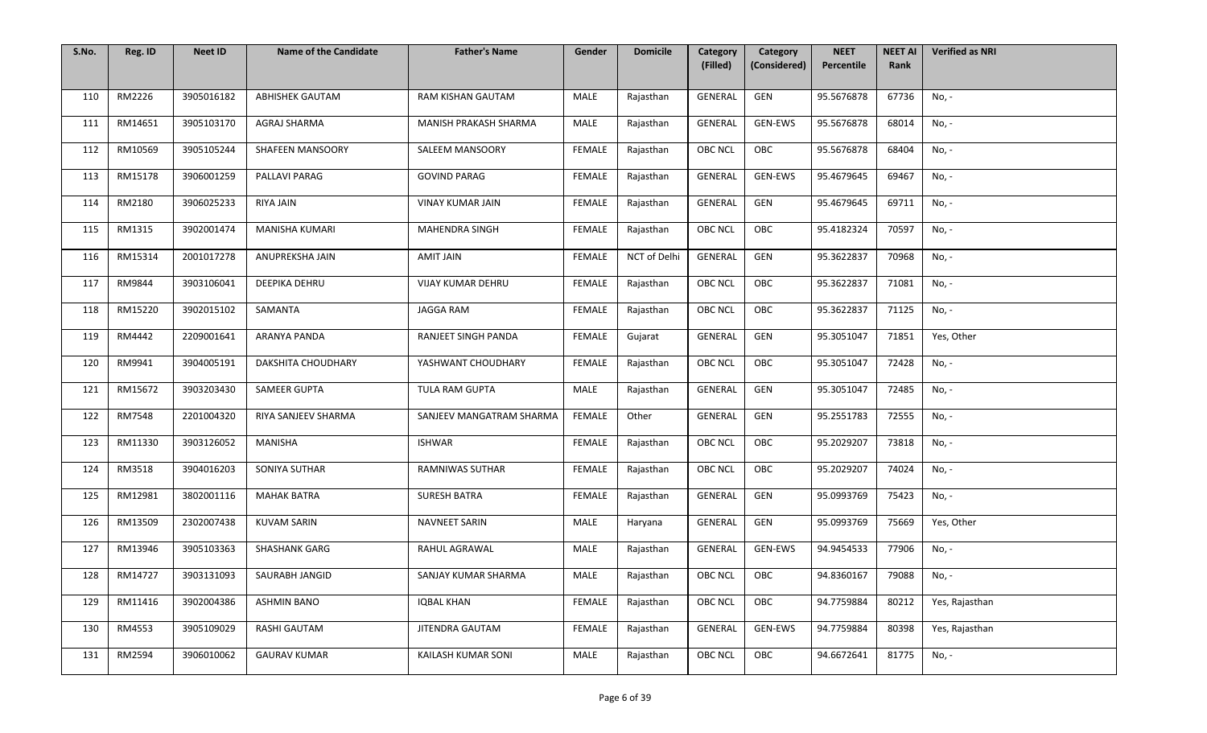| S.No. | Reg. ID | <b>Neet ID</b> | <b>Name of the Candidate</b> | <b>Father's Name</b>     | Gender        | <b>Domicile</b> | Category<br>(Filled) | Category<br>(Considered) | <b>NEET</b><br>Percentile | <b>NEET AI</b><br>Rank | <b>Verified as NRI</b> |
|-------|---------|----------------|------------------------------|--------------------------|---------------|-----------------|----------------------|--------------------------|---------------------------|------------------------|------------------------|
|       |         |                |                              |                          |               |                 |                      |                          |                           |                        |                        |
| 110   | RM2226  | 3905016182     | <b>ABHISHEK GAUTAM</b>       | RAM KISHAN GAUTAM        | MALE          | Rajasthan       | GENERAL              | GEN                      | 95.5676878                | 67736                  | No, -                  |
| 111   | RM14651 | 3905103170     | AGRAJ SHARMA                 | MANISH PRAKASH SHARMA    | MALE          | Rajasthan       | GENERAL              | GEN-EWS                  | 95.5676878                | 68014                  | No, -                  |
| 112   | RM10569 | 3905105244     | SHAFEEN MANSOORY             | SALEEM MANSOORY          | FEMALE        | Rajasthan       | <b>OBC NCL</b>       | OBC                      | 95.5676878                | 68404                  | No, -                  |
| 113   | RM15178 | 3906001259     | PALLAVI PARAG                | <b>GOVIND PARAG</b>      | FEMALE        | Rajasthan       | GENERAL              | <b>GEN-EWS</b>           | 95.4679645                | 69467                  | No, -                  |
| 114   | RM2180  | 3906025233     | RIYA JAIN                    | <b>VINAY KUMAR JAIN</b>  | <b>FEMALE</b> | Rajasthan       | GENERAL              | GEN                      | 95.4679645                | 69711                  | No, -                  |
| 115   | RM1315  | 3902001474     | <b>MANISHA KUMARI</b>        | MAHENDRA SINGH           | FEMALE        | Rajasthan       | OBC NCL              | OBC                      | 95.4182324                | 70597                  | No, -                  |
| 116   | RM15314 | 2001017278     | ANUPREKSHA JAIN              | AMIT JAIN                | <b>FEMALE</b> | NCT of Delhi    | GENERAL              | GEN                      | 95.3622837                | 70968                  | No, -                  |
| 117   | RM9844  | 3903106041     | DEEPIKA DEHRU                | <b>VIJAY KUMAR DEHRU</b> | FEMALE        | Rajasthan       | OBC NCL              | OBC                      | 95.3622837                | 71081                  | No, -                  |
| 118   | RM15220 | 3902015102     | SAMANTA                      | <b>JAGGA RAM</b>         | <b>FEMALE</b> | Rajasthan       | <b>OBC NCL</b>       | OBC                      | 95.3622837                | 71125                  | No, -                  |
| 119   | RM4442  | 2209001641     | ARANYA PANDA                 | RANJEET SINGH PANDA      | <b>FEMALE</b> | Gujarat         | GENERAL              | GEN                      | 95.3051047                | 71851                  | Yes, Other             |
| 120   | RM9941  | 3904005191     | DAKSHITA CHOUDHARY           | YASHWANT CHOUDHARY       | <b>FEMALE</b> | Rajasthan       | <b>OBC NCL</b>       | OBC                      | 95.3051047                | 72428                  | No, -                  |
| 121   | RM15672 | 3903203430     | SAMEER GUPTA                 | TULA RAM GUPTA           | MALE          | Rajasthan       | GENERAL              | GEN                      | 95.3051047                | 72485                  | No, -                  |
| 122   | RM7548  | 2201004320     | RIYA SANJEEV SHARMA          | SANJEEV MANGATRAM SHARMA | FEMALE        | Other           | GENERAL              | GEN                      | 95.2551783                | 72555                  | No, -                  |
| 123   | RM11330 | 3903126052     | MANISHA                      | <b>ISHWAR</b>            | FEMALE        | Rajasthan       | <b>OBC NCL</b>       | OBC                      | 95.2029207                | 73818                  | No, -                  |
| 124   | RM3518  | 3904016203     | SONIYA SUTHAR                | RAMNIWAS SUTHAR          | <b>FEMALE</b> | Rajasthan       | <b>OBC NCL</b>       | OBC                      | 95.2029207                | 74024                  | No, -                  |
| 125   | RM12981 | 3802001116     | <b>MAHAK BATRA</b>           | <b>SURESH BATRA</b>      | <b>FEMALE</b> | Rajasthan       | GENERAL              | GEN                      | 95.0993769                | 75423                  | No, -                  |
| 126   | RM13509 | 2302007438     | <b>KUVAM SARIN</b>           | <b>NAVNEET SARIN</b>     | MALE          | Haryana         | GENERAL              | GEN                      | 95.0993769                | 75669                  | Yes, Other             |
| 127   | RM13946 | 3905103363     | <b>SHASHANK GARG</b>         | RAHUL AGRAWAL            | MALE          | Rajasthan       | GENERAL              | GEN-EWS                  | 94.9454533                | 77906                  | No, -                  |
| 128   | RM14727 | 3903131093     | SAURABH JANGID               | SANJAY KUMAR SHARMA      | MALE          | Rajasthan       | OBC NCL              | OBC                      | 94.8360167                | 79088                  | No, -                  |
| 129   | RM11416 | 3902004386     | <b>ASHMIN BANO</b>           | <b>IOBAL KHAN</b>        | FEMALE        | Rajasthan       | <b>OBC NCL</b>       | OBC                      | 94.7759884                | 80212                  | Yes, Rajasthan         |
| 130   | RM4553  | 3905109029     | RASHI GAUTAM                 | JITENDRA GAUTAM          | FEMALE        | Rajasthan       | GENERAL              | <b>GEN-EWS</b>           | 94.7759884                | 80398                  | Yes, Rajasthan         |
| 131   | RM2594  | 3906010062     | <b>GAURAV KUMAR</b>          | KAILASH KUMAR SONI       | <b>MALE</b>   | Rajasthan       | OBC NCL              | OBC                      | 94.6672641                | 81775                  | No, -                  |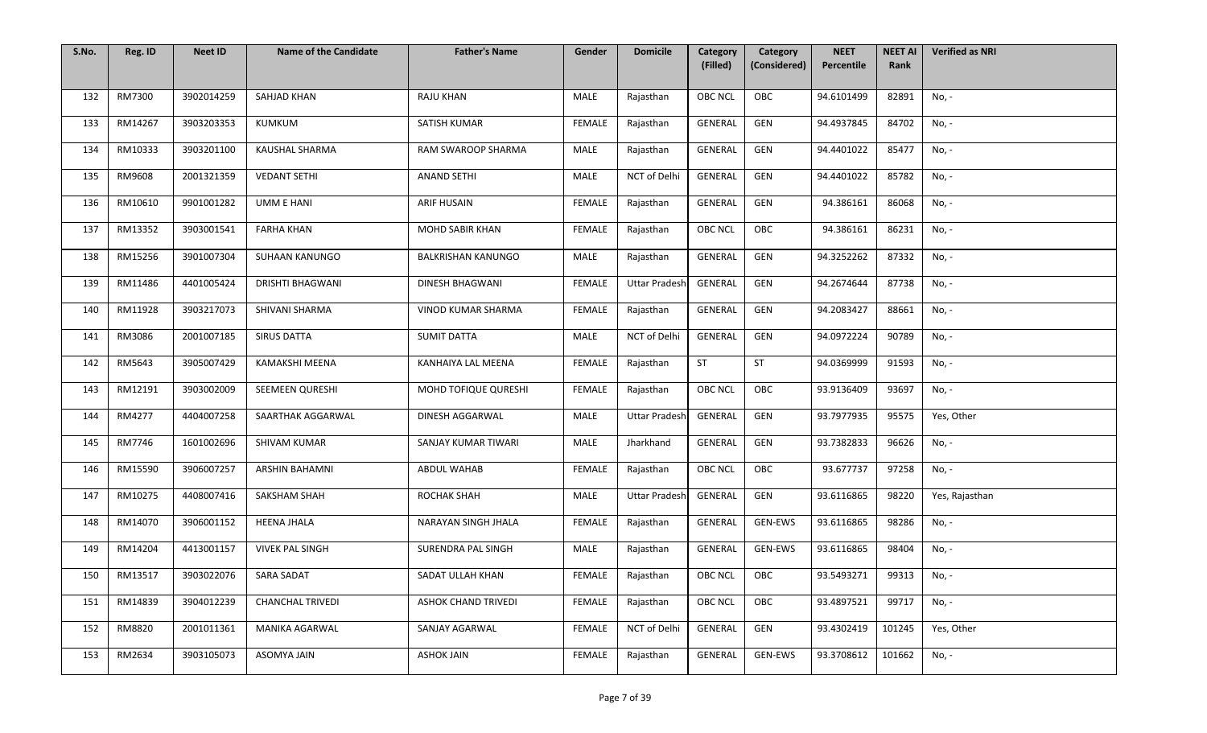| S.No. | Reg. ID | <b>Neet ID</b> | <b>Name of the Candidate</b> | <b>Father's Name</b>       | Gender        | <b>Domicile</b>      | Category<br>(Filled) | Category<br>(Considered) | <b>NEET</b><br>Percentile | <b>NEET AI</b><br>Rank | <b>Verified as NRI</b> |
|-------|---------|----------------|------------------------------|----------------------------|---------------|----------------------|----------------------|--------------------------|---------------------------|------------------------|------------------------|
|       |         |                |                              |                            |               |                      |                      |                          |                           |                        |                        |
| 132   | RM7300  | 3902014259     | SAHJAD KHAN                  | <b>RAJU KHAN</b>           | MALE          | Rajasthan            | <b>OBC NCL</b>       | OBC                      | 94.6101499                | 82891                  | No, -                  |
| 133   | RM14267 | 3903203353     | KUMKUM                       | SATISH KUMAR               | FEMALE        | Rajasthan            | GENERAL              | GEN                      | 94.4937845                | 84702                  | No, -                  |
| 134   | RM10333 | 3903201100     | KAUSHAL SHARMA               | RAM SWAROOP SHARMA         | MALE          | Rajasthan            | GENERAL              | GEN                      | 94.4401022                | 85477                  | No, -                  |
| 135   | RM9608  | 2001321359     | <b>VEDANT SETHI</b>          | <b>ANAND SETHI</b>         | MALE          | NCT of Delhi         | GENERAL              | GEN                      | 94.4401022                | 85782                  | No, -                  |
| 136   | RM10610 | 9901001282     | UMM E HANI                   | <b>ARIF HUSAIN</b>         | <b>FEMALE</b> | Rajasthan            | GENERAL              | GEN                      | 94.386161                 | 86068                  | No, -                  |
| 137   | RM13352 | 3903001541     | <b>FARHA KHAN</b>            | MOHD SABIR KHAN            | FEMALE        | Rajasthan            | OBC NCL              | OBC                      | 94.386161                 | 86231                  | No, -                  |
| 138   | RM15256 | 3901007304     | SUHAAN KANUNGO               | <b>BALKRISHAN KANUNGO</b>  | MALE          | Rajasthan            | GENERAL              | GEN                      | 94.3252262                | 87332                  | No, -                  |
| 139   | RM11486 | 4401005424     | <b>DRISHTI BHAGWANI</b>      | <b>DINESH BHAGWANI</b>     | FEMALE        | <b>Uttar Pradesh</b> | GENERAL              | GEN                      | 94.2674644                | 87738                  | No, -                  |
| 140   | RM11928 | 3903217073     | SHIVANI SHARMA               | VINOD KUMAR SHARMA         | <b>FEMALE</b> | Rajasthan            | GENERAL              | GEN                      | 94.2083427                | 88661                  | No, -                  |
| 141   | RM3086  | 2001007185     | <b>SIRUS DATTA</b>           | <b>SUMIT DATTA</b>         | MALE          | NCT of Delhi         | GENERAL              | GEN                      | 94.0972224                | 90789                  | No, -                  |
| 142   | RM5643  | 3905007429     | <b>KAMAKSHI MEENA</b>        | KANHAIYA LAL MEENA         | FEMALE        | Rajasthan            | ST                   | ST                       | 94.0369999                | 91593                  | No, -                  |
| 143   | RM12191 | 3903002009     | SEEMEEN QURESHI              | MOHD TOFIQUE QURESHI       | <b>FEMALE</b> | Rajasthan            | <b>OBC NCL</b>       | OBC                      | 93.9136409                | 93697                  | No, -                  |
| 144   | RM4277  | 4404007258     | SAARTHAK AGGARWAL            | DINESH AGGARWAL            | MALE          | <b>Uttar Pradesh</b> | GENERAL              | GEN                      | 93.7977935                | 95575                  | Yes, Other             |
| 145   | RM7746  | 1601002696     | SHIVAM KUMAR                 | SANJAY KUMAR TIWARI        | MALE          | Jharkhand            | GENERAL              | GEN                      | 93.7382833                | 96626                  | No, -                  |
| 146   | RM15590 | 3906007257     | ARSHIN BAHAMNI               | ABDUL WAHAB                | <b>FEMALE</b> | Rajasthan            | <b>OBC NCL</b>       | OBC                      | 93.677737                 | 97258                  | No, -                  |
| 147   | RM10275 | 4408007416     | SAKSHAM SHAH                 | ROCHAK SHAH                | MALE          | <b>Uttar Pradesh</b> | GENERAL              | GEN                      | 93.6116865                | 98220                  | Yes, Rajasthan         |
| 148   | RM14070 | 3906001152     | <b>HEENA JHALA</b>           | NARAYAN SINGH JHALA        | FEMALE        | Rajasthan            | GENERAL              | GEN-EWS                  | 93.6116865                | 98286                  | No, -                  |
| 149   | RM14204 | 4413001157     | <b>VIVEK PAL SINGH</b>       | SURENDRA PAL SINGH         | MALE          | Rajasthan            | GENERAL              | GEN-EWS                  | 93.6116865                | 98404                  | No, -                  |
| 150   | RM13517 | 3903022076     | <b>SARA SADAT</b>            | SADAT ULLAH KHAN           | FEMALE        | Rajasthan            | OBC NCL              | OBC                      | 93.5493271                | 99313                  | No, -                  |
| 151   | RM14839 | 3904012239     | <b>CHANCHAL TRIVEDI</b>      | <b>ASHOK CHAND TRIVEDI</b> | FEMALE        | Rajasthan            | <b>OBC NCL</b>       | OBC                      | 93.4897521                | 99717                  | No, -                  |
| 152   | RM8820  | 2001011361     | MANIKA AGARWAL               | SANJAY AGARWAL             | FEMALE        | NCT of Delhi         | GENERAL              | GEN                      | 93.4302419                | 101245                 | Yes, Other             |
| 153   | RM2634  | 3903105073     | ASOMYA JAIN                  | <b>ASHOK JAIN</b>          | <b>FEMALE</b> | Rajasthan            | GENERAL              | GEN-EWS                  | 93.3708612                | 101662                 | No, -                  |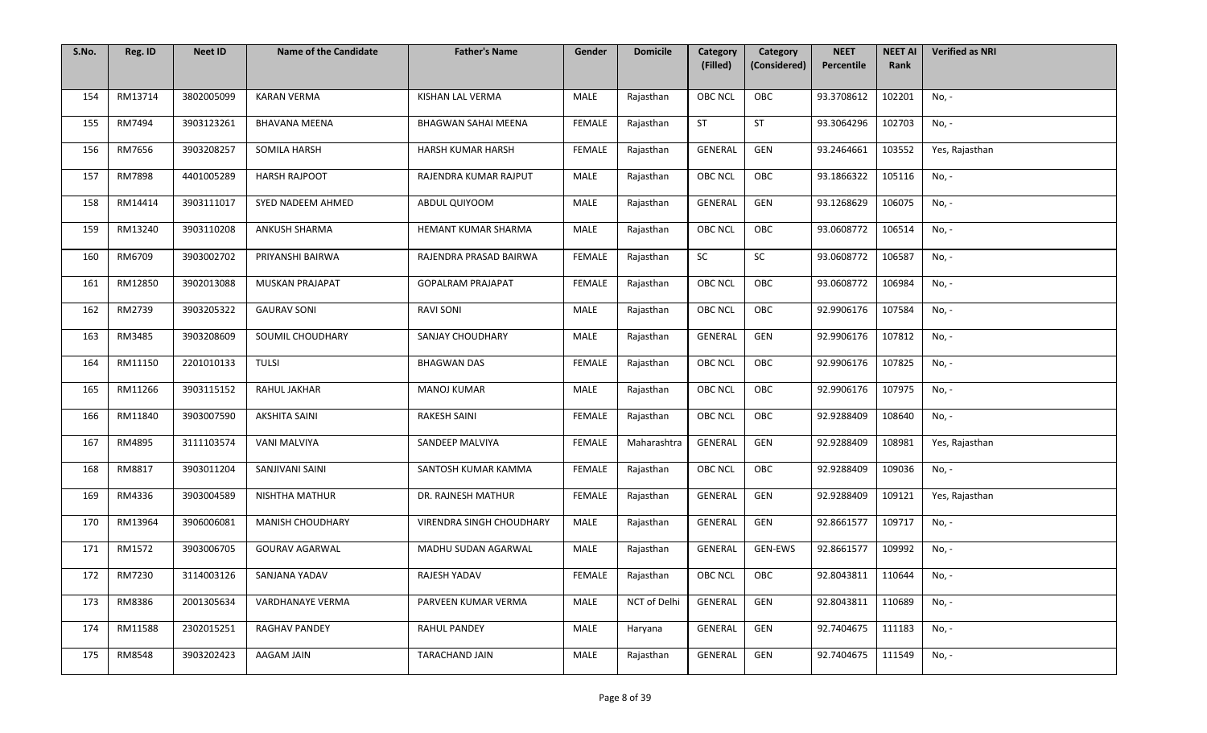| S.No. | Reg. ID | <b>Neet ID</b> | <b>Name of the Candidate</b> | <b>Father's Name</b>       | Gender        | <b>Domicile</b>     | Category<br>(Filled) | Category<br>(Considered) | <b>NEET</b><br>Percentile | <b>NEET AI</b><br>Rank | <b>Verified as NRI</b> |
|-------|---------|----------------|------------------------------|----------------------------|---------------|---------------------|----------------------|--------------------------|---------------------------|------------------------|------------------------|
|       |         |                |                              |                            |               |                     |                      |                          |                           |                        |                        |
| 154   | RM13714 | 3802005099     | <b>KARAN VERMA</b>           | KISHAN LAL VERMA           | MALE          | Rajasthan           | <b>OBC NCL</b>       | OBC                      | 93.3708612                | 102201                 | No, -                  |
| 155   | RM7494  | 3903123261     | <b>BHAVANA MEENA</b>         | <b>BHAGWAN SAHAI MEENA</b> | FEMALE        | Rajasthan           | <b>ST</b>            | <b>ST</b>                | 93.3064296                | 102703                 | No, -                  |
| 156   | RM7656  | 3903208257     | SOMILA HARSH                 | HARSH KUMAR HARSH          | <b>FEMALE</b> | Rajasthan           | GENERAL              | GEN                      | 93.2464661                | 103552                 | Yes, Rajasthan         |
| 157   | RM7898  | 4401005289     | <b>HARSH RAJPOOT</b>         | RAJENDRA KUMAR RAJPUT      | <b>MALE</b>   | Rajasthan           | <b>OBC NCL</b>       | OBC                      | 93.1866322                | 105116                 | No, -                  |
| 158   | RM14414 | 3903111017     | SYED NADEEM AHMED            | ABDUL QUIYOOM              | MALE          | Rajasthan           | GENERAL              | GEN                      | 93.1268629                | 106075                 | No, -                  |
| 159   | RM13240 | 3903110208     | <b>ANKUSH SHARMA</b>         | HEMANT KUMAR SHARMA        | <b>MALE</b>   | Rajasthan           | OBC NCL              | OBC                      | 93.0608772                | 106514                 | No, -                  |
| 160   | RM6709  | 3903002702     | PRIYANSHI BAIRWA             | RAJENDRA PRASAD BAIRWA     | <b>FEMALE</b> | Rajasthan           | SC                   | SC                       | 93.0608772                | 106587                 | No, -                  |
| 161   | RM12850 | 3902013088     | <b>MUSKAN PRAJAPAT</b>       | <b>GOPALRAM PRAJAPAT</b>   | <b>FEMALE</b> | Rajasthan           | <b>OBC NCL</b>       | OBC                      | 93.0608772                | 106984                 | No, -                  |
| 162   | RM2739  | 3903205322     | <b>GAURAV SONI</b>           | <b>RAVI SONI</b>           | <b>MALE</b>   | Rajasthan           | <b>OBC NCL</b>       | OBC                      | 92.9906176                | 107584                 | No, -                  |
| 163   | RM3485  | 3903208609     | SOUMIL CHOUDHARY             | SANJAY CHOUDHARY           | MALE          | Rajasthan           | GENERAL              | GEN                      | 92.9906176                | 107812                 | No, -                  |
| 164   | RM11150 | 2201010133     | <b>TULSI</b>                 | <b>BHAGWAN DAS</b>         | <b>FEMALE</b> | Rajasthan           | <b>OBC NCL</b>       | OBC                      | 92.9906176                | 107825                 | No, -                  |
| 165   | RM11266 | 3903115152     | RAHUL JAKHAR                 | <b>MANOJ KUMAR</b>         | MALE          | Rajasthan           | OBC NCL              | OBC                      | 92.9906176                | 107975                 | No, -                  |
| 166   | RM11840 | 3903007590     | <b>AKSHITA SAINI</b>         | RAKESH SAINI               | FEMALE        | Rajasthan           | OBC NCL              | OBC                      | 92.9288409                | 108640                 | No, -                  |
| 167   | RM4895  | 3111103574     | <b>VANI MALVIYA</b>          | SANDEEP MALVIYA            | FEMALE        | Maharashtra         | GENERAL              | GEN                      | 92.9288409                | 108981                 | Yes, Rajasthan         |
| 168   | RM8817  | 3903011204     | SANJIVANI SAINI              | SANTOSH KUMAR KAMMA        | <b>FEMALE</b> | Rajasthan           | <b>OBC NCL</b>       | OBC                      | 92.9288409                | 109036                 | No, -                  |
| 169   | RM4336  | 3903004589     | <b>NISHTHA MATHUR</b>        | DR. RAJNESH MATHUR         | <b>FEMALE</b> | Rajasthan           | GENERAL              | GEN                      | 92.9288409                | 109121                 | Yes, Rajasthan         |
| 170   | RM13964 | 3906006081     | MANISH CHOUDHARY             | VIRENDRA SINGH CHOUDHARY   | MALE          | Rajasthan           | GENERAL              | GEN                      | 92.8661577                | 109717                 | No, -                  |
| 171   | RM1572  | 3903006705     | <b>GOURAV AGARWAL</b>        | MADHU SUDAN AGARWAL        | <b>MALE</b>   | Rajasthan           | GENERAL              | GEN-EWS                  | 92.8661577                | 109992                 | No, -                  |
| 172   | RM7230  | 3114003126     | SANJANA YADAV                | RAJESH YADAV               | FEMALE        | Rajasthan           | OBC NCL              | OBC                      | 92.8043811                | 110644                 | No, -                  |
| 173   | RM8386  | 2001305634     | VARDHANAYE VERMA             | PARVEEN KUMAR VERMA        | MALE          | <b>NCT of Delhi</b> | GENERAL              | GEN                      | 92.8043811                | 110689                 | No, -                  |
| 174   | RM11588 | 2302015251     | <b>RAGHAV PANDEY</b>         | <b>RAHUL PANDEY</b>        | MALE          | Haryana             | GENERAL              | GEN                      | 92.7404675                | 111183                 | No, -                  |
| 175   | RM8548  | 3903202423     | AAGAM JAIN                   | TARACHAND JAIN             | <b>MALE</b>   | Rajasthan           | GENERAL              | GEN                      | 92.7404675                | 111549                 | No, -                  |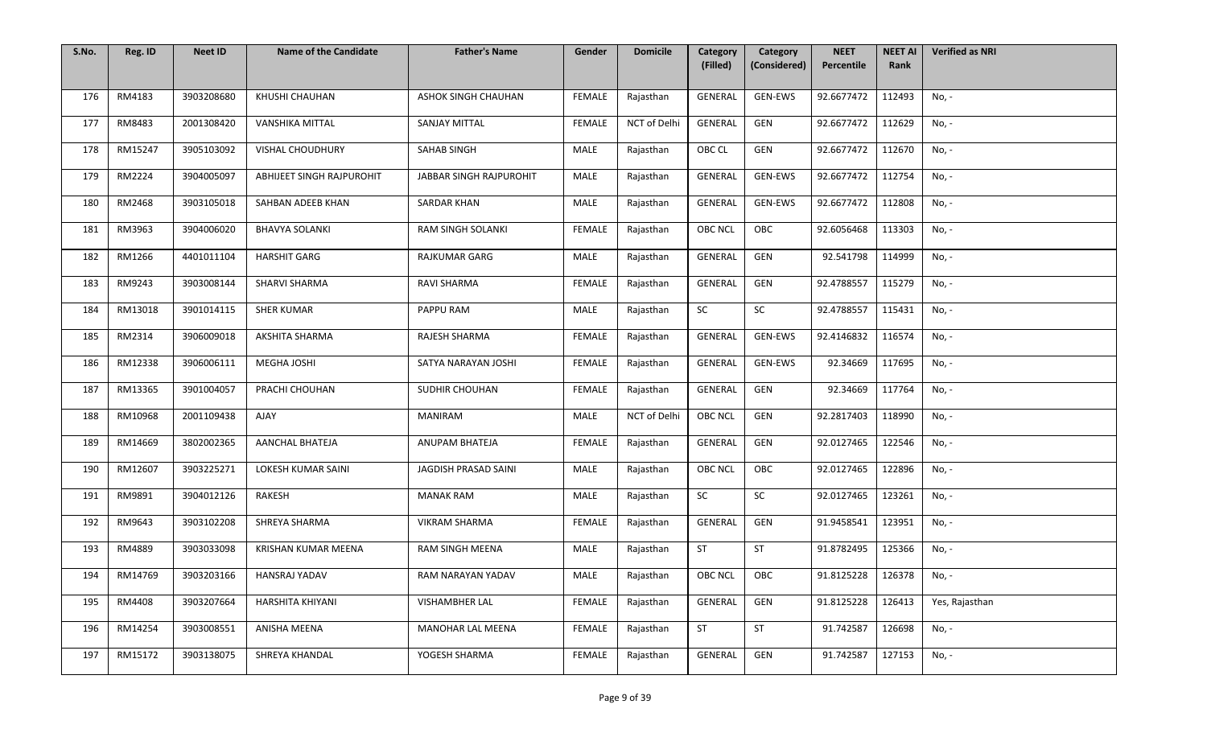| S.No. | Reg. ID | <b>Neet ID</b> | <b>Name of the Candidate</b> | <b>Father's Name</b>       | Gender        | <b>Domicile</b> | Category<br>(Filled) | Category<br>(Considered) | <b>NEET</b><br>Percentile | <b>NEET AI</b><br>Rank | <b>Verified as NRI</b> |
|-------|---------|----------------|------------------------------|----------------------------|---------------|-----------------|----------------------|--------------------------|---------------------------|------------------------|------------------------|
|       |         |                |                              |                            |               |                 |                      |                          |                           |                        |                        |
| 176   | RM4183  | 3903208680     | KHUSHI CHAUHAN               | <b>ASHOK SINGH CHAUHAN</b> | <b>FEMALE</b> | Rajasthan       | GENERAL              | GEN-EWS                  | 92.6677472                | 112493                 | No, -                  |
| 177   | RM8483  | 2001308420     | VANSHIKA MITTAL              | <b>SANJAY MITTAL</b>       | FEMALE        | NCT of Delhi    | GENERAL              | GEN                      | 92.6677472                | 112629                 | No, -                  |
| 178   | RM15247 | 3905103092     | <b>VISHAL CHOUDHURY</b>      | SAHAB SINGH                | MALE          | Rajasthan       | OBC CL               | GEN                      | 92.6677472                | 112670                 | No, -                  |
| 179   | RM2224  | 3904005097     | ABHIJEET SINGH RAJPUROHIT    | JABBAR SINGH RAJPUROHIT    | MALE          | Rajasthan       | GENERAL              | <b>GEN-EWS</b>           | 92.6677472                | 112754                 | No, -                  |
| 180   | RM2468  | 3903105018     | SAHBAN ADEEB KHAN            | <b>SARDAR KHAN</b>         | MALE          | Rajasthan       | GENERAL              | GEN-EWS                  | 92.6677472                | 112808                 | No, -                  |
| 181   | RM3963  | 3904006020     | <b>BHAVYA SOLANKI</b>        | RAM SINGH SOLANKI          | FEMALE        | Rajasthan       | <b>OBC NCL</b>       | OBC                      | 92.6056468                | 113303                 | No, -                  |
| 182   | RM1266  | 4401011104     | <b>HARSHIT GARG</b>          | RAJKUMAR GARG              | MALE          | Rajasthan       | GENERAL              | GEN                      | 92.541798                 | 114999                 | No, -                  |
| 183   | RM9243  | 3903008144     | SHARVI SHARMA                | RAVI SHARMA                | FEMALE        | Rajasthan       | GENERAL              | GEN                      | 92.4788557                | 115279                 | No, -                  |
| 184   | RM13018 | 3901014115     | <b>SHER KUMAR</b>            | PAPPU RAM                  | MALE          | Rajasthan       | SC                   | ${\sf SC}$               | 92.4788557                | 115431                 | No, -                  |
| 185   | RM2314  | 3906009018     | AKSHITA SHARMA               | RAJESH SHARMA              | FEMALE        | Rajasthan       | GENERAL              | GEN-EWS                  | 92.4146832                | 116574                 | No, -                  |
| 186   | RM12338 | 3906006111     | MEGHA JOSHI                  | SATYA NARAYAN JOSHI        | FEMALE        | Rajasthan       | GENERAL              | GEN-EWS                  | 92.34669                  | 117695                 | No, -                  |
| 187   | RM13365 | 3901004057     | PRACHI CHOUHAN               | SUDHIR CHOUHAN             | <b>FEMALE</b> | Rajasthan       | GENERAL              | GEN                      | 92.34669                  | 117764                 | No, -                  |
| 188   | RM10968 | 2001109438     | AJAY                         | <b>MANIRAM</b>             | MALE          | NCT of Delhi    | <b>OBC NCL</b>       | GEN                      | 92.2817403                | 118990                 | No, -                  |
| 189   | RM14669 | 3802002365     | AANCHAL BHATEJA              | ANUPAM BHATEJA             | <b>FEMALE</b> | Rajasthan       | GENERAL              | GEN                      | 92.0127465                | 122546                 | No, -                  |
| 190   | RM12607 | 3903225271     | LOKESH KUMAR SAINI           | JAGDISH PRASAD SAINI       | MALE          | Rajasthan       | <b>OBC NCL</b>       | OBC                      | 92.0127465                | 122896                 | No, -                  |
| 191   | RM9891  | 3904012126     | RAKESH                       | <b>MANAK RAM</b>           | MALE          | Rajasthan       | SC                   | SC                       | 92.0127465                | 123261                 | No, -                  |
| 192   | RM9643  | 3903102208     | SHREYA SHARMA                | <b>VIKRAM SHARMA</b>       | FEMALE        | Rajasthan       | GENERAL              | GEN                      | 91.9458541                | 123951                 | No, -                  |
| 193   | RM4889  | 3903033098     | KRISHAN KUMAR MEENA          | RAM SINGH MEENA            | MALE          | Rajasthan       | <b>ST</b>            | ST                       | 91.8782495                | 125366                 | No, -                  |
| 194   | RM14769 | 3903203166     | <b>HANSRAJ YADAV</b>         | RAM NARAYAN YADAV          | MALE          | Rajasthan       | OBC NCL              | OBC                      | 91.8125228                | 126378                 | No, -                  |
| 195   | RM4408  | 3903207664     | <b>HARSHITA KHIYANI</b>      | VISHAMBHER LAL             | FEMALE        | Rajasthan       | GENERAL              | GEN                      | 91.8125228                | 126413                 | Yes, Rajasthan         |
| 196   | RM14254 | 3903008551     | ANISHA MEENA                 | MANOHAR LAL MEENA          | FEMALE        | Rajasthan       | <b>ST</b>            | ST                       | 91.742587                 | 126698                 | No, -                  |
| 197   | RM15172 | 3903138075     | SHREYA KHANDAL               | YOGESH SHARMA              | <b>FEMALE</b> | Rajasthan       | GENERAL              | GEN                      | 91.742587                 | 127153                 | No, -                  |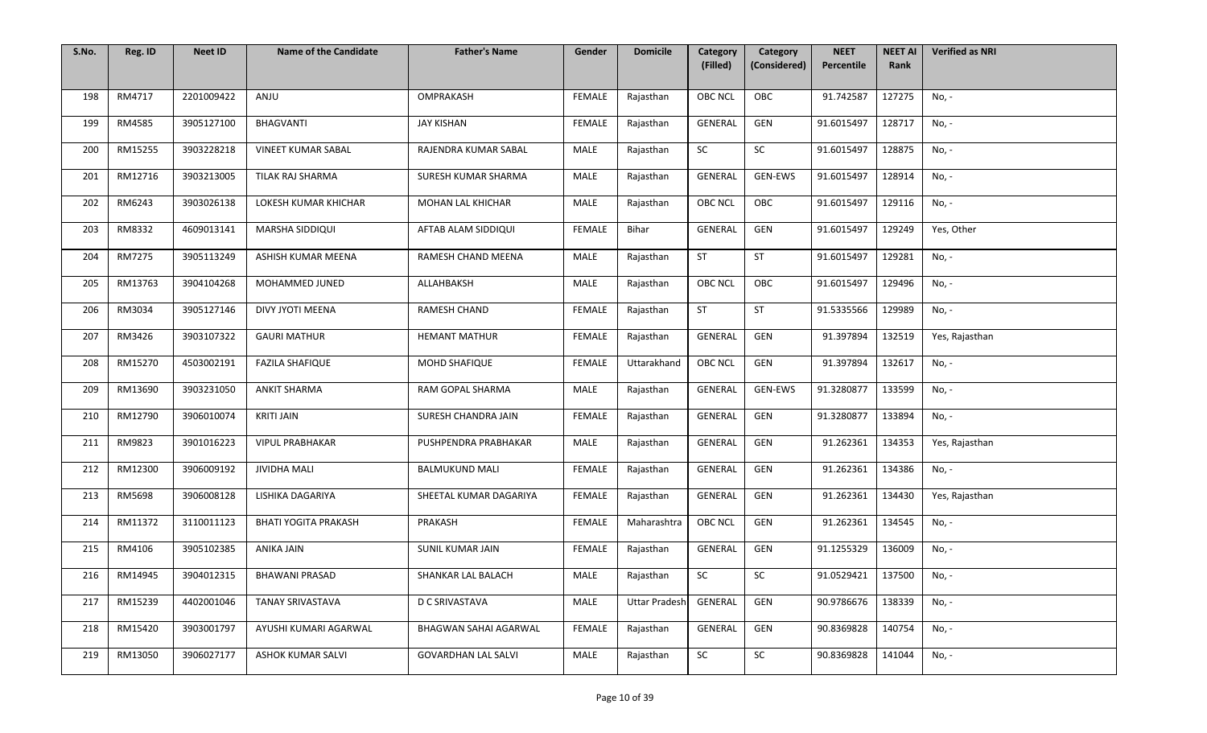| S.No. | Reg. ID | <b>Neet ID</b> | <b>Name of the Candidate</b> | <b>Father's Name</b>       | Gender        | <b>Domicile</b>      | Category<br>(Filled) | Category<br>(Considered) | <b>NEET</b><br>Percentile | <b>NEET AI</b><br>Rank | <b>Verified as NRI</b> |
|-------|---------|----------------|------------------------------|----------------------------|---------------|----------------------|----------------------|--------------------------|---------------------------|------------------------|------------------------|
|       |         |                |                              |                            |               |                      |                      |                          |                           |                        |                        |
| 198   | RM4717  | 2201009422     | ANJU                         | OMPRAKASH                  | <b>FEMALE</b> | Rajasthan            | <b>OBC NCL</b>       | OBC                      | 91.742587                 | 127275                 | No, -                  |
| 199   | RM4585  | 3905127100     | <b>BHAGVANTI</b>             | <b>JAY KISHAN</b>          | FEMALE        | Rajasthan            | GENERAL              | GEN                      | 91.6015497                | 128717                 | No, -                  |
| 200   | RM15255 | 3903228218     | <b>VINEET KUMAR SABAL</b>    | RAJENDRA KUMAR SABAL       | MALE          | Rajasthan            | SC                   | SC                       | 91.6015497                | 128875                 | No, -                  |
| 201   | RM12716 | 3903213005     | TILAK RAJ SHARMA             | SURESH KUMAR SHARMA        | MALE          | Rajasthan            | GENERAL              | <b>GEN-EWS</b>           | 91.6015497                | 128914                 | No, -                  |
| 202   | RM6243  | 3903026138     | LOKESH KUMAR KHICHAR         | MOHAN LAL KHICHAR          | MALE          | Rajasthan            | <b>OBC NCL</b>       | OBC                      | 91.6015497                | 129116                 | No, -                  |
| 203   | RM8332  | 4609013141     | MARSHA SIDDIQUI              | AFTAB ALAM SIDDIQUI        | FEMALE        | Bihar                | GENERAL              | GEN                      | 91.6015497                | 129249                 | Yes, Other             |
| 204   | RM7275  | 3905113249     | ASHISH KUMAR MEENA           | RAMESH CHAND MEENA         | MALE          | Rajasthan            | ST                   | ST                       | 91.6015497                | 129281                 | No, -                  |
| 205   | RM13763 | 3904104268     | MOHAMMED JUNED               | ALLAHBAKSH                 | MALE          | Rajasthan            | <b>OBC NCL</b>       | OBC                      | 91.6015497                | 129496                 | No, -                  |
| 206   | RM3034  | 3905127146     | DIVY JYOTI MEENA             | RAMESH CHAND               | <b>FEMALE</b> | Rajasthan            | ST                   | <b>ST</b>                | 91.5335566                | 129989                 | No, -                  |
| 207   | RM3426  | 3903107322     | <b>GAURI MATHUR</b>          | <b>HEMANT MATHUR</b>       | FEMALE        | Rajasthan            | GENERAL              | GEN                      | 91.397894                 | 132519                 | Yes, Rajasthan         |
| 208   | RM15270 | 4503002191     | <b>FAZILA SHAFIQUE</b>       | MOHD SHAFIQUE              | <b>FEMALE</b> | Uttarakhand          | OBC NCL              | GEN                      | 91.397894                 | 132617                 | No, -                  |
| 209   | RM13690 | 3903231050     | <b>ANKIT SHARMA</b>          | RAM GOPAL SHARMA           | MALE          | Rajasthan            | GENERAL              | GEN-EWS                  | 91.3280877                | 133599                 | No, -                  |
| 210   | RM12790 | 3906010074     | KRITI JAIN                   | SURESH CHANDRA JAIN        | FEMALE        | Rajasthan            | <b>GENERAL</b>       | GEN                      | 91.3280877                | 133894                 | No, -                  |
| 211   | RM9823  | 3901016223     | <b>VIPUL PRABHAKAR</b>       | PUSHPENDRA PRABHAKAR       | <b>MALE</b>   | Rajasthan            | GENERAL              | GEN                      | 91.262361                 | 134353                 | Yes, Rajasthan         |
| 212   | RM12300 | 3906009192     | <b>JIVIDHA MALI</b>          | <b>BALMUKUND MALI</b>      | FEMALE        | Rajasthan            | GENERAL              | GEN                      | 91.262361                 | 134386                 | No, -                  |
| 213   | RM5698  | 3906008128     | LISHIKA DAGARIYA             | SHEETAL KUMAR DAGARIYA     | FEMALE        | Rajasthan            | GENERAL              | GEN                      | 91.262361                 | 134430                 | Yes, Rajasthan         |
| 214   | RM11372 | 3110011123     | <b>BHATI YOGITA PRAKASH</b>  | PRAKASH                    | FEMALE        | Maharashtra          | <b>OBC NCL</b>       | GEN                      | 91.262361                 | 134545                 | No, -                  |
| 215   | RM4106  | 3905102385     | ANIKA JAIN                   | SUNIL KUMAR JAIN           | <b>FEMALE</b> | Rajasthan            | GENERAL              | GEN                      | 91.1255329                | 136009                 | No, -                  |
| 216   | RM14945 | 3904012315     | <b>BHAWANI PRASAD</b>        | SHANKAR LAL BALACH         | MALE          | Rajasthan            | SC                   | SC                       | 91.0529421                | 137500                 | No, -                  |
| 217   | RM15239 | 4402001046     | TANAY SRIVASTAVA             | <b>D C SRIVASTAVA</b>      | MALE          | <b>Uttar Pradesh</b> | GENERAL              | GEN                      | 90.9786676                | 138339                 | No, -                  |
| 218   | RM15420 | 3903001797     | AYUSHI KUMARI AGARWAL        | BHAGWAN SAHAI AGARWAL      | <b>FEMALE</b> | Rajasthan            | GENERAL              | GEN                      | 90.8369828                | 140754                 | No, -                  |
| 219   | RM13050 | 3906027177     | ASHOK KUMAR SALVI            | <b>GOVARDHAN LAL SALVI</b> | MALE          | Rajasthan            | SC                   | SC                       | 90.8369828                | 141044                 | No, -                  |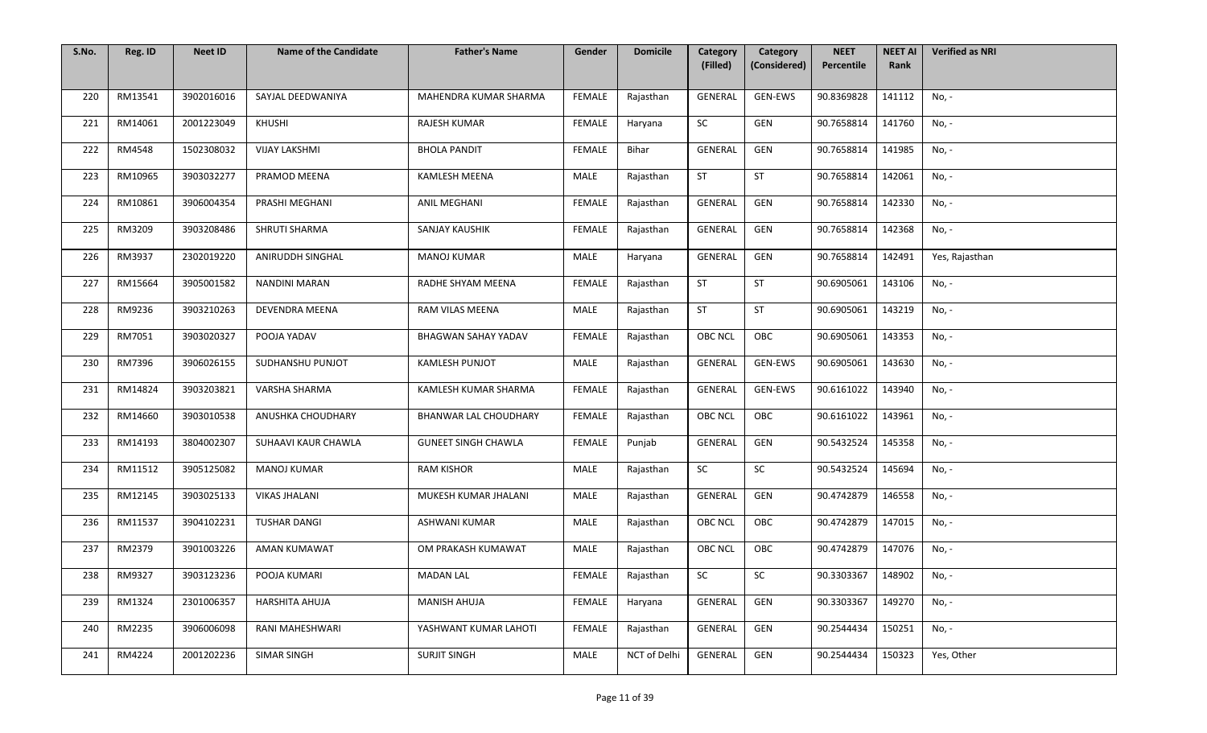| S.No. | Reg. ID | <b>Neet ID</b> | <b>Name of the Candidate</b> | <b>Father's Name</b>         | Gender        | <b>Domicile</b> | Category<br>(Filled) | Category<br>(Considered) | <b>NEET</b><br>Percentile | <b>NEET AI</b><br>Rank | <b>Verified as NRI</b> |
|-------|---------|----------------|------------------------------|------------------------------|---------------|-----------------|----------------------|--------------------------|---------------------------|------------------------|------------------------|
|       |         |                |                              |                              |               |                 |                      |                          |                           |                        |                        |
| 220   | RM13541 | 3902016016     | SAYJAL DEEDWANIYA            | MAHENDRA KUMAR SHARMA        | <b>FEMALE</b> | Rajasthan       | GENERAL              | GEN-EWS                  | 90.8369828                | 141112                 | No, -                  |
| 221   | RM14061 | 2001223049     | KHUSHI                       | <b>RAJESH KUMAR</b>          | FEMALE        | Haryana         | SC                   | GEN                      | 90.7658814                | 141760                 | No, -                  |
| 222   | RM4548  | 1502308032     | <b>VIJAY LAKSHMI</b>         | <b>BHOLA PANDIT</b>          | <b>FEMALE</b> | Bihar           | GENERAL              | GEN                      | 90.7658814                | 141985                 | No, -                  |
| 223   | RM10965 | 3903032277     | PRAMOD MEENA                 | <b>KAMLESH MEENA</b>         | MALE          | Rajasthan       | <b>ST</b>            | <b>ST</b>                | 90.7658814                | 142061                 | No, -                  |
| 224   | RM10861 | 3906004354     | PRASHI MEGHANI               | ANIL MEGHANI                 | <b>FEMALE</b> | Rajasthan       | GENERAL              | GEN                      | 90.7658814                | 142330                 | No, -                  |
| 225   | RM3209  | 3903208486     | SHRUTI SHARMA                | SANJAY KAUSHIK               | FEMALE        | Rajasthan       | GENERAL              | GEN                      | 90.7658814                | 142368                 | No, -                  |
| 226   | RM3937  | 2302019220     | ANIRUDDH SINGHAL             | <b>MANOJ KUMAR</b>           | MALE          | Haryana         | GENERAL              | GEN                      | 90.7658814                | 142491                 | Yes, Rajasthan         |
| 227   | RM15664 | 3905001582     | NANDINI MARAN                | RADHE SHYAM MEENA            | <b>FEMALE</b> | Rajasthan       | <b>ST</b>            | ST                       | 90.6905061                | 143106                 | No, -                  |
| 228   | RM9236  | 3903210263     | DEVENDRA MEENA               | RAM VILAS MEENA              | MALE          | Rajasthan       | ST                   | <b>ST</b>                | 90.6905061                | 143219                 | No, -                  |
| 229   | RM7051  | 3903020327     | POOJA YADAV                  | BHAGWAN SAHAY YADAV          | FEMALE        | Rajasthan       | <b>OBC NCL</b>       | OBC                      | 90.6905061                | 143353                 | No, -                  |
| 230   | RM7396  | 3906026155     | SUDHANSHU PUNJOT             | <b>KAMLESH PUNJOT</b>        | MALE          | Rajasthan       | GENERAL              | GEN-EWS                  | 90.6905061                | 143630                 | No, -                  |
| 231   | RM14824 | 3903203821     | VARSHA SHARMA                | KAMLESH KUMAR SHARMA         | <b>FEMALE</b> | Rajasthan       | GENERAL              | GEN-EWS                  | 90.6161022                | 143940                 | No, -                  |
| 232   | RM14660 | 3903010538     | ANUSHKA CHOUDHARY            | <b>BHANWAR LAL CHOUDHARY</b> | FEMALE        | Rajasthan       | <b>OBC NCL</b>       | OBC                      | 90.6161022                | 143961                 | No, -                  |
| 233   | RM14193 | 3804002307     | SUHAAVI KAUR CHAWLA          | <b>GUNEET SINGH CHAWLA</b>   | <b>FEMALE</b> | Punjab          | GENERAL              | GEN                      | 90.5432524                | 145358                 | No, -                  |
| 234   | RM11512 | 3905125082     | <b>MANOJ KUMAR</b>           | <b>RAM KISHOR</b>            | MALE          | Rajasthan       | SC                   | SC                       | 90.5432524                | 145694                 | No, -                  |
| 235   | RM12145 | 3903025133     | <b>VIKAS JHALANI</b>         | MUKESH KUMAR JHALANI         | MALE          | Rajasthan       | GENERAL              | GEN                      | 90.4742879                | 146558                 | No, -                  |
| 236   | RM11537 | 3904102231     | <b>TUSHAR DANGI</b>          | <b>ASHWANI KUMAR</b>         | MALE          | Rajasthan       | <b>OBC NCL</b>       | OBC                      | 90.4742879                | 147015                 | No, -                  |
| 237   | RM2379  | 3901003226     | AMAN KUMAWAT                 | OM PRAKASH KUMAWAT           | MALE          | Rajasthan       | <b>OBC NCL</b>       | OBC                      | 90.4742879                | 147076                 | No, -                  |
| 238   | RM9327  | 3903123236     | POOJA KUMARI                 | <b>MADAN LAL</b>             | FEMALE        | Rajasthan       | SC                   | SC                       | 90.3303367                | 148902                 | No, -                  |
| 239   | RM1324  | 2301006357     | HARSHITA AHUJA               | <b>MANISH AHUJA</b>          | FEMALE        | Haryana         | GENERAL              | GEN                      | 90.3303367                | 149270                 | No, -                  |
| 240   | RM2235  | 3906006098     | RANI MAHESHWARI              | YASHWANT KUMAR LAHOTI        | <b>FEMALE</b> | Rajasthan       | GENERAL              | GEN                      | 90.2544434                | 150251                 | No, -                  |
| 241   | RM4224  | 2001202236     | SIMAR SINGH                  | <b>SURJIT SINGH</b>          | MALE          | NCT of Delhi    | GENERAL              | GEN                      | 90.2544434                | 150323                 | Yes, Other             |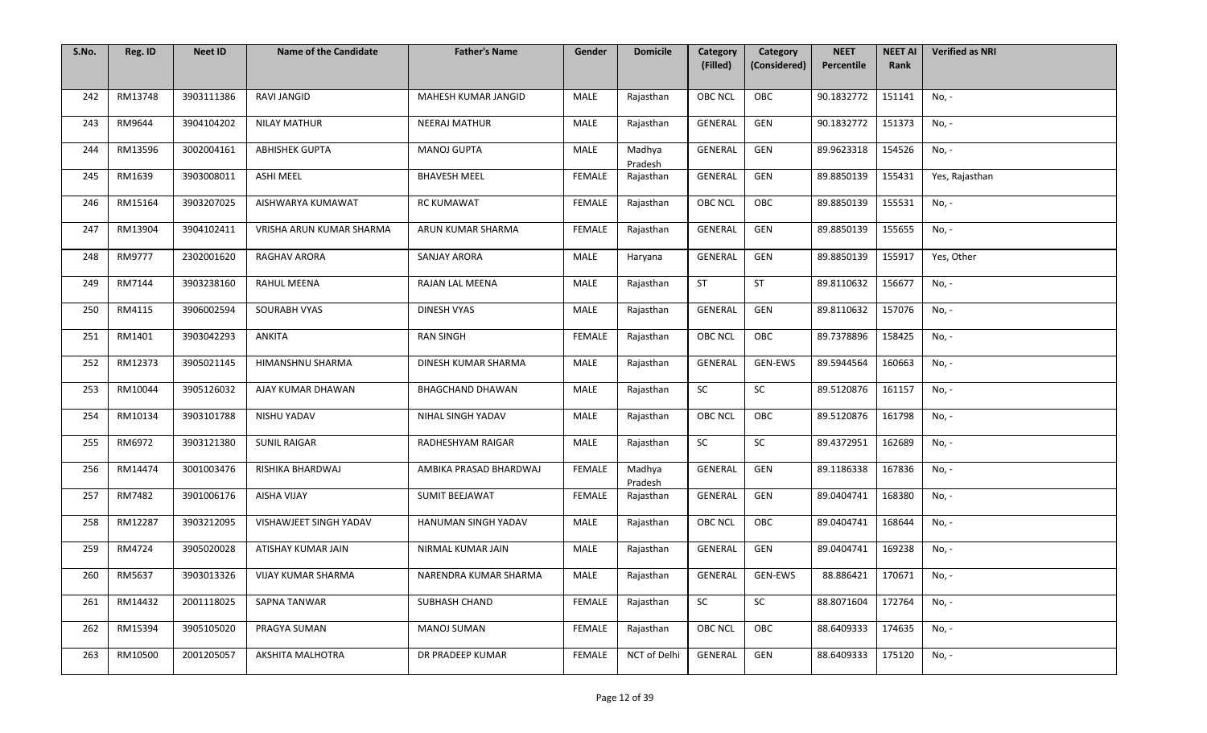| S.No. | Reg. ID | <b>Neet ID</b> | <b>Name of the Candidate</b> | <b>Father's Name</b>   | Gender        | <b>Domicile</b>   | Category<br>(Filled) | Category<br>(Considered) | <b>NEET</b><br>Percentile | <b>NEET AI</b><br>Rank | <b>Verified as NRI</b> |
|-------|---------|----------------|------------------------------|------------------------|---------------|-------------------|----------------------|--------------------------|---------------------------|------------------------|------------------------|
|       |         |                |                              |                        |               |                   |                      |                          |                           |                        |                        |
| 242   | RM13748 | 3903111386     | <b>RAVI JANGID</b>           | MAHESH KUMAR JANGID    | MALE          | Rajasthan         | <b>OBC NCL</b>       | OBC                      | 90.1832772                | 151141                 | No, -                  |
| 243   | RM9644  | 3904104202     | <b>NILAY MATHUR</b>          | <b>NEERAJ MATHUR</b>   | MALE          | Rajasthan         | GENERAL              | GEN                      | 90.1832772                | 151373                 | No, -                  |
| 244   | RM13596 | 3002004161     | <b>ABHISHEK GUPTA</b>        | <b>MANOJ GUPTA</b>     | MALE          | Madhya<br>Pradesh | GENERAL              | GEN                      | 89.9623318                | 154526                 | No, -                  |
| 245   | RM1639  | 3903008011     | <b>ASHI MEEL</b>             | <b>BHAVESH MEEL</b>    | <b>FEMALE</b> | Rajasthan         | GENERAL              | GEN                      | 89.8850139                | 155431                 | Yes, Rajasthan         |
| 246   | RM15164 | 3903207025     | AISHWARYA KUMAWAT            | <b>RC KUMAWAT</b>      | <b>FEMALE</b> | Rajasthan         | <b>OBC NCL</b>       | OBC                      | 89.8850139                | 155531                 | No, -                  |
| 247   | RM13904 | 3904102411     | VRISHA ARUN KUMAR SHARMA     | ARUN KUMAR SHARMA      | FEMALE        | Rajasthan         | GENERAL              | GEN                      | 89.8850139                | 155655                 | No, -                  |
| 248   | RM9777  | 2302001620     | RAGHAV ARORA                 | <b>SANJAY ARORA</b>    | MALE          | Haryana           | GENERAL              | GEN                      | 89.8850139                | 155917                 | Yes, Other             |
| 249   | RM7144  | 3903238160     | RAHUL MEENA                  | RAJAN LAL MEENA        | MALE          | Rajasthan         | ST                   | ST                       | 89.8110632                | 156677                 | No, -                  |
| 250   | RM4115  | 3906002594     | SOURABH VYAS                 | <b>DINESH VYAS</b>     | MALE          | Rajasthan         | GENERAL              | GEN                      | 89.8110632                | 157076                 | No, -                  |
| 251   | RM1401  | 3903042293     | ANKITA                       | <b>RAN SINGH</b>       | FEMALE        | Rajasthan         | <b>OBC NCL</b>       | OBC                      | 89.7378896                | 158425                 | No, -                  |
| 252   | RM12373 | 3905021145     | HIMANSHNU SHARMA             | DINESH KUMAR SHARMA    | MALE          | Rajasthan         | GENERAL              | GEN-EWS                  | 89.5944564                | 160663                 | No, -                  |
| 253   | RM10044 | 3905126032     | AJAY KUMAR DHAWAN            | BHAGCHAND DHAWAN       | <b>MALE</b>   | Rajasthan         | SC                   | SC                       | 89.5120876                | 161157                 | No, -                  |
| 254   | RM10134 | 3903101788     | NISHU YADAV                  | NIHAL SINGH YADAV      | MALE          | Rajasthan         | <b>OBC NCL</b>       | OBC                      | 89.5120876                | 161798                 | No, -                  |
| 255   | RM6972  | 3903121380     | <b>SUNIL RAIGAR</b>          | RADHESHYAM RAIGAR      | MALE          | Rajasthan         | SC                   | SC                       | 89.4372951                | 162689                 | No, -                  |
| 256   | RM14474 | 3001003476     | RISHIKA BHARDWAJ             | AMBIKA PRASAD BHARDWAJ | FEMALE        | Madhya<br>Pradesh | GENERAL              | GEN                      | 89.1186338                | 167836                 | No, -                  |
| 257   | RM7482  | 3901006176     | <b>AISHA VIJAY</b>           | SUMIT BEEJAWAT         | FEMALE        | Rajasthan         | GENERAL              | GEN                      | 89.0404741                | 168380                 | No, -                  |
| 258   | RM12287 | 3903212095     | VISHAWJEET SINGH YADAV       | HANUMAN SINGH YADAV    | MALE          | Rajasthan         | <b>OBC NCL</b>       | OBC                      | 89.0404741                | 168644                 | No, -                  |
| 259   | RM4724  | 3905020028     | ATISHAY KUMAR JAIN           | NIRMAL KUMAR JAIN      | MALE          | Rajasthan         | GENERAL              | GEN                      | 89.0404741                | 169238                 | No, -                  |
| 260   | RM5637  | 3903013326     | VIJAY KUMAR SHARMA           | NARENDRA KUMAR SHARMA  | MALE          | Rajasthan         | GENERAL              | GEN-EWS                  | 88.886421                 | 170671                 | No, -                  |
| 261   | RM14432 | 2001118025     | SAPNA TANWAR                 | SUBHASH CHAND          | FEMALE        | Rajasthan         | SC                   | SC                       | 88.8071604                | 172764                 | No, -                  |
| 262   | RM15394 | 3905105020     | PRAGYA SUMAN                 | <b>MANOJ SUMAN</b>     | <b>FEMALE</b> | Rajasthan         | <b>OBC NCL</b>       | OBC                      | 88.6409333                | 174635                 | No, -                  |
| 263   | RM10500 | 2001205057     | AKSHITA MALHOTRA             | DR PRADEEP KUMAR       | <b>FEMALE</b> | NCT of Delhi      | GENERAL              | GEN                      | 88.6409333                | 175120                 | No, -                  |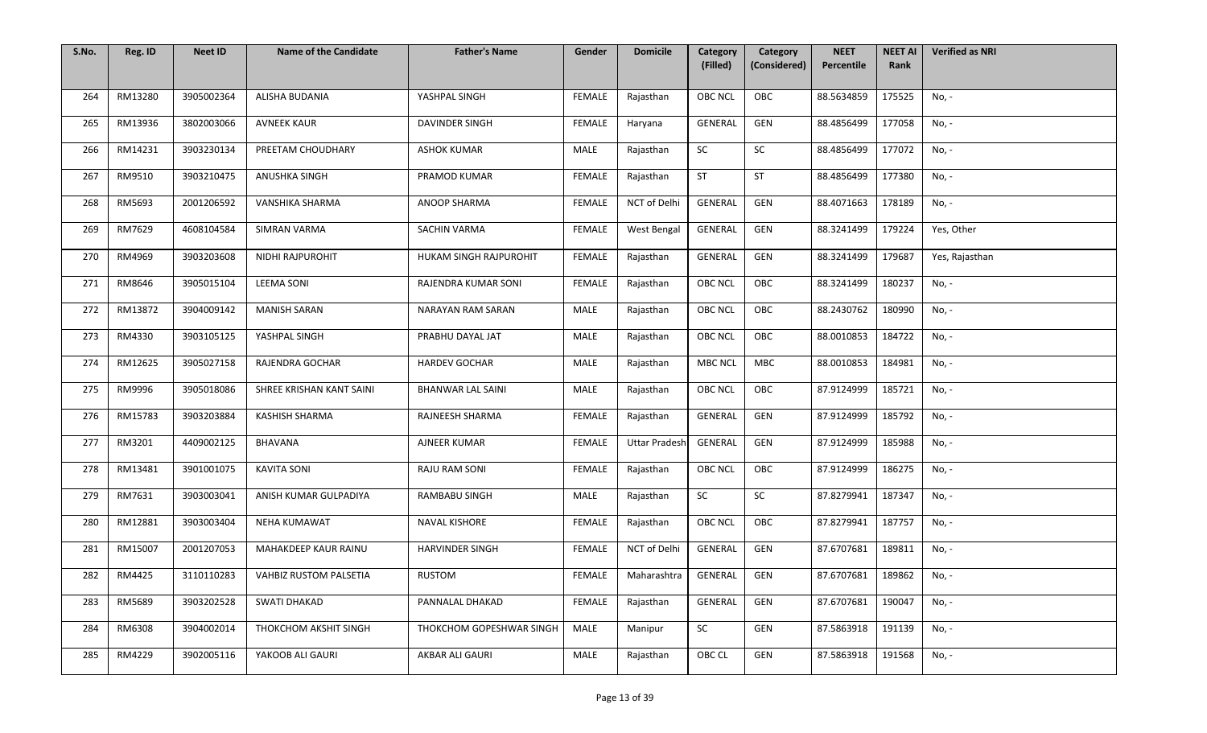| S.No. | Reg. ID | <b>Neet ID</b> | <b>Name of the Candidate</b> | <b>Father's Name</b>     | Gender        | <b>Domicile</b>      | Category<br>(Filled) | Category<br>(Considered) | <b>NEET</b><br>Percentile | <b>NEET AI</b><br>Rank | <b>Verified as NRI</b> |
|-------|---------|----------------|------------------------------|--------------------------|---------------|----------------------|----------------------|--------------------------|---------------------------|------------------------|------------------------|
|       |         |                |                              |                          |               |                      |                      |                          |                           |                        |                        |
| 264   | RM13280 | 3905002364     | ALISHA BUDANIA               | YASHPAL SINGH            | <b>FEMALE</b> | Rajasthan            | <b>OBC NCL</b>       | OBC                      | 88.5634859                | 175525                 | No, -                  |
| 265   | RM13936 | 3802003066     | <b>AVNEEK KAUR</b>           | DAVINDER SINGH           | FEMALE        | Haryana              | GENERAL              | GEN                      | 88.4856499                | 177058                 | No, -                  |
| 266   | RM14231 | 3903230134     | PREETAM CHOUDHARY            | <b>ASHOK KUMAR</b>       | MALE          | Rajasthan            | SC                   | SC                       | 88.4856499                | 177072                 | No, -                  |
| 267   | RM9510  | 3903210475     | <b>ANUSHKA SINGH</b>         | PRAMOD KUMAR             | <b>FEMALE</b> | Rajasthan            | <b>ST</b>            | <b>ST</b>                | 88.4856499                | 177380                 | No, -                  |
| 268   | RM5693  | 2001206592     | VANSHIKA SHARMA              | ANOOP SHARMA             | FEMALE        | NCT of Delhi         | GENERAL              | GEN                      | 88.4071663                | 178189                 | No, -                  |
| 269   | RM7629  | 4608104584     | <b>SIMRAN VARMA</b>          | SACHIN VARMA             | FEMALE        | West Bengal          | GENERAL              | GEN                      | 88.3241499                | 179224                 | Yes, Other             |
| 270   | RM4969  | 3903203608     | NIDHI RAJPUROHIT             | HUKAM SINGH RAJPUROHIT   | FEMALE        | Rajasthan            | GENERAL              | GEN                      | 88.3241499                | 179687                 | Yes, Rajasthan         |
| 271   | RM8646  | 3905015104     | <b>LEEMA SONI</b>            | RAJENDRA KUMAR SONI      | FEMALE        | Rajasthan            | <b>OBC NCL</b>       | OBC                      | 88.3241499                | 180237                 | No, -                  |
| 272   | RM13872 | 3904009142     | <b>MANISH SARAN</b>          | NARAYAN RAM SARAN        | <b>MALE</b>   | Rajasthan            | <b>OBC NCL</b>       | OBC                      | 88.2430762                | 180990                 | No, -                  |
| 273   | RM4330  | 3903105125     | YASHPAL SINGH                | PRABHU DAYAL JAT         | MALE          | Rajasthan            | <b>OBC NCL</b>       | OBC                      | 88.0010853                | 184722                 | No, -                  |
| 274   | RM12625 | 3905027158     | RAJENDRA GOCHAR              | <b>HARDEV GOCHAR</b>     | <b>MALE</b>   | Rajasthan            | <b>MBC NCL</b>       | MBC                      | 88.0010853                | 184981                 | No, -                  |
| 275   | RM9996  | 3905018086     | SHREE KRISHAN KANT SAINI     | <b>BHANWAR LAL SAINI</b> | MALE          | Rajasthan            | <b>OBC NCL</b>       | OBC                      | 87.9124999                | 185721                 | No, -                  |
| 276   | RM15783 | 3903203884     | <b>KASHISH SHARMA</b>        | RAJNEESH SHARMA          | <b>FEMALE</b> | Rajasthan            | <b>GENERAL</b>       | GEN                      | 87.9124999                | 185792                 | No, -                  |
| 277   | RM3201  | 4409002125     | BHAVANA                      | AJNEER KUMAR             | <b>FEMALE</b> | <b>Uttar Pradesh</b> | GENERAL              | GEN                      | 87.9124999                | 185988                 | No, -                  |
| 278   | RM13481 | 3901001075     | <b>KAVITA SONI</b>           | RAJU RAM SONI            | FEMALE        | Rajasthan            | <b>OBC NCL</b>       | OBC                      | 87.9124999                | 186275                 | No, -                  |
| 279   | RM7631  | 3903003041     | ANISH KUMAR GULPADIYA        | RAMBABU SINGH            | MALE          | Rajasthan            | SC                   | SC                       | 87.8279941                | 187347                 | No, -                  |
| 280   | RM12881 | 3903003404     | <b>NEHA KUMAWAT</b>          | <b>NAVAL KISHORE</b>     | <b>FEMALE</b> | Rajasthan            | <b>OBC NCL</b>       | OBC                      | 87.8279941                | 187757                 | No, -                  |
| 281   | RM15007 | 2001207053     | MAHAKDEEP KAUR RAINU         | <b>HARVINDER SINGH</b>   | <b>FEMALE</b> | NCT of Delhi         | GENERAL              | GEN                      | 87.6707681                | 189811                 | No, -                  |
| 282   | RM4425  | 3110110283     | VAHBIZ RUSTOM PALSETIA       | <b>RUSTOM</b>            | FEMALE        | Maharashtra          | GENERAL              | GEN                      | 87.6707681                | 189862                 | No, -                  |
| 283   | RM5689  | 3903202528     | SWATI DHAKAD                 | PANNALAL DHAKAD          | FEMALE        | Rajasthan            | GENERAL              | GEN                      | 87.6707681                | 190047                 | No, -                  |
| 284   | RM6308  | 3904002014     | THOKCHOM AKSHIT SINGH        | THOKCHOM GOPESHWAR SINGH | MALE          | Manipur              | SC                   | GEN                      | 87.5863918                | 191139                 | No, -                  |
| 285   | RM4229  | 3902005116     | YAKOOB ALI GAURI             | AKBAR ALI GAURI          | MALE          | Rajasthan            | OBC CL               | GEN                      | 87.5863918                | 191568                 | No, -                  |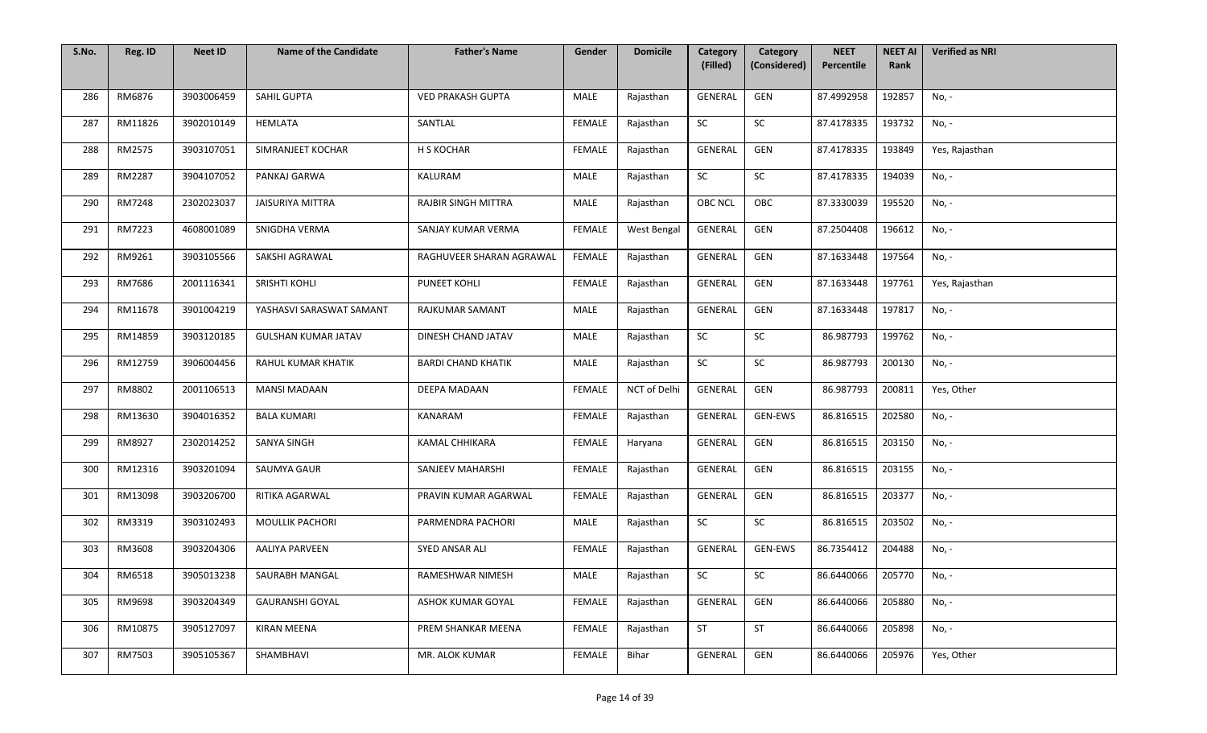| S.No. | Reg. ID | <b>Neet ID</b> | <b>Name of the Candidate</b> | <b>Father's Name</b>      | Gender        | <b>Domicile</b> | Category<br>(Filled) | Category<br>(Considered) | <b>NEET</b><br>Percentile | <b>NEET AI</b><br>Rank | <b>Verified as NRI</b> |
|-------|---------|----------------|------------------------------|---------------------------|---------------|-----------------|----------------------|--------------------------|---------------------------|------------------------|------------------------|
|       |         |                |                              |                           |               |                 |                      |                          |                           |                        |                        |
| 286   | RM6876  | 3903006459     | SAHIL GUPTA                  | <b>VED PRAKASH GUPTA</b>  | MALE          | Rajasthan       | GENERAL              | GEN                      | 87.4992958                | 192857                 | No, -                  |
| 287   | RM11826 | 3902010149     | HEMLATA                      | SANTLAL                   | <b>FEMALE</b> | Rajasthan       | SC                   | SC                       | 87.4178335                | 193732                 | No, -                  |
| 288   | RM2575  | 3903107051     | SIMRANJEET KOCHAR            | H S KOCHAR                | <b>FEMALE</b> | Rajasthan       | GENERAL              | GEN                      | 87.4178335                | 193849                 | Yes, Rajasthan         |
| 289   | RM2287  | 3904107052     | PANKAJ GARWA                 | KALURAM                   | MALE          | Rajasthan       | SC                   | SC                       | 87.4178335                | 194039                 | No, -                  |
| 290   | RM7248  | 2302023037     | <b>JAISURIYA MITTRA</b>      | RAJBIR SINGH MITTRA       | MALE          | Rajasthan       | OBC NCL              | OBC                      | 87.3330039                | 195520                 | No, -                  |
| 291   | RM7223  | 4608001089     | SNIGDHA VERMA                | SANJAY KUMAR VERMA        | <b>FEMALE</b> | West Bengal     | GENERAL              | GEN                      | 87.2504408                | 196612                 | No, -                  |
| 292   | RM9261  | 3903105566     | SAKSHI AGRAWAL               | RAGHUVEER SHARAN AGRAWAL  | <b>FEMALE</b> | Rajasthan       | GENERAL              | GEN                      | 87.1633448                | 197564                 | No, -                  |
| 293   | RM7686  | 2001116341     | SRISHTI KOHLI                | PUNEET KOHLI              | <b>FEMALE</b> | Rajasthan       | GENERAL              | GEN                      | 87.1633448                | 197761                 | Yes, Rajasthan         |
| 294   | RM11678 | 3901004219     | YASHASVI SARASWAT SAMANT     | RAJKUMAR SAMANT           | MALE          | Rajasthan       | GENERAL              | GEN                      | 87.1633448                | 197817                 | No, -                  |
| 295   | RM14859 | 3903120185     | <b>GULSHAN KUMAR JATAV</b>   | DINESH CHAND JATAV        | MALE          | Rajasthan       | SC                   | SC                       | 86.987793                 | 199762                 | No, -                  |
| 296   | RM12759 | 3906004456     | RAHUL KUMAR KHATIK           | <b>BARDI CHAND KHATIK</b> | MALE          | Rajasthan       | SC                   | SC                       | 86.987793                 | 200130                 | No, -                  |
| 297   | RM8802  | 2001106513     | <b>MANSI MADAAN</b>          | DEEPA MADAAN              | FEMALE        | NCT of Delhi    | GENERAL              | GEN                      | 86.987793                 | 200811                 | Yes, Other             |
| 298   | RM13630 | 3904016352     | <b>BALA KUMARI</b>           | KANARAM                   | <b>FEMALE</b> | Rajasthan       | GENERAL              | <b>GEN-EWS</b>           | 86.816515                 | 202580                 | No, -                  |
| 299   | RM8927  | 2302014252     | <b>SANYA SINGH</b>           | <b>KAMAL CHHIKARA</b>     | <b>FEMALE</b> | Haryana         | GENERAL              | GEN                      | 86.816515                 | 203150                 | No, -                  |
| 300   | RM12316 | 3903201094     | SAUMYA GAUR                  | SANJEEV MAHARSHI          | FEMALE        | Rajasthan       | GENERAL              | GEN                      | 86.816515                 | 203155                 | No, -                  |
| 301   | RM13098 | 3903206700     | RITIKA AGARWAL               | PRAVIN KUMAR AGARWAL      | <b>FEMALE</b> | Rajasthan       | GENERAL              | GEN                      | 86.816515                 | 203377                 | No, -                  |
| 302   | RM3319  | 3903102493     | <b>MOULLIK PACHORI</b>       | PARMENDRA PACHORI         | MALE          | Rajasthan       | SC                   | SC                       | 86.816515                 | 203502                 | No, -                  |
| 303   | RM3608  | 3903204306     | <b>AALIYA PARVEEN</b>        | SYED ANSAR ALI            | <b>FEMALE</b> | Rajasthan       | GENERAL              | GEN-EWS                  | 86.7354412                | 204488                 | No, -                  |
| 304   | RM6518  | 3905013238     | SAURABH MANGAL               | RAMESHWAR NIMESH          | MALE          | Rajasthan       | SC                   | SC                       | 86.6440066                | 205770                 | No, -                  |
| 305   | RM9698  | 3903204349     | <b>GAURANSHI GOYAL</b>       | ASHOK KUMAR GOYAL         | FEMALE        | Rajasthan       | GENERAL              | GEN                      | 86.6440066                | 205880                 | No, -                  |
| 306   | RM10875 | 3905127097     | <b>KIRAN MEENA</b>           | PREM SHANKAR MEENA        | <b>FEMALE</b> | Rajasthan       | <b>ST</b>            | ST                       | 86.6440066                | 205898                 | No, -                  |
| 307   | RM7503  | 3905105367     | SHAMBHAVI                    | MR. ALOK KUMAR            | FEMALE        | Bihar           | GENERAL              | GEN                      | 86.6440066                | 205976                 | Yes, Other             |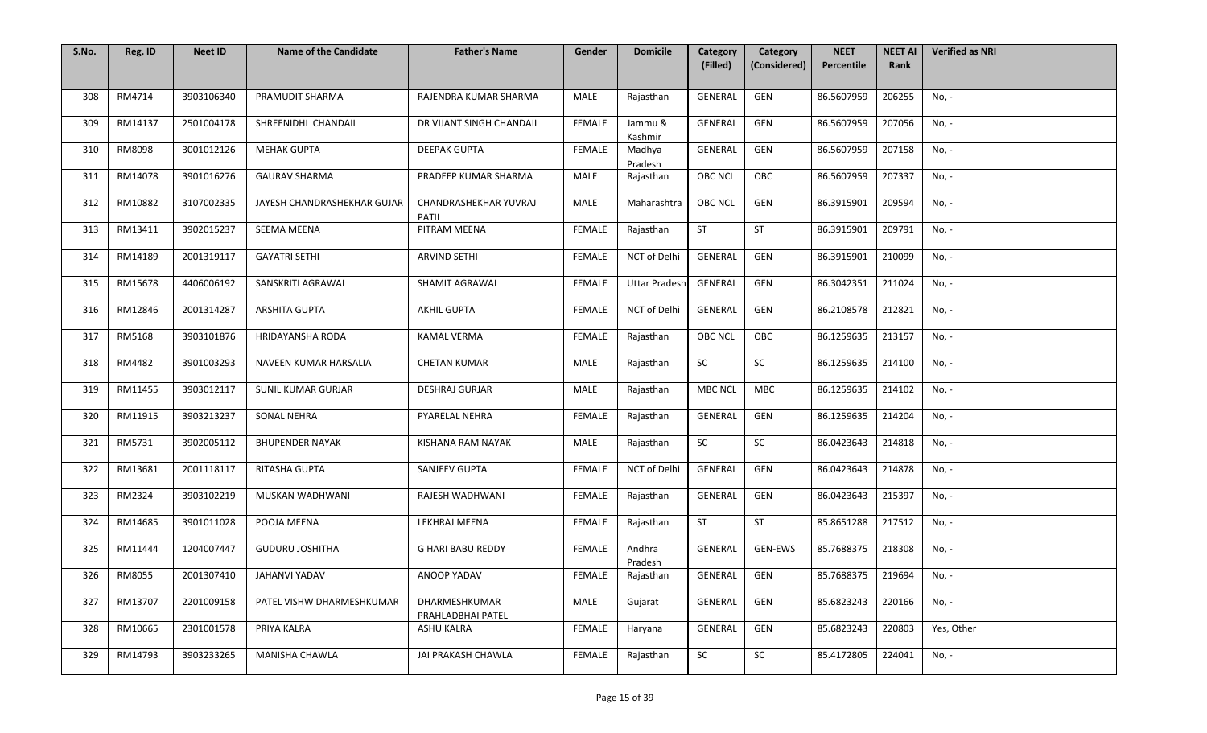| S.No. | Reg. ID | <b>Neet ID</b> | <b>Name of the Candidate</b> | <b>Father's Name</b>               | Gender        | <b>Domicile</b>      | Category<br>(Filled) | Category<br>(Considered) | <b>NEET</b><br>Percentile | <b>NEET AI</b><br>Rank | <b>Verified as NRI</b> |
|-------|---------|----------------|------------------------------|------------------------------------|---------------|----------------------|----------------------|--------------------------|---------------------------|------------------------|------------------------|
|       |         |                |                              |                                    |               |                      |                      |                          |                           |                        |                        |
| 308   | RM4714  | 3903106340     | PRAMUDIT SHARMA              | RAJENDRA KUMAR SHARMA              | MALE          | Rajasthan            | GENERAL              | GEN                      | 86.5607959                | 206255                 | No, -                  |
| 309   | RM14137 | 2501004178     | SHREENIDHI CHANDAIL          | DR VIJANT SINGH CHANDAIL           | <b>FEMALE</b> | Jammu &<br>Kashmir   | GENERAL              | GEN                      | 86.5607959                | 207056                 | No, -                  |
| 310   | RM8098  | 3001012126     | <b>MEHAK GUPTA</b>           | <b>DEEPAK GUPTA</b>                | FEMALE        | Madhya<br>Pradesh    | <b>GENERAL</b>       | GEN                      | 86.5607959                | 207158                 | No, -                  |
| 311   | RM14078 | 3901016276     | <b>GAURAV SHARMA</b>         | PRADEEP KUMAR SHARMA               | <b>MALE</b>   | Rajasthan            | <b>OBC NCL</b>       | OBC                      | 86.5607959                | 207337                 | No, -                  |
| 312   | RM10882 | 3107002335     | JAYESH CHANDRASHEKHAR GUJAR  | CHANDRASHEKHAR YUVRAJ<br>PATIL     | MALE          | Maharashtra          | OBC NCL              | GEN                      | 86.3915901                | 209594                 | No, -                  |
| 313   | RM13411 | 3902015237     | SEEMA MEENA                  | PITRAM MEENA                       | FEMALE        | Rajasthan            | ST                   | ST                       | 86.3915901                | 209791                 | No, -                  |
| 314   | RM14189 | 2001319117     | <b>GAYATRI SETHI</b>         | <b>ARVIND SETHI</b>                | FEMALE        | NCT of Delhi         | GENERAL              | GEN                      | 86.3915901                | 210099                 | No, -                  |
| 315   | RM15678 | 4406006192     | SANSKRITI AGRAWAL            | SHAMIT AGRAWAL                     | <b>FEMALE</b> | <b>Uttar Pradesh</b> | GENERAL              | GEN                      | 86.3042351                | 211024                 | No, -                  |
| 316   | RM12846 | 2001314287     | <b>ARSHITA GUPTA</b>         | <b>AKHIL GUPTA</b>                 | <b>FEMALE</b> | NCT of Delhi         | GENERAL              | GEN                      | 86.2108578                | 212821                 | No, -                  |
| 317   | RM5168  | 3903101876     | HRIDAYANSHA RODA             | KAMAL VERMA                        | FEMALE        | Rajasthan            | <b>OBC NCL</b>       | OBC                      | 86.1259635                | 213157                 | No, -                  |
| 318   | RM4482  | 3901003293     | NAVEEN KUMAR HARSALIA        | <b>CHETAN KUMAR</b>                | <b>MALE</b>   | Rajasthan            | SC                   | SC                       | 86.1259635                | 214100                 | No, -                  |
| 319   | RM11455 | 3903012117     | SUNIL KUMAR GURJAR           | <b>DESHRAJ GURJAR</b>              | <b>MALE</b>   | Rajasthan            | <b>MBC NCL</b>       | MBC                      | 86.1259635                | 214102                 | No, -                  |
| 320   | RM11915 | 3903213237     | <b>SONAL NEHRA</b>           | PYARELAL NEHRA                     | <b>FEMALE</b> | Rajasthan            | GENERAL              | GEN                      | 86.1259635                | 214204                 | No, -                  |
| 321   | RM5731  | 3902005112     | <b>BHUPENDER NAYAK</b>       | KISHANA RAM NAYAK                  | <b>MALE</b>   | Rajasthan            | <b>SC</b>            | SC                       | 86.0423643                | 214818                 | No, -                  |
| 322   | RM13681 | 2001118117     | RITASHA GUPTA                | SANJEEV GUPTA                      | FEMALE        | NCT of Delhi         | GENERAL              | GEN                      | 86.0423643                | 214878                 | No, -                  |
| 323   | RM2324  | 3903102219     | MUSKAN WADHWANI              | RAJESH WADHWANI                    | <b>FEMALE</b> | Rajasthan            | GENERAL              | GEN                      | 86.0423643                | 215397                 | No, -                  |
| 324   | RM14685 | 3901011028     | POOJA MEENA                  | LEKHRAJ MEENA                      | FEMALE        | Rajasthan            | <b>ST</b>            | ST                       | 85.8651288                | 217512                 | No, -                  |
| 325   | RM11444 | 1204007447     | <b>GUDURU JOSHITHA</b>       | <b>G HARI BABU REDDY</b>           | <b>FEMALE</b> | Andhra<br>Pradesh    | GENERAL              | GEN-EWS                  | 85.7688375                | 218308                 | No, -                  |
| 326   | RM8055  | 2001307410     | JAHANVI YADAV                | ANOOP YADAV                        | FEMALE        | Rajasthan            | GENERAL              | GEN                      | 85.7688375                | 219694                 | No, -                  |
| 327   | RM13707 | 2201009158     | PATEL VISHW DHARMESHKUMAR    | DHARMESHKUMAR<br>PRAHLADBHAI PATEL | <b>MALE</b>   | Gujarat              | GENERAL              | GEN                      | 85.6823243                | 220166                 | No, -                  |
| 328   | RM10665 | 2301001578     | PRIYA KALRA                  | <b>ASHU KALRA</b>                  | <b>FEMALE</b> | Haryana              | GENERAL              | GEN                      | 85.6823243                | 220803                 | Yes, Other             |
| 329   | RM14793 | 3903233265     | MANISHA CHAWLA               | JAI PRAKASH CHAWLA                 | FEMALE        | Rajasthan            | SC                   | SC                       | 85.4172805                | 224041                 | No, -                  |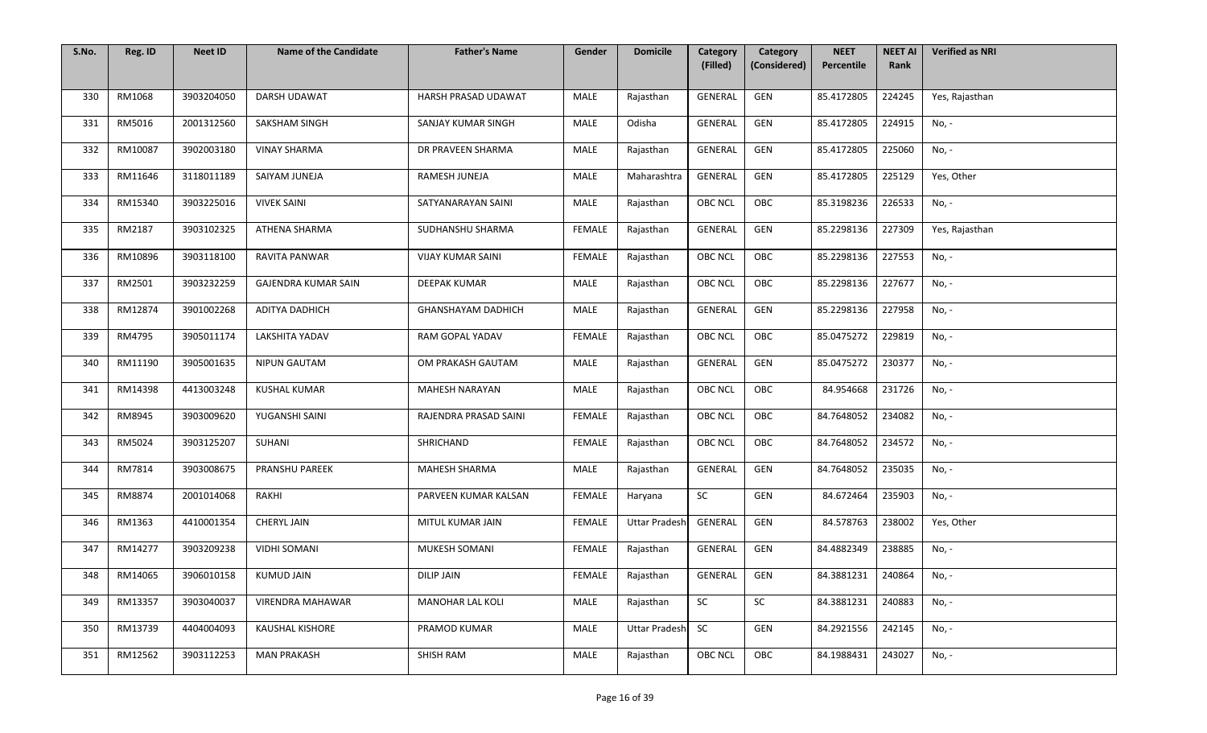| S.No. | Reg. ID | <b>Neet ID</b> | <b>Name of the Candidate</b> | <b>Father's Name</b>      | Gender        | <b>Domicile</b>      | Category<br>(Filled) | Category<br>(Considered) | <b>NEET</b><br>Percentile | <b>NEET AI</b><br>Rank | <b>Verified as NRI</b> |
|-------|---------|----------------|------------------------------|---------------------------|---------------|----------------------|----------------------|--------------------------|---------------------------|------------------------|------------------------|
|       |         |                |                              |                           |               |                      |                      |                          |                           |                        |                        |
| 330   | RM1068  | 3903204050     | DARSH UDAWAT                 | HARSH PRASAD UDAWAT       | MALE          | Rajasthan            | GENERAL              | GEN                      | 85.4172805                | 224245                 | Yes, Rajasthan         |
| 331   | RM5016  | 2001312560     | SAKSHAM SINGH                | SANJAY KUMAR SINGH        | <b>MALE</b>   | Odisha               | GENERAL              | GEN                      | 85.4172805                | 224915                 | No, -                  |
| 332   | RM10087 | 3902003180     | <b>VINAY SHARMA</b>          | DR PRAVEEN SHARMA         | MALE          | Rajasthan            | GENERAL              | GEN                      | 85.4172805                | 225060                 | No, -                  |
| 333   | RM11646 | 3118011189     | SAIYAM JUNEJA                | RAMESH JUNEJA             | MALE          | Maharashtra          | <b>GENERAL</b>       | GEN                      | 85.4172805                | 225129                 | Yes, Other             |
| 334   | RM15340 | 3903225016     | <b>VIVEK SAINI</b>           | SATYANARAYAN SAINI        | MALE          | Rajasthan            | <b>OBC NCL</b>       | OBC                      | 85.3198236                | 226533                 | No, -                  |
| 335   | RM2187  | 3903102325     | ATHENA SHARMA                | SUDHANSHU SHARMA          | FEMALE        | Rajasthan            | GENERAL              | GEN                      | 85.2298136                | 227309                 | Yes, Rajasthan         |
| 336   | RM10896 | 3903118100     | RAVITA PANWAR                | <b>VIJAY KUMAR SAINI</b>  | FEMALE        | Rajasthan            | <b>OBC NCL</b>       | OBC                      | 85.2298136                | 227553                 | No, -                  |
| 337   | RM2501  | 3903232259     | GAJENDRA KUMAR SAIN          | DEEPAK KUMAR              | <b>MALE</b>   | Rajasthan            | <b>OBC NCL</b>       | OBC                      | 85.2298136                | 227677                 | No, -                  |
| 338   | RM12874 | 3901002268     | ADITYA DADHICH               | <b>GHANSHAYAM DADHICH</b> | MALE          | Rajasthan            | GENERAL              | GEN                      | 85.2298136                | 227958                 | No, -                  |
| 339   | RM4795  | 3905011174     | <b>LAKSHITA YADAV</b>        | <b>RAM GOPAL YADAV</b>    | FEMALE        | Rajasthan            | <b>OBC NCL</b>       | OBC                      | 85.0475272                | 229819                 | No, -                  |
| 340   | RM11190 | 3905001635     | <b>NIPUN GAUTAM</b>          | OM PRAKASH GAUTAM         | <b>MALE</b>   | Rajasthan            | GENERAL              | GEN                      | 85.0475272                | 230377                 | No, -                  |
| 341   | RM14398 | 4413003248     | <b>KUSHAL KUMAR</b>          | MAHESH NARAYAN            | MALE          | Rajasthan            | <b>OBC NCL</b>       | OBC                      | 84.954668                 | 231726                 | No, -                  |
| 342   | RM8945  | 3903009620     | YUGANSHI SAINI               | RAJENDRA PRASAD SAINI     | FEMALE        | Rajasthan            | <b>OBC NCL</b>       | OBC                      | 84.7648052                | 234082                 | No, -                  |
| 343   | RM5024  | 3903125207     | SUHANI                       | SHRICHAND                 | <b>FEMALE</b> | Rajasthan            | <b>OBC NCL</b>       | OBC                      | 84.7648052                | 234572                 | No, -                  |
| 344   | RM7814  | 3903008675     | PRANSHU PAREEK               | MAHESH SHARMA             | MALE          | Rajasthan            | GENERAL              | GEN                      | 84.7648052                | 235035                 | No, -                  |
| 345   | RM8874  | 2001014068     | RAKHI                        | PARVEEN KUMAR KALSAN      | FEMALE        | Haryana              | SC                   | GEN                      | 84.672464                 | 235903                 | No, -                  |
| 346   | RM1363  | 4410001354     | <b>CHERYL JAIN</b>           | MITUL KUMAR JAIN          | FEMALE        | <b>Uttar Pradesh</b> | GENERAL              | GEN                      | 84.578763                 | 238002                 | Yes, Other             |
| 347   | RM14277 | 3903209238     | <b>VIDHI SOMANI</b>          | MUKESH SOMANI             | <b>FEMALE</b> | Rajasthan            | GENERAL              | GEN                      | 84.4882349                | 238885                 | No, -                  |
| 348   | RM14065 | 3906010158     | <b>KUMUD JAIN</b>            | <b>DILIP JAIN</b>         | FEMALE        | Rajasthan            | GENERAL              | GEN                      | 84.3881231                | 240864                 | No, -                  |
| 349   | RM13357 | 3903040037     | VIRENDRA MAHAWAR             | <b>MANOHAR LAL KOLI</b>   | MALE          | Rajasthan            | SC                   | SC                       | 84.3881231                | 240883                 | No, -                  |
| 350   | RM13739 | 4404004093     | <b>KAUSHAL KISHORE</b>       | PRAMOD KUMAR              | MALE          | <b>Uttar Pradesh</b> | <b>SC</b>            | GEN                      | 84.2921556                | 242145                 | No, -                  |
| 351   | RM12562 | 3903112253     | <b>MAN PRAKASH</b>           | SHISH RAM                 | MALE          | Rajasthan            | <b>OBC NCL</b>       | OBC                      | 84.1988431                | 243027                 | No, -                  |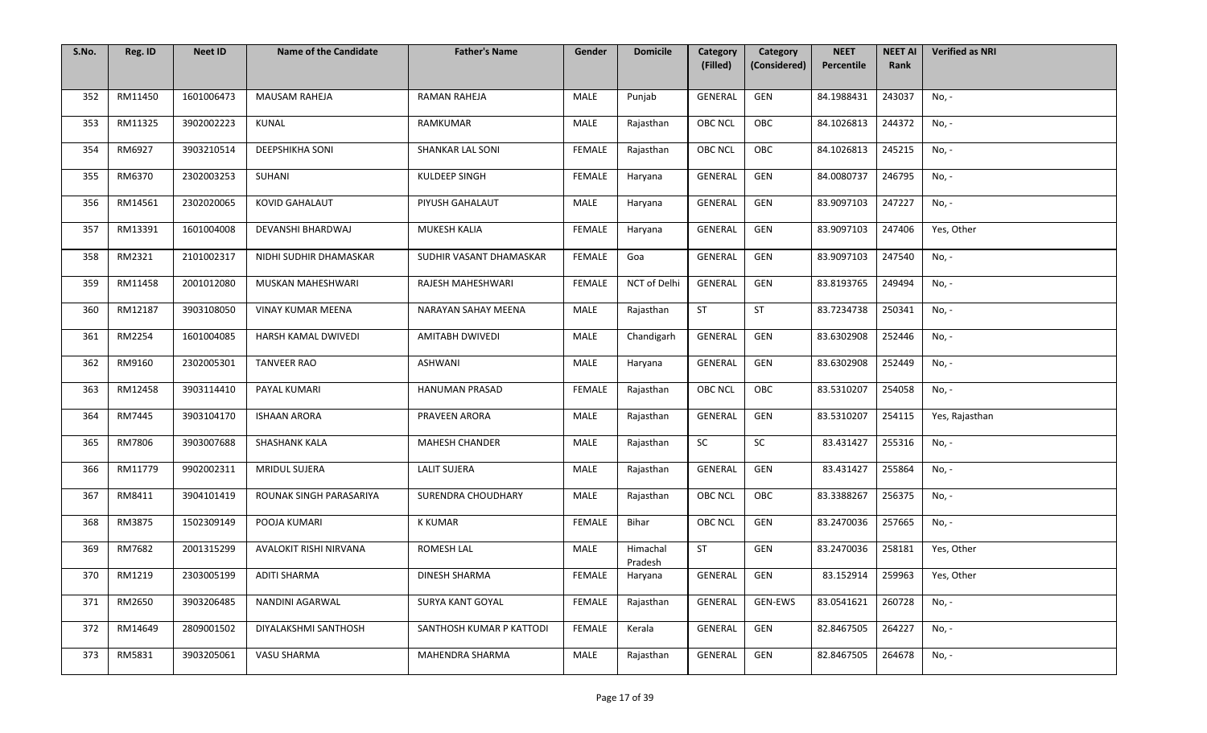| S.No. | Reg. ID | <b>Neet ID</b> | <b>Name of the Candidate</b> | <b>Father's Name</b>     | Gender        | <b>Domicile</b>     | Category<br>(Filled) | Category<br>(Considered) | <b>NEET</b><br>Percentile | <b>NEET AI</b><br>Rank | <b>Verified as NRI</b> |
|-------|---------|----------------|------------------------------|--------------------------|---------------|---------------------|----------------------|--------------------------|---------------------------|------------------------|------------------------|
|       |         |                |                              |                          |               |                     |                      |                          |                           |                        |                        |
| 352   | RM11450 | 1601006473     | <b>MAUSAM RAHEJA</b>         | RAMAN RAHEJA             | MALE          | Punjab              | GENERAL              | GEN                      | 84.1988431                | 243037                 | No, -                  |
| 353   | RM11325 | 3902002223     | KUNAL                        | <b>RAMKUMAR</b>          | MALE          | Rajasthan           | <b>OBC NCL</b>       | OBC                      | 84.1026813                | 244372                 | No, -                  |
| 354   | RM6927  | 3903210514     | <b>DEEPSHIKHA SONI</b>       | SHANKAR LAL SONI         | <b>FEMALE</b> | Rajasthan           | <b>OBC NCL</b>       | OBC                      | 84.1026813                | 245215                 | No, -                  |
| 355   | RM6370  | 2302003253     | SUHANI                       | KULDEEP SINGH            | <b>FEMALE</b> | Haryana             | GENERAL              | GEN                      | 84.0080737                | 246795                 | No, -                  |
| 356   | RM14561 | 2302020065     | <b>KOVID GAHALAUT</b>        | PIYUSH GAHALAUT          | MALE          | Haryana             | GENERAL              | GEN                      | 83.9097103                | 247227                 | No, -                  |
| 357   | RM13391 | 1601004008     | DEVANSHI BHARDWAJ            | MUKESH KALIA             | FEMALE        | Haryana             | GENERAL              | GEN                      | 83.9097103                | 247406                 | Yes, Other             |
| 358   | RM2321  | 2101002317     | NIDHI SUDHIR DHAMASKAR       | SUDHIR VASANT DHAMASKAR  | FEMALE        | Goa                 | GENERAL              | GEN                      | 83.9097103                | 247540                 | No, -                  |
| 359   | RM11458 | 2001012080     | MUSKAN MAHESHWARI            | <b>RAJESH MAHESHWARI</b> | FEMALE        | NCT of Delhi        | GENERAL              | GEN                      | 83.8193765                | 249494                 | No, -                  |
| 360   | RM12187 | 3903108050     | VINAY KUMAR MEENA            | NARAYAN SAHAY MEENA      | MALE          | Rajasthan           | <b>ST</b>            | <b>ST</b>                | 83.7234738                | 250341                 | No, -                  |
| 361   | RM2254  | 1601004085     | HARSH KAMAL DWIVEDI          | AMITABH DWIVEDI          | MALE          | Chandigarh          | GENERAL              | GEN                      | 83.6302908                | 252446                 | No, -                  |
| 362   | RM9160  | 2302005301     | <b>TANVEER RAO</b>           | <b>ASHWANI</b>           | MALE          | Haryana             | GENERAL              | GEN                      | 83.6302908                | 252449                 | No, -                  |
| 363   | RM12458 | 3903114410     | PAYAL KUMARI                 | HANUMAN PRASAD           | <b>FEMALE</b> | Rajasthan           | <b>OBC NCL</b>       | OBC                      | 83.5310207                | 254058                 | No, -                  |
| 364   | RM7445  | 3903104170     | <b>ISHAAN ARORA</b>          | PRAVEEN ARORA            | MALE          | Rajasthan           | <b>GENERAL</b>       | GEN                      | 83.5310207                | 254115                 | Yes, Rajasthan         |
| 365   | RM7806  | 3903007688     | SHASHANK KALA                | <b>MAHESH CHANDER</b>    | <b>MALE</b>   | Rajasthan           | <b>SC</b>            | SC                       | 83.431427                 | 255316                 | No, -                  |
| 366   | RM11779 | 9902002311     | <b>MRIDUL SUJERA</b>         | <b>LALIT SUJERA</b>      | MALE          | Rajasthan           | GENERAL              | GEN                      | 83.431427                 | 255864                 | No, -                  |
| 367   | RM8411  | 3904101419     | ROUNAK SINGH PARASARIYA      | SURENDRA CHOUDHARY       | MALE          | Rajasthan           | <b>OBC NCL</b>       | OBC                      | 83.3388267                | 256375                 | No, -                  |
| 368   | RM3875  | 1502309149     | POOJA KUMARI                 | <b>K KUMAR</b>           | FEMALE        | Bihar               | <b>OBC NCL</b>       | GEN                      | 83.2470036                | 257665                 | No, -                  |
| 369   | RM7682  | 2001315299     | AVALOKIT RISHI NIRVANA       | ROMESH LAL               | MALE          | Himachal<br>Pradesh | <b>ST</b>            | GEN                      | 83.2470036                | 258181                 | Yes, Other             |
| 370   | RM1219  | 2303005199     | <b>ADITI SHARMA</b>          | DINESH SHARMA            | FEMALE        | Haryana             | GENERAL              | GEN                      | 83.152914                 | 259963                 | Yes, Other             |
| 371   | RM2650  | 3903206485     | NANDINI AGARWAL              | SURYA KANT GOYAL         | FEMALE        | Rajasthan           | GENERAL              | GEN-EWS                  | 83.0541621                | 260728                 | No, -                  |
| 372   | RM14649 | 2809001502     | DIYALAKSHMI SANTHOSH         | SANTHOSH KUMAR P KATTODI | <b>FEMALE</b> | Kerala              | GENERAL              | GEN                      | 82.8467505                | 264227                 | No, -                  |
| 373   | RM5831  | 3903205061     | VASU SHARMA                  | MAHENDRA SHARMA          | MALE          | Rajasthan           | GENERAL              | GEN                      | 82.8467505                | 264678                 | No, -                  |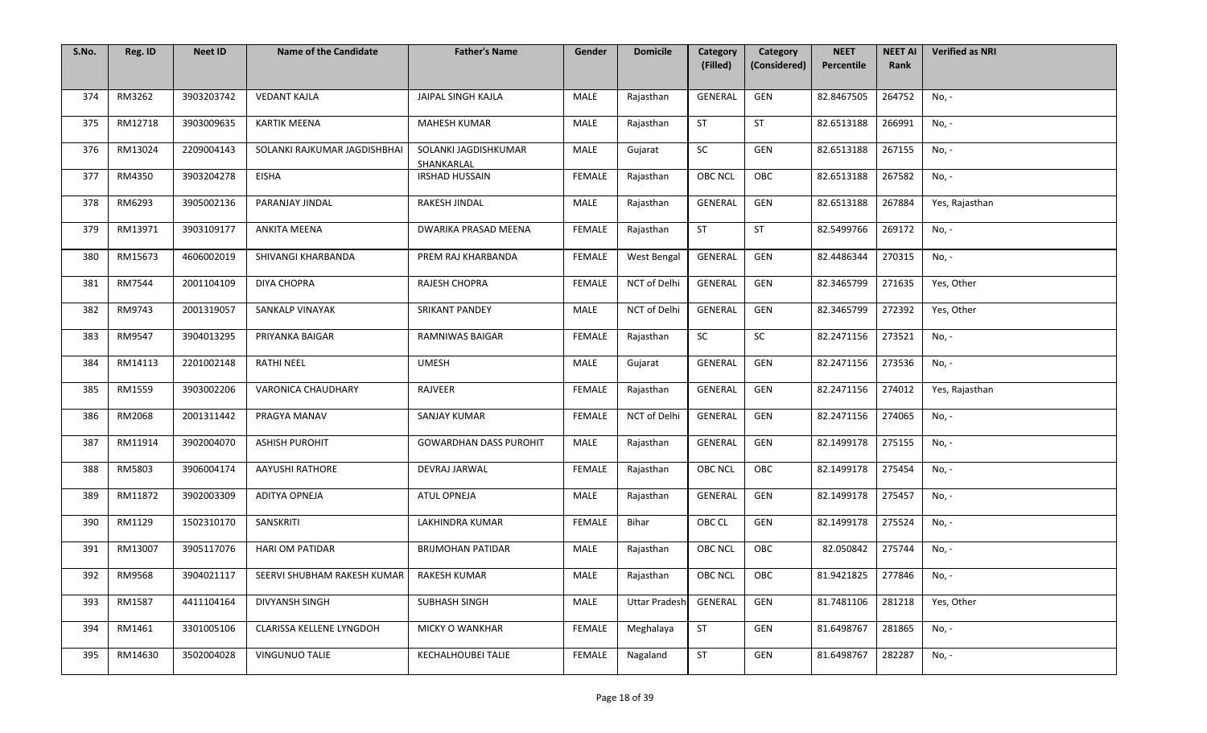| S.No. | Reg. ID | <b>Neet ID</b> | <b>Name of the Candidate</b> | <b>Father's Name</b>               | Gender        | <b>Domicile</b>      | Category<br>(Filled) | Category<br>(Considered) | <b>NEET</b><br>Percentile | <b>NEET AI</b><br>Rank | <b>Verified as NRI</b> |
|-------|---------|----------------|------------------------------|------------------------------------|---------------|----------------------|----------------------|--------------------------|---------------------------|------------------------|------------------------|
|       |         |                |                              |                                    |               |                      |                      |                          |                           |                        |                        |
| 374   | RM3262  | 3903203742     | <b>VEDANT KAJLA</b>          | JAIPAL SINGH KAJLA                 | MALE          | Rajasthan            | GENERAL              | GEN                      | 82.8467505                | 264752                 | No, -                  |
| 375   | RM12718 | 3903009635     | <b>KARTIK MEENA</b>          | <b>MAHESH KUMAR</b>                | MALE          | Rajasthan            | <b>ST</b>            | ST                       | 82.6513188                | 266991                 | No, -                  |
| 376   | RM13024 | 2209004143     | SOLANKI RAJKUMAR JAGDISHBHAI | SOLANKI JAGDISHKUMAR<br>SHANKARLAL | MALE          | Gujarat              | SC                   | GEN                      | 82.6513188                | 267155                 | No, -                  |
| 377   | RM4350  | 3903204278     | <b>EISHA</b>                 | <b>IRSHAD HUSSAIN</b>              | <b>FEMALE</b> | Rajasthan            | <b>OBC NCL</b>       | OBC                      | 82.6513188                | 267582                 | No, -                  |
| 378   | RM6293  | 3905002136     | PARANJAY JINDAL              | RAKESH JINDAL                      | MALE          | Rajasthan            | GENERAL              | GEN                      | 82.6513188                | 267884                 | Yes, Rajasthan         |
| 379   | RM13971 | 3903109177     | ANKITA MEENA                 | DWARIKA PRASAD MEENA               | <b>FEMALE</b> | Rajasthan            | <b>ST</b>            | <b>ST</b>                | 82.5499766                | 269172                 | No, -                  |
| 380   | RM15673 | 4606002019     | SHIVANGI KHARBANDA           | PREM RAJ KHARBANDA                 | FEMALE        | West Bengal          | GENERAL              | GEN                      | 82.4486344                | 270315                 | No, -                  |
| 381   | RM7544  | 2001104109     | <b>DIYA CHOPRA</b>           | RAJESH CHOPRA                      | FEMALE        | NCT of Delhi         | GENERAL              | GEN                      | 82.3465799                | 271635                 | Yes, Other             |
| 382   | RM9743  | 2001319057     | SANKALP VINAYAK              | SRIKANT PANDEY                     | MALE          | NCT of Delhi         | GENERAL              | GEN                      | 82.3465799                | 272392                 | Yes, Other             |
| 383   | RM9547  | 3904013295     | PRIYANKA BAIGAR              | RAMNIWAS BAIGAR                    | FEMALE        | Rajasthan            | SC                   | SC                       | 82.2471156                | 273521                 | No, -                  |
| 384   | RM14113 | 2201002148     | <b>RATHI NEEL</b>            | <b>UMESH</b>                       | MALE          | Gujarat              | GENERAL              | GEN                      | 82.2471156                | 273536                 | No, -                  |
| 385   | RM1559  | 3903002206     | VARONICA CHAUDHARY           | RAJVEER                            | <b>FEMALE</b> | Rajasthan            | GENERAL              | GEN                      | 82.2471156                | 274012                 | Yes, Rajasthan         |
| 386   | RM2068  | 2001311442     | PRAGYA MANAV                 | SANJAY KUMAR                       | FEMALE        | NCT of Delhi         | <b>GENERAL</b>       | GEN                      | 82.2471156                | 274065                 | No, -                  |
| 387   | RM11914 | 3902004070     | <b>ASHISH PUROHIT</b>        | <b>GOWARDHAN DASS PUROHIT</b>      | MALE          | Rajasthan            | GENERAL              | GEN                      | 82.1499178                | 275155                 | No, -                  |
| 388   | RM5803  | 3906004174     | AAYUSHI RATHORE              | DEVRAJ JARWAL                      | FEMALE        | Rajasthan            | <b>OBC NCL</b>       | OBC                      | 82.1499178                | 275454                 | No, -                  |
| 389   | RM11872 | 3902003309     | ADITYA OPNEJA                | ATUL OPNEJA                        | MALE          | Rajasthan            | GENERAL              | GEN                      | 82.1499178                | 275457                 | No, -                  |
| 390   | RM1129  | 1502310170     | SANSKRITI                    | LAKHINDRA KUMAR                    | FEMALE        | Bihar                | OBC CL               | GEN                      | 82.1499178                | 275524                 | No, -                  |
| 391   | RM13007 | 3905117076     | <b>HARI OM PATIDAR</b>       | <b>BRIJMOHAN PATIDAR</b>           | MALE          | Rajasthan            | <b>OBC NCL</b>       | OBC                      | 82.050842                 | 275744                 | No, -                  |
| 392   | RM9568  | 3904021117     | SEERVI SHUBHAM RAKESH KUMAR  | <b>RAKESH KUMAR</b>                | MALE          | Rajasthan            | OBC NCL              | OBC                      | 81.9421825                | 277846                 | No, -                  |
| 393   | RM1587  | 4411104164     | DIVYANSH SINGH               | <b>SUBHASH SINGH</b>               | MALE          | <b>Uttar Pradesh</b> | GENERAL              | GEN                      | 81.7481106                | 281218                 | Yes, Other             |
| 394   | RM1461  | 3301005106     | CLARISSA KELLENE LYNGDOH     | MICKY O WANKHAR                    | <b>FEMALE</b> | Meghalaya            | <b>ST</b>            | GEN                      | 81.6498767                | 281865                 | No, -                  |
| 395   | RM14630 | 3502004028     | VINGUNUO TALIE               | KECHALHOUBEI TALIE                 | <b>FEMALE</b> | Nagaland             | <b>ST</b>            | GEN                      | 81.6498767                | 282287                 | No, -                  |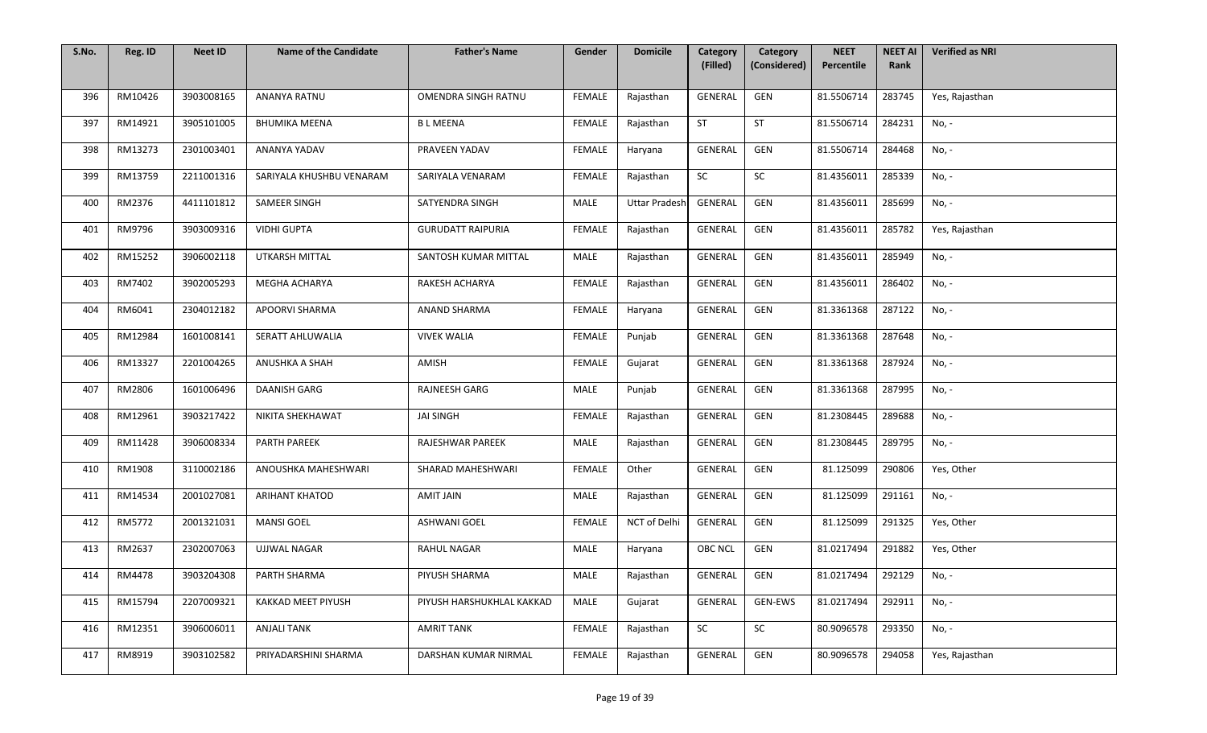| S.No. | Reg. ID | <b>Neet ID</b> | <b>Name of the Candidate</b> | <b>Father's Name</b>      | Gender        | <b>Domicile</b>      | Category       | Category     | <b>NEET</b> | <b>NEET AI</b> | <b>Verified as NRI</b> |
|-------|---------|----------------|------------------------------|---------------------------|---------------|----------------------|----------------|--------------|-------------|----------------|------------------------|
|       |         |                |                              |                           |               |                      | (Filled)       | (Considered) | Percentile  | Rank           |                        |
| 396   | RM10426 | 3903008165     | <b>ANANYA RATNU</b>          | OMENDRA SINGH RATNU       | <b>FEMALE</b> | Rajasthan            | GENERAL        | GEN          | 81.5506714  | 283745         | Yes, Rajasthan         |
| 397   | RM14921 | 3905101005     | <b>BHUMIKA MEENA</b>         | <b>BLMEENA</b>            | FEMALE        | Rajasthan            | <b>ST</b>      | ST           | 81.5506714  | 284231         | No, -                  |
| 398   | RM13273 | 2301003401     | ANANYA YADAV                 | PRAVEEN YADAV             | <b>FEMALE</b> | Haryana              | GENERAL        | GEN          | 81.5506714  | 284468         | No, -                  |
| 399   | RM13759 | 2211001316     | SARIYALA KHUSHBU VENARAM     | SARIYALA VENARAM          | <b>FEMALE</b> | Rajasthan            | SC             | SC           | 81.4356011  | 285339         | No, -                  |
| 400   | RM2376  | 4411101812     | SAMEER SINGH                 | SATYENDRA SINGH           | MALE          | <b>Uttar Pradesh</b> | GENERAL        | GEN          | 81.4356011  | 285699         | No, -                  |
| 401   | RM9796  | 3903009316     | <b>VIDHI GUPTA</b>           | <b>GURUDATT RAIPURIA</b>  | FEMALE        | Rajasthan            | GENERAL        | GEN          | 81.4356011  | 285782         | Yes, Rajasthan         |
| 402   | RM15252 | 3906002118     | UTKARSH MITTAL               | SANTOSH KUMAR MITTAL      | MALE          | Rajasthan            | GENERAL        | GEN          | 81.4356011  | 285949         | No, -                  |
| 403   | RM7402  | 3902005293     | MEGHA ACHARYA                | RAKESH ACHARYA            | FEMALE        | Rajasthan            | GENERAL        | GEN          | 81.4356011  | 286402         | No, -                  |
| 404   | RM6041  | 2304012182     | <b>APOORVI SHARMA</b>        | ANAND SHARMA              | <b>FEMALE</b> | Haryana              | <b>GENERAL</b> | GEN          | 81.3361368  | 287122         | No, -                  |
| 405   | RM12984 | 1601008141     | SERATT AHLUWALIA             | <b>VIVEK WALIA</b>        | FEMALE        | Punjab               | GENERAL        | GEN          | 81.3361368  | 287648         | No, -                  |
| 406   | RM13327 | 2201004265     | ANUSHKA A SHAH               | AMISH                     | <b>FEMALE</b> | Gujarat              | GENERAL        | GEN          | 81.3361368  | 287924         | No, -                  |
| 407   | RM2806  | 1601006496     | DAANISH GARG                 | RAJNEESH GARG             | MALE          | Punjab               | GENERAL        | GEN          | 81.3361368  | 287995         | No, -                  |
| 408   | RM12961 | 3903217422     | NIKITA SHEKHAWAT             | <b>JAI SINGH</b>          | <b>FEMALE</b> | Rajasthan            | <b>GENERAL</b> | GEN          | 81.2308445  | 289688         | No, -                  |
| 409   | RM11428 | 3906008334     | PARTH PAREEK                 | RAJESHWAR PAREEK          | MALE          | Rajasthan            | GENERAL        | GEN          | 81.2308445  | 289795         | No, -                  |
| 410   | RM1908  | 3110002186     | ANOUSHKA MAHESHWARI          | SHARAD MAHESHWARI         | FEMALE        | Other                | GENERAL        | GEN          | 81.125099   | 290806         | Yes, Other             |
| 411   | RM14534 | 2001027081     | <b>ARIHANT KHATOD</b>        | AMIT JAIN                 | MALE          | Rajasthan            | GENERAL        | GEN          | 81.125099   | 291161         | No, -                  |
| 412   | RM5772  | 2001321031     | <b>MANSI GOEL</b>            | <b>ASHWANI GOEL</b>       | FEMALE        | NCT of Delhi         | GENERAL        | GEN          | 81.125099   | 291325         | Yes, Other             |
| 413   | RM2637  | 2302007063     | <b>UJJWAL NAGAR</b>          | <b>RAHUL NAGAR</b>        | MALE          | Haryana              | <b>OBC NCL</b> | GEN          | 81.0217494  | 291882         | Yes, Other             |
| 414   | RM4478  | 3903204308     | PARTH SHARMA                 | PIYUSH SHARMA             | MALE          | Rajasthan            | GENERAL        | GEN          | 81.0217494  | 292129         | No, -                  |
| 415   | RM15794 | 2207009321     | KAKKAD MEET PIYUSH           | PIYUSH HARSHUKHLAL KAKKAD | MALE          | Gujarat              | GENERAL        | GEN-EWS      | 81.0217494  | 292911         | No, -                  |
| 416   | RM12351 | 3906006011     | <b>ANJALI TANK</b>           | <b>AMRIT TANK</b>         | <b>FEMALE</b> | Rajasthan            | SC             | SC           | 80.9096578  | 293350         | No, -                  |
| 417   | RM8919  | 3903102582     | PRIYADARSHINI SHARMA         | DARSHAN KUMAR NIRMAL      | <b>FEMALE</b> | Rajasthan            | GENERAL        | GEN          | 80.9096578  | 294058         | Yes, Rajasthan         |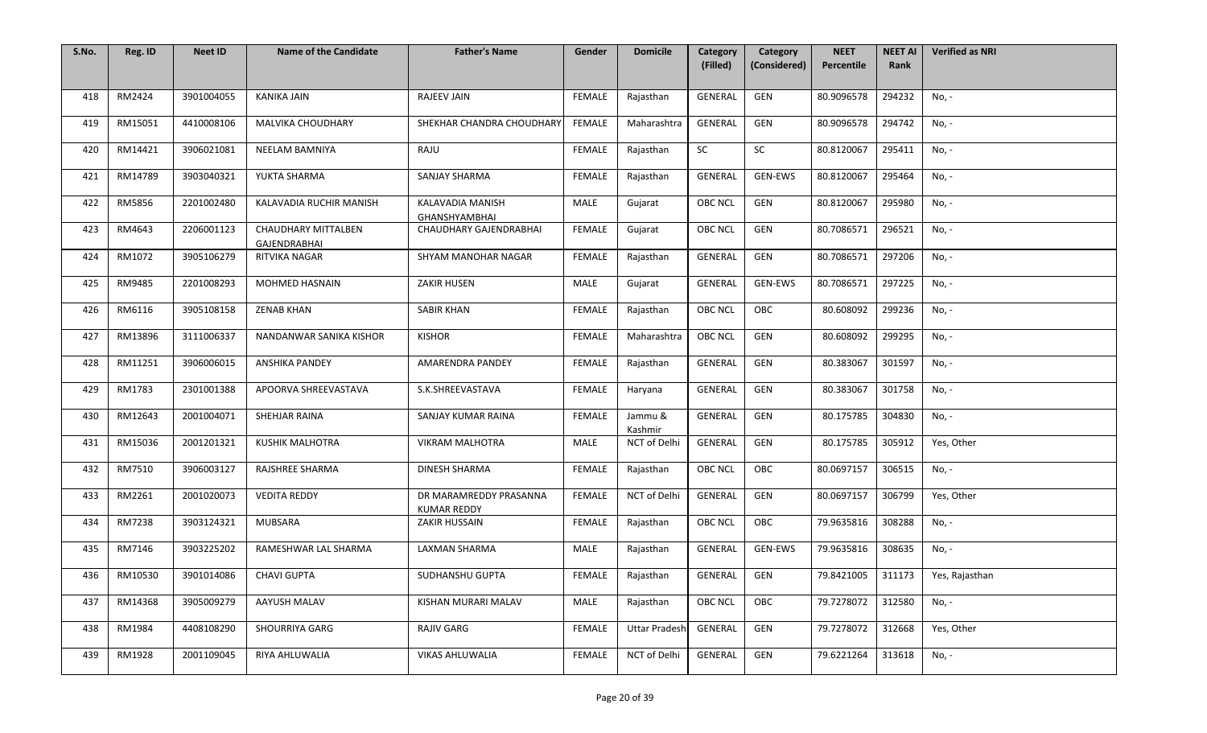| S.No. | Reg. ID | <b>Neet ID</b> | <b>Name of the Candidate</b>        | <b>Father's Name</b>                         | Gender        | <b>Domicile</b>      | Category<br>(Filled) | Category<br>(Considered) | <b>NEET</b><br>Percentile | <b>NEET AI</b><br>Rank | <b>Verified as NRI</b> |
|-------|---------|----------------|-------------------------------------|----------------------------------------------|---------------|----------------------|----------------------|--------------------------|---------------------------|------------------------|------------------------|
|       |         |                |                                     |                                              |               |                      |                      |                          |                           |                        |                        |
| 418   | RM2424  | 3901004055     | KANIKA JAIN                         | <b>RAJEEV JAIN</b>                           | FEMALE        | Rajasthan            | GENERAL              | GEN                      | 80.9096578                | 294232                 | No, -                  |
| 419   | RM15051 | 4410008106     | MALVIKA CHOUDHARY                   | SHEKHAR CHANDRA CHOUDHARY                    | <b>FEMALE</b> | Maharashtra          | GENERAL              | GEN                      | 80.9096578                | 294742                 | No, -                  |
| 420   | RM14421 | 3906021081     | <b>NEELAM BAMNIYA</b>               | RAJU                                         | FEMALE        | Rajasthan            | SC                   | SC                       | 80.8120067                | 295411                 | No, -                  |
| 421   | RM14789 | 3903040321     | YUKTA SHARMA                        | SANJAY SHARMA                                | <b>FEMALE</b> | Rajasthan            | GENERAL              | GEN-EWS                  | 80.8120067                | 295464                 | No, -                  |
| 422   | RM5856  | 2201002480     | KALAVADIA RUCHIR MANISH             | KALAVADIA MANISH<br><b>GHANSHYAMBHAI</b>     | MALE          | Gujarat              | OBC NCL              | GEN                      | 80.8120067                | 295980                 | No, -                  |
| 423   | RM4643  | 2206001123     | CHAUDHARY MITTALBEN<br>GAJENDRABHAI | CHAUDHARY GAJENDRABHAI                       | <b>FEMALE</b> | Gujarat              | OBC NCL              | GEN                      | 80.7086571                | 296521                 | No, -                  |
| 424   | RM1072  | 3905106279     | RITVIKA NAGAR                       | SHYAM MANOHAR NAGAR                          | <b>FEMALE</b> | Rajasthan            | GENERAL              | GEN                      | 80.7086571                | 297206                 | No, -                  |
| 425   | RM9485  | 2201008293     | MOHMED HASNAIN                      | <b>ZAKIR HUSEN</b>                           | MALE          | Gujarat              | GENERAL              | <b>GEN-EWS</b>           | 80.7086571                | 297225                 | No, -                  |
| 426   | RM6116  | 3905108158     | <b>ZENAB KHAN</b>                   | <b>SABIR KHAN</b>                            | <b>FEMALE</b> | Rajasthan            | <b>OBC NCL</b>       | OBC                      | 80.608092                 | 299236                 | No, -                  |
| 427   | RM13896 | 3111006337     | NANDANWAR SANIKA KISHOR             | <b>KISHOR</b>                                | FEMALE        | Maharashtra          | <b>OBC NCL</b>       | GEN                      | 80.608092                 | 299295                 | No, -                  |
| 428   | RM11251 | 3906006015     | ANSHIKA PANDEY                      | AMARENDRA PANDEY                             | <b>FEMALE</b> | Rajasthan            | GENERAL              | GEN                      | 80.383067                 | 301597                 | No, -                  |
| 429   | RM1783  | 2301001388     | APOORVA SHREEVASTAVA                | S.K.SHREEVASTAVA                             | <b>FEMALE</b> | Haryana              | <b>GENERAL</b>       | GEN                      | 80.383067                 | 301758                 | No, -                  |
| 430   | RM12643 | 2001004071     | SHEHJAR RAINA                       | SANJAY KUMAR RAINA                           | <b>FEMALE</b> | Jammu &<br>Kashmir   | <b>GENERAL</b>       | GEN                      | 80.175785                 | 304830                 | No, -                  |
| 431   | RM15036 | 2001201321     | <b>KUSHIK MALHOTRA</b>              | <b>VIKRAM MALHOTRA</b>                       | <b>MALE</b>   | NCT of Delhi         | GENERAL              | GEN                      | 80.175785                 | 305912                 | Yes, Other             |
| 432   | RM7510  | 3906003127     | RAJSHREE SHARMA                     | DINESH SHARMA                                | <b>FEMALE</b> | Rajasthan            | OBC NCL              | OBC                      | 80.0697157                | 306515                 | No, -                  |
| 433   | RM2261  | 2001020073     | <b>VEDITA REDDY</b>                 | DR MARAMREDDY PRASANNA<br><b>KUMAR REDDY</b> | FEMALE        | NCT of Delhi         | GENERAL              | GEN                      | 80.0697157                | 306799                 | Yes, Other             |
| 434   | RM7238  | 3903124321     | <b>MUBSARA</b>                      | ZAKIR HUSSAIN                                | <b>FEMALE</b> | Rajasthan            | <b>OBC NCL</b>       | OBC                      | 79.9635816                | 308288                 | No, -                  |
| 435   | RM7146  | 3903225202     | RAMESHWAR LAL SHARMA                | LAXMAN SHARMA                                | MALE          | Rajasthan            | GENERAL              | GEN-EWS                  | 79.9635816                | 308635                 | No, -                  |
| 436   | RM10530 | 3901014086     | <b>CHAVI GUPTA</b>                  | SUDHANSHU GUPTA                              | FEMALE        | Rajasthan            | GENERAL              | GEN                      | 79.8421005                | 311173                 | Yes, Rajasthan         |
| 437   | RM14368 | 3905009279     | AAYUSH MALAV                        | KISHAN MURARI MALAV                          | <b>MALE</b>   | Rajasthan            | <b>OBC NCL</b>       | OBC                      | 79.7278072                | 312580                 | No, -                  |
| 438   | RM1984  | 4408108290     | <b>SHOURRIYA GARG</b>               | RAJIV GARG                                   | <b>FEMALE</b> | <b>Uttar Pradesh</b> | GENERAL              | GEN                      | 79.7278072                | 312668                 | Yes, Other             |
| 439   | RM1928  | 2001109045     | RIYA AHLUWALIA                      | VIKAS AHLUWALIA                              | <b>FEMALE</b> | NCT of Delhi         | GENERAL              | GEN                      | 79.6221264                | 313618                 | No, -                  |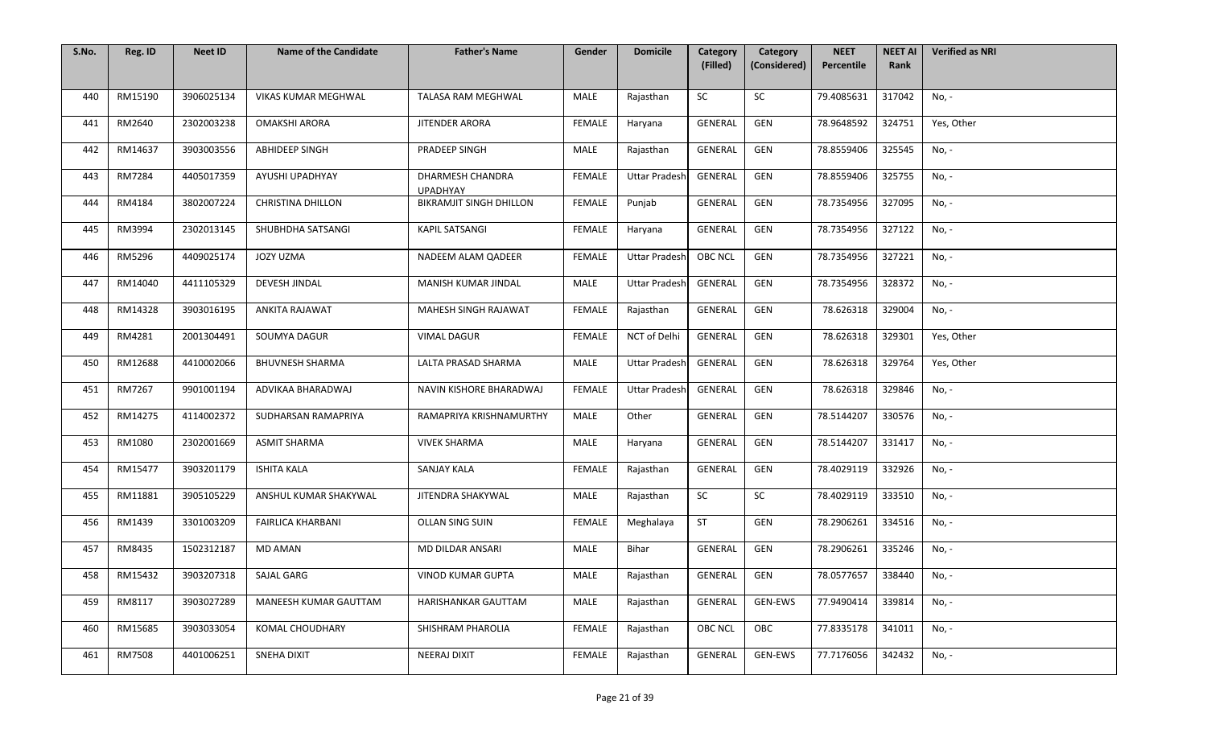| S.No. | Reg. ID | <b>Neet ID</b> | <b>Name of the Candidate</b> | <b>Father's Name</b>                | Gender        | <b>Domicile</b>      | Category<br>(Filled) | Category<br>(Considered) | <b>NEET</b><br>Percentile | <b>NEET AI</b><br>Rank | <b>Verified as NRI</b> |
|-------|---------|----------------|------------------------------|-------------------------------------|---------------|----------------------|----------------------|--------------------------|---------------------------|------------------------|------------------------|
|       |         |                |                              |                                     |               |                      |                      |                          |                           |                        |                        |
| 440   | RM15190 | 3906025134     | VIKAS KUMAR MEGHWAL          | TALASA RAM MEGHWAL                  | MALE          | Rajasthan            | SC                   | SC                       | 79.4085631                | 317042                 | No, -                  |
| 441   | RM2640  | 2302003238     | <b>OMAKSHI ARORA</b>         | JITENDER ARORA                      | FEMALE        | Haryana              | GENERAL              | GEN                      | 78.9648592                | 324751                 | Yes, Other             |
| 442   | RM14637 | 3903003556     | ABHIDEEP SINGH               | PRADEEP SINGH                       | MALE          | Rajasthan            | GENERAL              | GEN                      | 78.8559406                | 325545                 | No, -                  |
| 443   | RM7284  | 4405017359     | AYUSHI UPADHYAY              | DHARMESH CHANDRA<br><b>UPADHYAY</b> | <b>FEMALE</b> | <b>Uttar Pradesh</b> | GENERAL              | GEN                      | 78.8559406                | 325755                 | No, -                  |
| 444   | RM4184  | 3802007224     | <b>CHRISTINA DHILLON</b>     | <b>BIKRAMJIT SINGH DHILLON</b>      | <b>FEMALE</b> | Punjab               | GENERAL              | GEN                      | 78.7354956                | 327095                 | No, -                  |
| 445   | RM3994  | 2302013145     | SHUBHDHA SATSANGI            | KAPIL SATSANGI                      | <b>FEMALE</b> | Haryana              | <b>GENERAL</b>       | GEN                      | 78.7354956                | 327122                 | No, -                  |
| 446   | RM5296  | 4409025174     | JOZY UZMA                    | NADEEM ALAM QADEER                  | <b>FEMALE</b> | <b>Uttar Pradesh</b> | <b>OBC NCL</b>       | GEN                      | 78.7354956                | 327221                 | No, -                  |
| 447   | RM14040 | 4411105329     | DEVESH JINDAL                | MANISH KUMAR JINDAL                 | MALE          | <b>Uttar Pradesh</b> | GENERAL              | GEN                      | 78.7354956                | 328372                 | No, -                  |
| 448   | RM14328 | 3903016195     | ANKITA RAJAWAT               | MAHESH SINGH RAJAWAT                | <b>FEMALE</b> | Rajasthan            | <b>GENERAL</b>       | GEN                      | 78.626318                 | 329004                 | No, -                  |
| 449   | RM4281  | 2001304491     | SOUMYA DAGUR                 | <b>VIMAL DAGUR</b>                  | <b>FEMALE</b> | NCT of Delhi         | GENERAL              | GEN                      | 78.626318                 | 329301                 | Yes, Other             |
| 450   | RM12688 | 4410002066     | <b>BHUVNESH SHARMA</b>       | LALTA PRASAD SHARMA                 | MALE          | <b>Uttar Pradesh</b> | GENERAL              | GEN                      | 78.626318                 | 329764                 | Yes, Other             |
| 451   | RM7267  | 9901001194     | ADVIKAA BHARADWAJ            | NAVIN KISHORE BHARADWAJ             | <b>FEMALE</b> | <b>Uttar Pradesh</b> | GENERAL              | GEN                      | 78.626318                 | 329846                 | No, -                  |
| 452   | RM14275 | 4114002372     | SUDHARSAN RAMAPRIYA          | RAMAPRIYA KRISHNAMURTHY             | MALE          | Other                | GENERAL              | GEN                      | 78.5144207                | 330576                 | No, -                  |
| 453   | RM1080  | 2302001669     | <b>ASMIT SHARMA</b>          | <b>VIVEK SHARMA</b>                 | <b>MALE</b>   | Haryana              | GENERAL              | GEN                      | 78.5144207                | 331417                 | No, -                  |
| 454   | RM15477 | 3903201179     | <b>ISHITA KALA</b>           | <b>SANJAY KALA</b>                  | <b>FEMALE</b> | Rajasthan            | GENERAL              | GEN                      | 78.4029119                | 332926                 | No, -                  |
| 455   | RM11881 | 3905105229     | ANSHUL KUMAR SHAKYWAL        | JITENDRA SHAKYWAL                   | <b>MALE</b>   | Rajasthan            | SC                   | SC                       | 78.4029119                | 333510                 | No, -                  |
| 456   | RM1439  | 3301003209     | <b>FAIRLICA KHARBANI</b>     | OLLAN SING SUIN                     | <b>FEMALE</b> | Meghalaya            | <b>ST</b>            | GEN                      | 78.2906261                | 334516                 | No, -                  |
| 457   | RM8435  | 1502312187     | <b>MD AMAN</b>               | MD DILDAR ANSARI                    | MALE          | Bihar                | <b>GENERAL</b>       | GEN                      | 78.2906261                | 335246                 | No, -                  |
| 458   | RM15432 | 3903207318     | SAJAL GARG                   | <b>VINOD KUMAR GUPTA</b>            | MALE          | Rajasthan            | GENERAL              | GEN                      | 78.0577657                | 338440                 | No, -                  |
| 459   | RM8117  | 3903027289     | MANEESH KUMAR GAUTTAM        | HARISHANKAR GAUTTAM                 | <b>MALE</b>   | Rajasthan            | <b>GENERAL</b>       | <b>GEN-EWS</b>           | 77.9490414                | 339814                 | No, -                  |
| 460   | RM15685 | 3903033054     | KOMAL CHOUDHARY              | SHISHRAM PHAROLIA                   | <b>FEMALE</b> | Rajasthan            | <b>OBC NCL</b>       | OBC                      | 77.8335178                | 341011                 | No, -                  |
| 461   | RM7508  | 4401006251     | SNEHA DIXIT                  | NEERAJ DIXIT                        | FEMALE        | Rajasthan            | GENERAL              | GEN-EWS                  | 77.7176056                | 342432                 | No, -                  |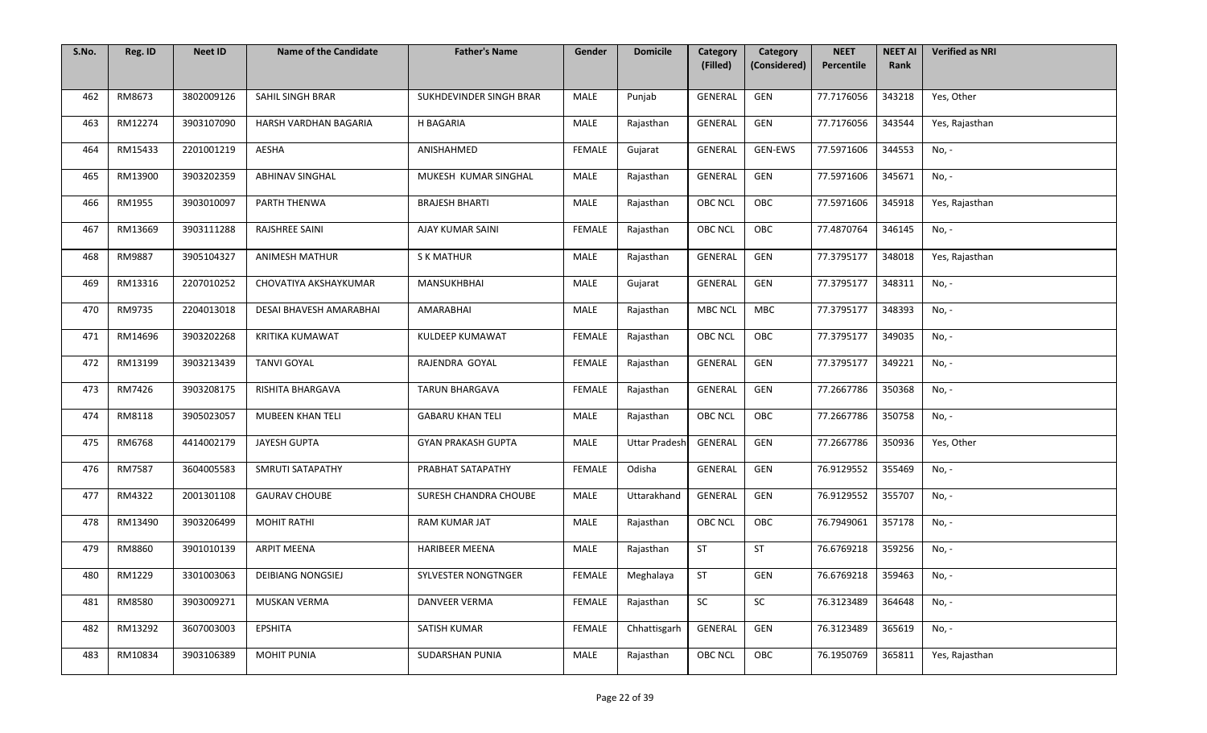| S.No. | Reg. ID | <b>Neet ID</b> | <b>Name of the Candidate</b> | <b>Father's Name</b>      | Gender        | <b>Domicile</b>      | Category<br>(Filled) | Category<br>(Considered) | <b>NEET</b><br>Percentile | <b>NEET AI</b><br>Rank | <b>Verified as NRI</b> |
|-------|---------|----------------|------------------------------|---------------------------|---------------|----------------------|----------------------|--------------------------|---------------------------|------------------------|------------------------|
|       |         |                |                              |                           |               |                      |                      |                          |                           |                        |                        |
| 462   | RM8673  | 3802009126     | SAHIL SINGH BRAR             | SUKHDEVINDER SINGH BRAR   | MALE          | Punjab               | GENERAL              | GEN                      | 77.7176056                | 343218                 | Yes, Other             |
| 463   | RM12274 | 3903107090     | HARSH VARDHAN BAGARIA        | H BAGARIA                 | MALE          | Rajasthan            | GENERAL              | GEN                      | 77.7176056                | 343544                 | Yes, Rajasthan         |
| 464   | RM15433 | 2201001219     | <b>AESHA</b>                 | ANISHAHMED                | <b>FEMALE</b> | Gujarat              | GENERAL              | GEN-EWS                  | 77.5971606                | 344553                 | No, -                  |
| 465   | RM13900 | 3903202359     | <b>ABHINAV SINGHAL</b>       | MUKESH KUMAR SINGHAL      | MALE          | Rajasthan            | GENERAL              | GEN                      | 77.5971606                | 345671                 | No, -                  |
| 466   | RM1955  | 3903010097     | PARTH THENWA                 | <b>BRAJESH BHARTI</b>     | MALE          | Rajasthan            | <b>OBC NCL</b>       | OBC                      | 77.5971606                | 345918                 | Yes, Rajasthan         |
| 467   | RM13669 | 3903111288     | RAJSHREE SAINI               | AJAY KUMAR SAINI          | <b>FEMALE</b> | Rajasthan            | <b>OBC NCL</b>       | OBC                      | 77.4870764                | 346145                 | No, -                  |
| 468   | RM9887  | 3905104327     | <b>ANIMESH MATHUR</b>        | <b>S K MATHUR</b>         | MALE          | Rajasthan            | GENERAL              | GEN                      | 77.3795177                | 348018                 | Yes, Rajasthan         |
| 469   | RM13316 | 2207010252     | CHOVATIYA AKSHAYKUMAR        | MANSUKHBHAI               | MALE          | Gujarat              | GENERAL              | GEN                      | 77.3795177                | 348311                 | No, -                  |
| 470   | RM9735  | 2204013018     | DESAI BHAVESH AMARABHAI      | AMARABHAI                 | MALE          | Rajasthan            | <b>MBC NCL</b>       | MBC                      | 77.3795177                | 348393                 | No, -                  |
| 471   | RM14696 | 3903202268     | KRITIKA KUMAWAT              | KULDEEP KUMAWAT           | FEMALE        | Rajasthan            | <b>OBC NCL</b>       | OBC                      | 77.3795177                | 349035                 | No, -                  |
| 472   | RM13199 | 3903213439     | <b>TANVI GOYAL</b>           | RAJENDRA GOYAL            | <b>FEMALE</b> | Rajasthan            | GENERAL              | GEN                      | 77.3795177                | 349221                 | No, -                  |
| 473   | RM7426  | 3903208175     | RISHITA BHARGAVA             | <b>TARUN BHARGAVA</b>     | <b>FEMALE</b> | Rajasthan            | GENERAL              | GEN                      | 77.2667786                | 350368                 | No, -                  |
| 474   | RM8118  | 3905023057     | MUBEEN KHAN TELI             | <b>GABARU KHAN TELI</b>   | MALE          | Rajasthan            | <b>OBC NCL</b>       | OBC                      | 77.2667786                | 350758                 | No, -                  |
| 475   | RM6768  | 4414002179     | JAYESH GUPTA                 | <b>GYAN PRAKASH GUPTA</b> | MALE          | <b>Uttar Pradesh</b> | GENERAL              | GEN                      | 77.2667786                | 350936                 | Yes, Other             |
| 476   | RM7587  | 3604005583     | SMRUTI SATAPATHY             | PRABHAT SATAPATHY         | FEMALE        | Odisha               | GENERAL              | GEN                      | 76.9129552                | 355469                 | No, -                  |
| 477   | RM4322  | 2001301108     | <b>GAURAV CHOUBE</b>         | SURESH CHANDRA CHOUBE     | MALE          | Uttarakhand          | GENERAL              | GEN                      | 76.9129552                | 355707                 | No, -                  |
| 478   | RM13490 | 3903206499     | <b>MOHIT RATHI</b>           | RAM KUMAR JAT             | MALE          | Rajasthan            | <b>OBC NCL</b>       | OBC                      | 76.7949061                | 357178                 | No, -                  |
| 479   | RM8860  | 3901010139     | <b>ARPIT MEENA</b>           | <b>HARIBEER MEENA</b>     | MALE          | Rajasthan            | <b>ST</b>            | ST                       | 76.6769218                | 359256                 | No, -                  |
| 480   | RM1229  | 3301003063     | <b>DEIBIANG NONGSIEJ</b>     | SYLVESTER NONGTNGER       | FEMALE        | Meghalaya            | <b>ST</b>            | GEN                      | 76.6769218                | 359463                 | No, -                  |
| 481   | RM8580  | 3903009271     | MUSKAN VERMA                 | <b>DANVEER VERMA</b>      | FEMALE        | Rajasthan            | SC                   | SC                       | 76.3123489                | 364648                 | No, -                  |
| 482   | RM13292 | 3607003003     | EPSHITA                      | SATISH KUMAR              | <b>FEMALE</b> | Chhattisgarh         | GENERAL              | GEN                      | 76.3123489                | 365619                 | No, -                  |
| 483   | RM10834 | 3903106389     | MOHIT PUNIA                  | SUDARSHAN PUNIA           | MALE          | Rajasthan            | <b>OBC NCL</b>       | OBC                      | 76.1950769                | 365811                 | Yes, Rajasthan         |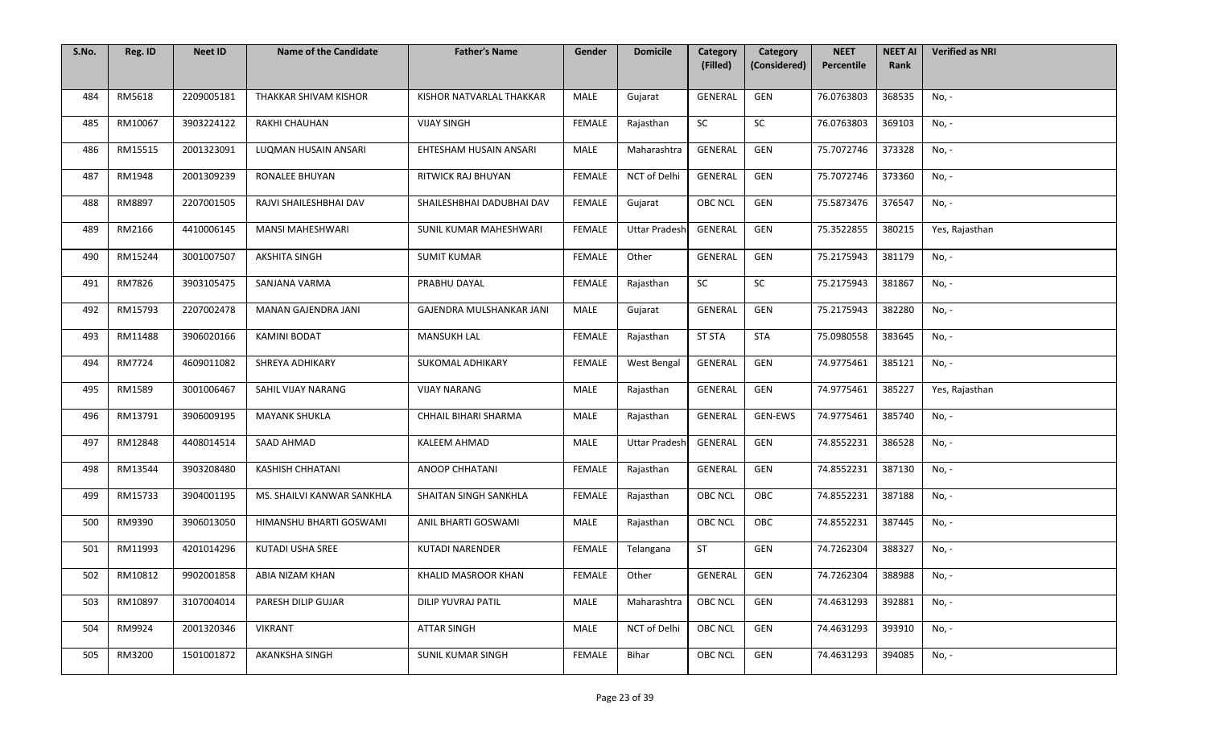| S.No. | Reg. ID | <b>Neet ID</b> | <b>Name of the Candidate</b> | <b>Father's Name</b>      | Gender        | <b>Domicile</b>      | Category<br>(Filled) | Category<br>(Considered) | <b>NEET</b><br>Percentile | <b>NEET AI</b><br>Rank | <b>Verified as NRI</b> |
|-------|---------|----------------|------------------------------|---------------------------|---------------|----------------------|----------------------|--------------------------|---------------------------|------------------------|------------------------|
|       |         |                |                              |                           |               |                      |                      |                          |                           |                        |                        |
| 484   | RM5618  | 2209005181     | THAKKAR SHIVAM KISHOR        | KISHOR NATVARLAL THAKKAR  | MALE          | Gujarat              | GENERAL              | GEN                      | 76.0763803                | 368535                 | No, -                  |
| 485   | RM10067 | 3903224122     | RAKHI CHAUHAN                | <b>VIJAY SINGH</b>        | <b>FEMALE</b> | Rajasthan            | SC                   | SC                       | 76.0763803                | 369103                 | No, -                  |
| 486   | RM15515 | 2001323091     | LUQMAN HUSAIN ANSARI         | EHTESHAM HUSAIN ANSARI    | MALE          | Maharashtra          | GENERAL              | GEN                      | 75.7072746                | 373328                 | No, -                  |
| 487   | RM1948  | 2001309239     | <b>RONALEE BHUYAN</b>        | RITWICK RAJ BHUYAN        | <b>FEMALE</b> | NCT of Delhi         | GENERAL              | GEN                      | 75.7072746                | 373360                 | No, -                  |
| 488   | RM8897  | 2207001505     | RAJVI SHAILESHBHAI DAV       | SHAILESHBHAI DADUBHAI DAV | <b>FEMALE</b> | Gujarat              | OBC NCL              | GEN                      | 75.5873476                | 376547                 | No, -                  |
| 489   | RM2166  | 4410006145     | <b>MANSI MAHESHWARI</b>      | SUNIL KUMAR MAHESHWARI    | FEMALE        | <b>Uttar Pradesh</b> | GENERAL              | GEN                      | 75.3522855                | 380215                 | Yes, Rajasthan         |
| 490   | RM15244 | 3001007507     | <b>AKSHITA SINGH</b>         | <b>SUMIT KUMAR</b>        | FEMALE        | Other                | GENERAL              | GEN                      | 75.2175943                | 381179                 | No, -                  |
| 491   | RM7826  | 3903105475     | SANJANA VARMA                | PRABHU DAYAL              | <b>FEMALE</b> | Rajasthan            | SC                   | SC                       | 75.2175943                | 381867                 | No, -                  |
| 492   | RM15793 | 2207002478     | MANAN GAJENDRA JANI          | GAJENDRA MULSHANKAR JANI  | MALE          | Gujarat              | GENERAL              | GEN                      | 75.2175943                | 382280                 | No, -                  |
| 493   | RM11488 | 3906020166     | <b>KAMINI BODAT</b>          | <b>MANSUKH LAL</b>        | FEMALE        | Rajasthan            | <b>ST STA</b>        | <b>STA</b>               | 75.0980558                | 383645                 | No, -                  |
| 494   | RM7724  | 4609011082     | SHREYA ADHIKARY              | SUKOMAL ADHIKARY          | <b>FEMALE</b> | West Bengal          | GENERAL              | GEN                      | 74.9775461                | 385121                 | No, -                  |
| 495   | RM1589  | 3001006467     | SAHIL VIJAY NARANG           | <b>VIJAY NARANG</b>       | MALE          | Rajasthan            | GENERAL              | GEN                      | 74.9775461                | 385227                 | Yes, Rajasthan         |
| 496   | RM13791 | 3906009195     | <b>MAYANK SHUKLA</b>         | CHHAIL BIHARI SHARMA      | MALE          | Rajasthan            | GENERAL              | GEN-EWS                  | 74.9775461                | 385740                 | No, -                  |
| 497   | RM12848 | 4408014514     | SAAD AHMAD                   | <b>KALEEM AHMAD</b>       | MALE          | <b>Uttar Pradesh</b> | GENERAL              | GEN                      | 74.8552231                | 386528                 | No, -                  |
| 498   | RM13544 | 3903208480     | <b>KASHISH CHHATANI</b>      | ANOOP CHHATANI            | <b>FEMALE</b> | Rajasthan            | GENERAL              | GEN                      | 74.8552231                | 387130                 | No, -                  |
| 499   | RM15733 | 3904001195     | MS. SHAILVI KANWAR SANKHLA   | SHAITAN SINGH SANKHLA     | <b>FEMALE</b> | Rajasthan            | <b>OBC NCL</b>       | OBC                      | 74.8552231                | 387188                 | No, -                  |
| 500   | RM9390  | 3906013050     | HIMANSHU BHARTI GOSWAMI      | ANIL BHARTI GOSWAMI       | MALE          | Rajasthan            | <b>OBC NCL</b>       | OBC                      | 74.8552231                | 387445                 | No, -                  |
| 501   | RM11993 | 4201014296     | KUTADI USHA SREE             | KUTADI NARENDER           | <b>FEMALE</b> | Telangana            | <b>ST</b>            | GEN                      | 74.7262304                | 388327                 | No, -                  |
| 502   | RM10812 | 9902001858     | ABIA NIZAM KHAN              | KHALID MASROOR KHAN       | FEMALE        | Other                | GENERAL              | GEN                      | 74.7262304                | 388988                 | No, -                  |
| 503   | RM10897 | 3107004014     | PARESH DILIP GUJAR           | DILIP YUVRAJ PATIL        | MALE          | Maharashtra          | <b>OBC NCL</b>       | GEN                      | 74.4631293                | 392881                 | No, -                  |
| 504   | RM9924  | 2001320346     | <b>VIKRANT</b>               | ATTAR SINGH               | MALE          | <b>NCT of Delhi</b>  | <b>OBC NCL</b>       | GEN                      | 74.4631293                | 393910                 | No, -                  |
| 505   | RM3200  | 1501001872     | AKANKSHA SINGH               | SUNIL KUMAR SINGH         | <b>FEMALE</b> | Bihar                | <b>OBC NCL</b>       | GEN                      | 74.4631293                | 394085                 | No, -                  |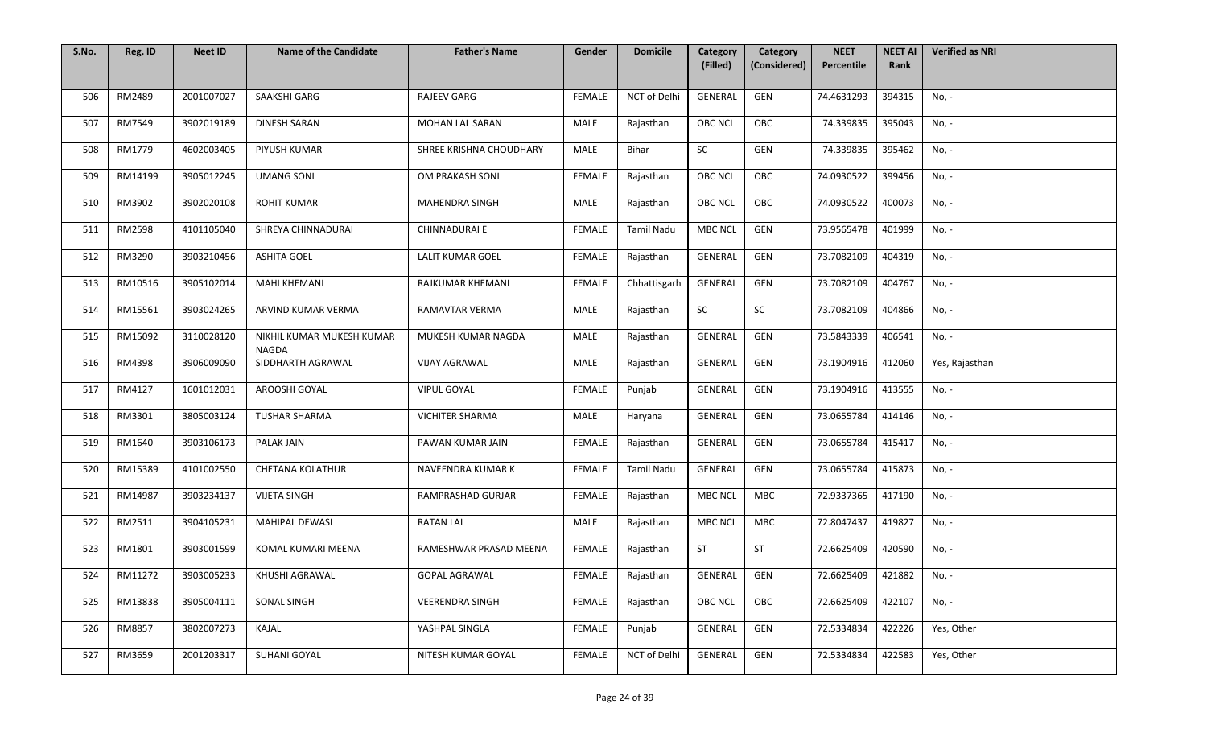| S.No. | Reg. ID | <b>Neet ID</b> | <b>Name of the Candidate</b>              | <b>Father's Name</b>    | Gender        | <b>Domicile</b>   | Category<br>(Filled) | Category<br>(Considered) | <b>NEET</b><br>Percentile | <b>NEET AI</b><br>Rank | <b>Verified as NRI</b> |
|-------|---------|----------------|-------------------------------------------|-------------------------|---------------|-------------------|----------------------|--------------------------|---------------------------|------------------------|------------------------|
|       |         |                |                                           |                         |               |                   |                      |                          |                           |                        |                        |
| 506   | RM2489  | 2001007027     | SAAKSHI GARG                              | <b>RAJEEV GARG</b>      | <b>FEMALE</b> | NCT of Delhi      | GENERAL              | GEN                      | 74.4631293                | 394315                 | No, -                  |
| 507   | RM7549  | 3902019189     | <b>DINESH SARAN</b>                       | MOHAN LAL SARAN         | <b>MALE</b>   | Rajasthan         | OBC NCL              | OBC                      | 74.339835                 | 395043                 | No, -                  |
| 508   | RM1779  | 4602003405     | PIYUSH KUMAR                              | SHREE KRISHNA CHOUDHARY | MALE          | Bihar             | SC                   | GEN                      | 74.339835                 | 395462                 | No, -                  |
| 509   | RM14199 | 3905012245     | <b>UMANG SONI</b>                         | OM PRAKASH SONI         | <b>FEMALE</b> | Rajasthan         | <b>OBC NCL</b>       | OBC                      | 74.0930522                | 399456                 | No, -                  |
| 510   | RM3902  | 3902020108     | <b>ROHIT KUMAR</b>                        | <b>MAHENDRA SINGH</b>   | MALE          | Rajasthan         | OBC NCL              | OBC                      | 74.0930522                | 400073                 | No, -                  |
| 511   | RM2598  | 4101105040     | SHREYA CHINNADURAI                        | <b>CHINNADURAI E</b>    | FEMALE        | <b>Tamil Nadu</b> | <b>MBC NCL</b>       | GEN                      | 73.9565478                | 401999                 | No, -                  |
| 512   | RM3290  | 3903210456     | <b>ASHITA GOEL</b>                        | <b>LALIT KUMAR GOEL</b> | FEMALE        | Rajasthan         | GENERAL              | GEN                      | 73.7082109                | 404319                 | No, -                  |
| 513   | RM10516 | 3905102014     | <b>MAHI KHEMANI</b>                       | RAJKUMAR KHEMANI        | FEMALE        | Chhattisgarh      | GENERAL              | GEN                      | 73.7082109                | 404767                 | No, -                  |
| 514   | RM15561 | 3903024265     | ARVIND KUMAR VERMA                        | RAMAVTAR VERMA          | <b>MALE</b>   | Rajasthan         | SC                   | SC                       | 73.7082109                | 404866                 | No, -                  |
| 515   | RM15092 | 3110028120     | NIKHIL KUMAR MUKESH KUMAR<br><b>NAGDA</b> | MUKESH KUMAR NAGDA      | MALE          | Rajasthan         | GENERAL              | GEN                      | 73.5843339                | 406541                 | No, -                  |
| 516   | RM4398  | 3906009090     | SIDDHARTH AGRAWAL                         | <b>VIJAY AGRAWAL</b>    | <b>MALE</b>   | Rajasthan         | GENERAL              | GEN                      | 73.1904916                | 412060                 | Yes, Rajasthan         |
| 517   | RM4127  | 1601012031     | AROOSHI GOYAL                             | <b>VIPUL GOYAL</b>      | <b>FEMALE</b> | Punjab            | GENERAL              | GEN                      | 73.1904916                | 413555                 | No, -                  |
| 518   | RM3301  | 3805003124     | <b>TUSHAR SHARMA</b>                      | <b>VICHITER SHARMA</b>  | MALE          | Haryana           | <b>GENERAL</b>       | GEN                      | 73.0655784                | 414146                 | No, -                  |
| 519   | RM1640  | 3903106173     | <b>PALAK JAIN</b>                         | PAWAN KUMAR JAIN        | <b>FEMALE</b> | Rajasthan         | GENERAL              | GEN                      | 73.0655784                | 415417                 | No, -                  |
| 520   | RM15389 | 4101002550     | <b>CHETANA KOLATHUR</b>                   | NAVEENDRA KUMAR K       | FEMALE        | <b>Tamil Nadu</b> | GENERAL              | GEN                      | 73.0655784                | 415873                 | No, -                  |
| 521   | RM14987 | 3903234137     | <b>VIJETA SINGH</b>                       | RAMPRASHAD GURJAR       | <b>FEMALE</b> | Rajasthan         | <b>MBC NCL</b>       | MBC                      | 72.9337365                | 417190                 | No, -                  |
| 522   | RM2511  | 3904105231     | <b>MAHIPAL DEWASI</b>                     | <b>RATAN LAL</b>        | MALE          | Rajasthan         | <b>MBC NCL</b>       | MBC                      | 72.8047437                | 419827                 | No, -                  |
| 523   | RM1801  | 3903001599     | KOMAL KUMARI MEENA                        | RAMESHWAR PRASAD MEENA  | <b>FEMALE</b> | Rajasthan         | ST                   | <b>ST</b>                | 72.6625409                | 420590                 | No, -                  |
| 524   | RM11272 | 3903005233     | KHUSHI AGRAWAL                            | <b>GOPAL AGRAWAL</b>    | FEMALE        | Rajasthan         | GENERAL              | GEN                      | 72.6625409                | 421882                 | No, -                  |
| 525   | RM13838 | 3905004111     | SONAL SINGH                               | <b>VEERENDRA SINGH</b>  | FEMALE        | Rajasthan         | <b>OBC NCL</b>       | OBC                      | 72.6625409                | 422107                 | No, -                  |
| 526   | RM8857  | 3802007273     | KAJAL                                     | YASHPAL SINGLA          | <b>FEMALE</b> | Punjab            | GENERAL              | GEN                      | 72.5334834                | 422226                 | Yes, Other             |
| 527   | RM3659  | 2001203317     | SUHANI GOYAL                              | NITESH KUMAR GOYAL      | FEMALE        | NCT of Delhi      | GENERAL              | GEN                      | 72.5334834                | 422583                 | Yes, Other             |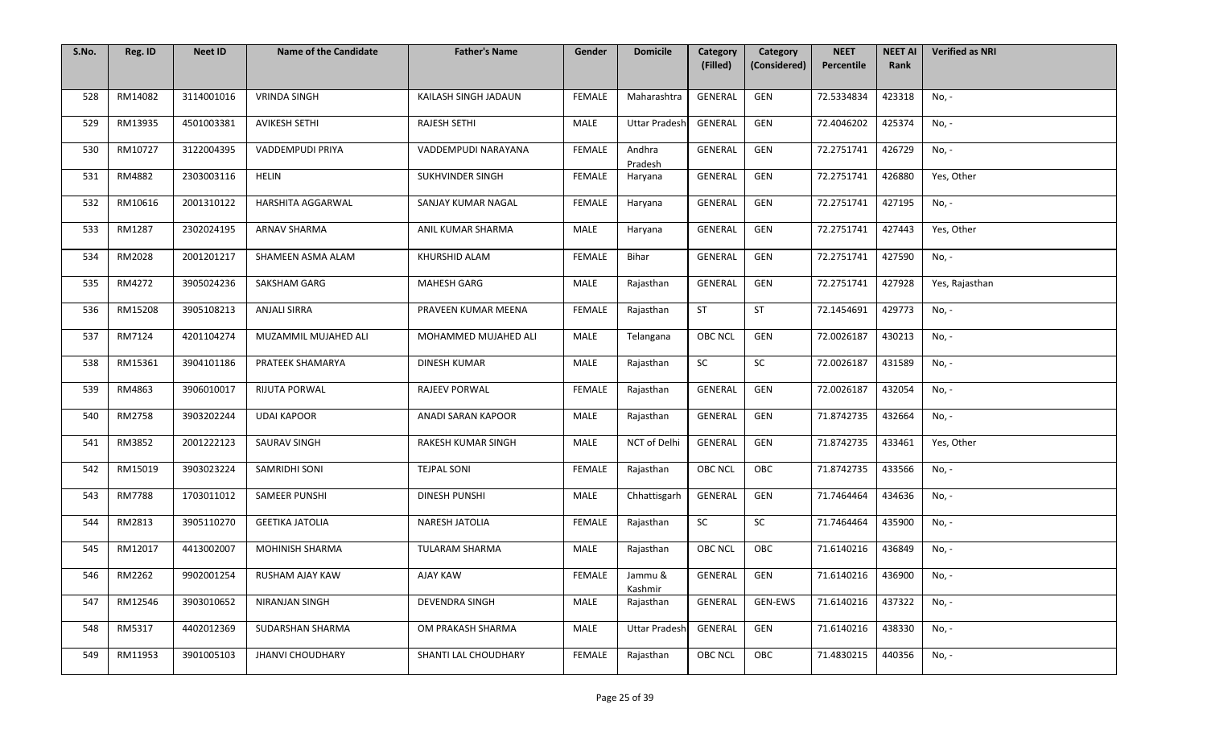| S.No. | Reg. ID       | <b>Neet ID</b> | <b>Name of the Candidate</b> | <b>Father's Name</b>  | Gender        | <b>Domicile</b>      | Category<br>(Filled) | Category<br>(Considered) | <b>NEET</b><br>Percentile | <b>NEET AI</b><br>Rank | <b>Verified as NRI</b> |
|-------|---------------|----------------|------------------------------|-----------------------|---------------|----------------------|----------------------|--------------------------|---------------------------|------------------------|------------------------|
|       |               |                |                              |                       |               |                      |                      |                          |                           |                        |                        |
| 528   | RM14082       | 3114001016     | <b>VRINDA SINGH</b>          | KAILASH SINGH JADAUN  | <b>FEMALE</b> | Maharashtra          | GENERAL              | GEN                      | 72.5334834                | 423318                 | No, -                  |
| 529   | RM13935       | 4501003381     | <b>AVIKESH SETHI</b>         | <b>RAJESH SETHI</b>   | MALE          | <b>Uttar Pradesh</b> | GENERAL              | GEN                      | 72.4046202                | 425374                 | No, -                  |
| 530   | RM10727       | 3122004395     | VADDEMPUDI PRIYA             | VADDEMPUDI NARAYANA   | <b>FEMALE</b> | Andhra<br>Pradesh    | GENERAL              | GEN                      | 72.2751741                | 426729                 | No, -                  |
| 531   | RM4882        | 2303003116     | HELIN                        | SUKHVINDER SINGH      | <b>FEMALE</b> | Haryana              | GENERAL              | GEN                      | 72.2751741                | 426880                 | Yes, Other             |
| 532   | RM10616       | 2001310122     | <b>HARSHITA AGGARWAL</b>     | SANJAY KUMAR NAGAL    | <b>FEMALE</b> | Haryana              | GENERAL              | GEN                      | 72.2751741                | 427195                 | No, -                  |
| 533   | RM1287        | 2302024195     | <b>ARNAV SHARMA</b>          | ANIL KUMAR SHARMA     | MALE          | Haryana              | GENERAL              | GEN                      | 72.2751741                | 427443                 | Yes, Other             |
| 534   | RM2028        | 2001201217     | SHAMEEN ASMA ALAM            | KHURSHID ALAM         | FEMALE        | Bihar                | GENERAL              | GEN                      | 72.2751741                | 427590                 | No, -                  |
| 535   | RM4272        | 3905024236     | SAKSHAM GARG                 | MAHESH GARG           | MALE          | Rajasthan            | GENERAL              | GEN                      | 72.2751741                | 427928                 | Yes, Rajasthan         |
| 536   | RM15208       | 3905108213     | <b>ANJALI SIRRA</b>          | PRAVEEN KUMAR MEENA   | <b>FEMALE</b> | Rajasthan            | <b>ST</b>            | ST                       | 72.1454691                | 429773                 | No, -                  |
| 537   | RM7124        | 4201104274     | MUZAMMIL MUJAHED ALI         | MOHAMMED MUJAHED ALI  | MALE          | Telangana            | OBC NCL              | GEN                      | 72.0026187                | 430213                 | No, -                  |
| 538   | RM15361       | 3904101186     | PRATEEK SHAMARYA             | <b>DINESH KUMAR</b>   | MALE          | Rajasthan            | SC                   | SC                       | 72.0026187                | 431589                 | No, -                  |
| 539   | RM4863        | 3906010017     | RIJUTA PORWAL                | RAJEEV PORWAL         | FEMALE        | Rajasthan            | GENERAL              | GEN                      | 72.0026187                | 432054                 | No, -                  |
| 540   | RM2758        | 3903202244     | <b>UDAI KAPOOR</b>           | ANADI SARAN KAPOOR    | MALE          | Rajasthan            | GENERAL              | GEN                      | 71.8742735                | 432664                 | No, -                  |
| 541   | RM3852        | 2001222123     | <b>SAURAV SINGH</b>          | RAKESH KUMAR SINGH    | MALE          | NCT of Delhi         | GENERAL              | GEN                      | 71.8742735                | 433461                 | Yes, Other             |
| 542   | RM15019       | 3903023224     | SAMRIDHI SONI                | <b>TEJPAL SONI</b>    | FEMALE        | Rajasthan            | <b>OBC NCL</b>       | OBC                      | 71.8742735                | 433566                 | No, -                  |
| 543   | <b>RM7788</b> | 1703011012     | <b>SAMEER PUNSHI</b>         | <b>DINESH PUNSHI</b>  | MALE          | Chhattisgarh         | GENERAL              | GEN                      | 71.7464464                | 434636                 | No, -                  |
| 544   | RM2813        | 3905110270     | <b>GEETIKA JATOLIA</b>       | NARESH JATOLIA        | <b>FEMALE</b> | Rajasthan            | SC                   | SC                       | 71.7464464                | 435900                 | No, -                  |
| 545   | RM12017       | 4413002007     | <b>MOHINISH SHARMA</b>       | TULARAM SHARMA        | MALE          | Rajasthan            | OBC NCL              | OBC                      | 71.6140216                | 436849                 | No, -                  |
| 546   | RM2262        | 9902001254     | RUSHAM AJAY KAW              | <b>AJAY KAW</b>       | FEMALE        | Jammu &<br>Kashmir   | GENERAL              | GEN                      | 71.6140216                | 436900                 | No, -                  |
| 547   | RM12546       | 3903010652     | NIRANJAN SINGH               | <b>DEVENDRA SINGH</b> | MALE          | Rajasthan            | GENERAL              | GEN-EWS                  | 71.6140216                | 437322                 | No, -                  |
| 548   | RM5317        | 4402012369     | SUDARSHAN SHARMA             | OM PRAKASH SHARMA     | MALE          | <b>Uttar Pradesh</b> | <b>GENERAL</b>       | GEN                      | 71.6140216                | 438330                 | No, -                  |
| 549   | RM11953       | 3901005103     | <b>JHANVI CHOUDHARY</b>      | SHANTI LAL CHOUDHARY  | FEMALE        | Rajasthan            | OBC NCL              | OBC                      | 71.4830215                | 440356                 | No, -                  |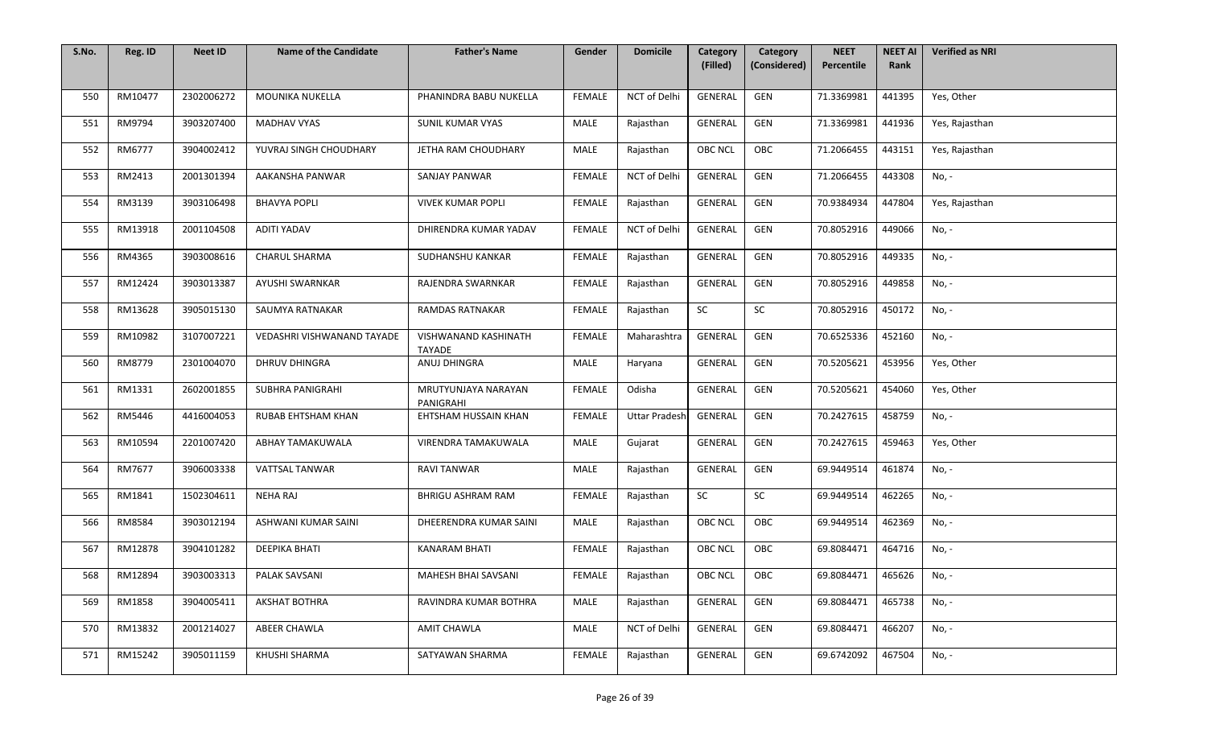| S.No. | Reg. ID | <b>Neet ID</b> | <b>Name of the Candidate</b> | <b>Father's Name</b>                  | Gender        | <b>Domicile</b>      | Category<br>(Filled) | Category<br>(Considered) | <b>NEET</b><br>Percentile | <b>NEET AI</b><br>Rank | <b>Verified as NRI</b> |
|-------|---------|----------------|------------------------------|---------------------------------------|---------------|----------------------|----------------------|--------------------------|---------------------------|------------------------|------------------------|
|       |         |                |                              |                                       |               |                      |                      |                          |                           |                        |                        |
| 550   | RM10477 | 2302006272     | MOUNIKA NUKELLA              | PHANINDRA BABU NUKELLA                | <b>FEMALE</b> | NCT of Delhi         | GENERAL              | GEN                      | 71.3369981                | 441395                 | Yes, Other             |
| 551   | RM9794  | 3903207400     | <b>MADHAV VYAS</b>           | SUNIL KUMAR VYAS                      | MALE          | Rajasthan            | GENERAL              | GEN                      | 71.3369981                | 441936                 | Yes, Rajasthan         |
| 552   | RM6777  | 3904002412     | YUVRAJ SINGH CHOUDHARY       | JETHA RAM CHOUDHARY                   | MALE          | Rajasthan            | <b>OBC NCL</b>       | OBC                      | 71.2066455                | 443151                 | Yes, Rajasthan         |
| 553   | RM2413  | 2001301394     | AAKANSHA PANWAR              | <b>SANJAY PANWAR</b>                  | <b>FEMALE</b> | NCT of Delhi         | GENERAL              | GEN                      | 71.2066455                | 443308                 | $No, -$                |
| 554   | RM3139  | 3903106498     | <b>BHAVYA POPLI</b>          | <b>VIVEK KUMAR POPLI</b>              | <b>FEMALE</b> | Rajasthan            | GENERAL              | GEN                      | 70.9384934                | 447804                 | Yes, Rajasthan         |
| 555   | RM13918 | 2001104508     | <b>ADITI YADAV</b>           | DHIRENDRA KUMAR YADAV                 | FEMALE        | NCT of Delhi         | GENERAL              | GEN                      | 70.8052916                | 449066                 | No, -                  |
| 556   | RM4365  | 3903008616     | CHARUL SHARMA                | SUDHANSHU KANKAR                      | FEMALE        | Rajasthan            | GENERAL              | GEN                      | 70.8052916                | 449335                 | No, -                  |
| 557   | RM12424 | 3903013387     | AYUSHI SWARNKAR              | RAJENDRA SWARNKAR                     | FEMALE        | Rajasthan            | GENERAL              | GEN                      | 70.8052916                | 449858                 | No, -                  |
| 558   | RM13628 | 3905015130     | SAUMYA RATNAKAR              | <b>RAMDAS RATNAKAR</b>                | <b>FEMALE</b> | Rajasthan            | SC                   | SC                       | 70.8052916                | 450172                 | No, -                  |
| 559   | RM10982 | 3107007221     | VEDASHRI VISHWANAND TAYADE   | VISHWANAND KASHINATH<br><b>TAYADE</b> | FEMALE        | Maharashtra          | GENERAL              | GEN                      | 70.6525336                | 452160                 | No, -                  |
| 560   | RM8779  | 2301004070     | <b>DHRUV DHINGRA</b>         | ANUJ DHINGRA                          | MALE          | Haryana              | GENERAL              | GEN                      | 70.5205621                | 453956                 | Yes, Other             |
| 561   | RM1331  | 2602001855     | SUBHRA PANIGRAHI             | MRUTYUNJAYA NARAYAN<br>PANIGRAHI      | <b>FEMALE</b> | Odisha               | GENERAL              | GEN                      | 70.5205621                | 454060                 | Yes, Other             |
| 562   | RM5446  | 4416004053     | <b>RUBAB EHTSHAM KHAN</b>    | EHTSHAM HUSSAIN KHAN                  | <b>FEMALE</b> | <b>Uttar Pradesh</b> | GENERAL              | GEN                      | 70.2427615                | 458759                 | No, -                  |
| 563   | RM10594 | 2201007420     | ABHAY TAMAKUWALA             | VIRENDRA TAMAKUWALA                   | MALE          | Gujarat              | GENERAL              | GEN                      | 70.2427615                | 459463                 | Yes, Other             |
| 564   | RM7677  | 3906003338     | <b>VATTSAL TANWAR</b>        | RAVI TANWAR                           | MALE          | Rajasthan            | GENERAL              | GEN                      | 69.9449514                | 461874                 | No, -                  |
| 565   | RM1841  | 1502304611     | NEHA RAJ                     | <b>BHRIGU ASHRAM RAM</b>              | <b>FEMALE</b> | Rajasthan            | SC                   | ${\sf SC}$               | 69.9449514                | 462265                 | No, -                  |
| 566   | RM8584  | 3903012194     | ASHWANI KUMAR SAINI          | DHEERENDRA KUMAR SAINI                | MALE          | Rajasthan            | OBC NCL              | OBC                      | 69.9449514                | 462369                 | No, -                  |
| 567   | RM12878 | 3904101282     | DEEPIKA BHATI                | <b>KANARAM BHATI</b>                  | FEMALE        | Rajasthan            | OBC NCL              | OBC                      | 69.8084471                | 464716                 | No, -                  |
| 568   | RM12894 | 3903003313     | PALAK SAVSANI                | <b>MAHESH BHAI SAVSANI</b>            | FEMALE        | Rajasthan            | OBC NCL              | OBC                      | 69.8084471                | 465626                 | No, -                  |
| 569   | RM1858  | 3904005411     | <b>AKSHAT BOTHRA</b>         | RAVINDRA KUMAR BOTHRA                 | MALE          | Rajasthan            | GENERAL              | GEN                      | 69.8084471                | 465738                 | No, -                  |
| 570   | RM13832 | 2001214027     | ABEER CHAWLA                 | <b>AMIT CHAWLA</b>                    | MALE          | NCT of Delhi         | GENERAL              | GEN                      | 69.8084471                | 466207                 | No, -                  |
| 571   | RM15242 | 3905011159     | KHUSHI SHARMA                | SATYAWAN SHARMA                       | <b>FEMALE</b> | Rajasthan            | GENERAL              | GEN                      | 69.6742092                | 467504                 | No, -                  |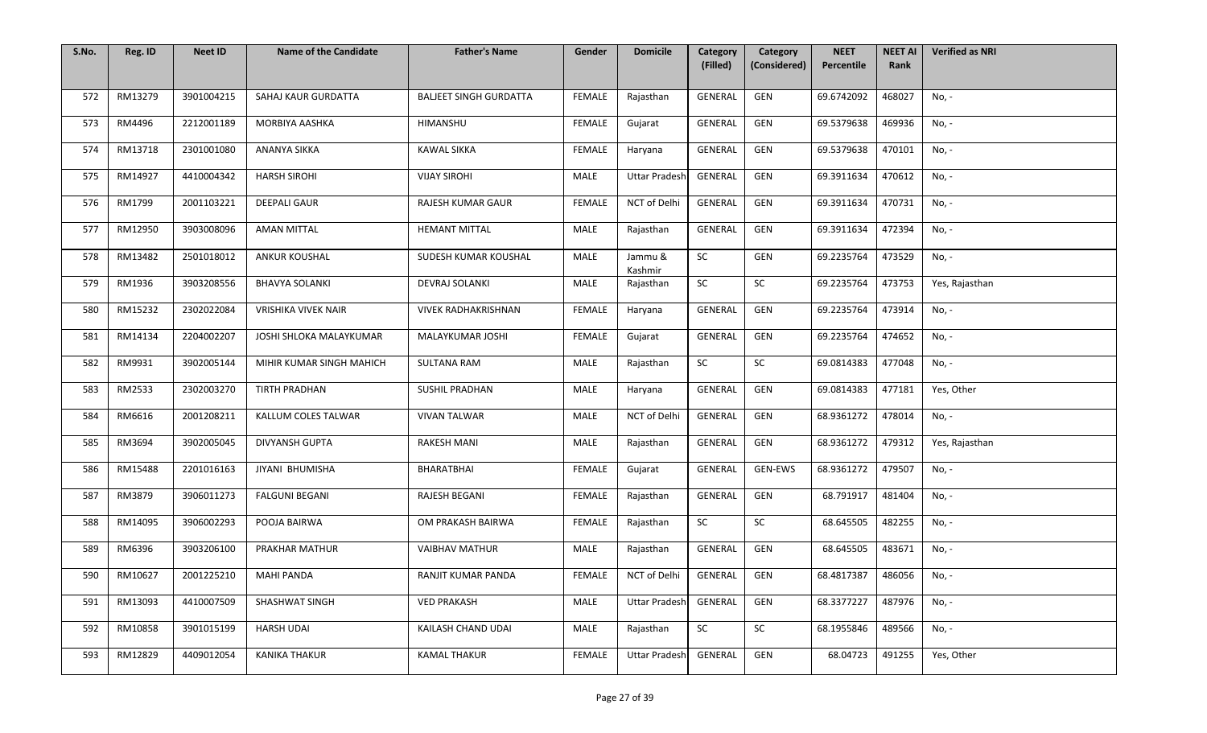| S.No. | Reg. ID | <b>Neet ID</b> | <b>Name of the Candidate</b> | <b>Father's Name</b>          | Gender        | <b>Domicile</b>      | Category<br>(Filled) | Category<br>(Considered) | <b>NEET</b><br>Percentile | <b>NEET AI</b><br>Rank | <b>Verified as NRI</b> |
|-------|---------|----------------|------------------------------|-------------------------------|---------------|----------------------|----------------------|--------------------------|---------------------------|------------------------|------------------------|
|       |         |                |                              |                               |               |                      |                      |                          |                           |                        |                        |
| 572   | RM13279 | 3901004215     | SAHAJ KAUR GURDATTA          | <b>BALJEET SINGH GURDATTA</b> | <b>FEMALE</b> | Rajasthan            | GENERAL              | GEN                      | 69.6742092                | 468027                 | No, -                  |
| 573   | RM4496  | 2212001189     | MORBIYA AASHKA               | HIMANSHU                      | <b>FEMALE</b> | Gujarat              | GENERAL              | GEN                      | 69.5379638                | 469936                 | No, -                  |
| 574   | RM13718 | 2301001080     | ANANYA SIKKA                 | <b>KAWAL SIKKA</b>            | <b>FEMALE</b> | Haryana              | GENERAL              | GEN                      | 69.5379638                | 470101                 | No, -                  |
| 575   | RM14927 | 4410004342     | <b>HARSH SIROHI</b>          | <b>VIJAY SIROHI</b>           | MALE          | <b>Uttar Pradesh</b> | <b>GENERAL</b>       | GEN                      | 69.3911634                | 470612                 | No, -                  |
| 576   | RM1799  | 2001103221     | <b>DEEPALI GAUR</b>          | RAJESH KUMAR GAUR             | FEMALE        | NCT of Delhi         | GENERAL              | GEN                      | 69.3911634                | 470731                 | No, -                  |
| 577   | RM12950 | 3903008096     | <b>AMAN MITTAL</b>           | <b>HEMANT MITTAL</b>          | MALE          | Rajasthan            | <b>GENERAL</b>       | GEN                      | 69.3911634                | 472394                 | No, -                  |
| 578   | RM13482 | 2501018012     | ANKUR KOUSHAL                | SUDESH KUMAR KOUSHAL          | MALE          | Jammu &<br>Kashmir   | SC                   | GEN                      | 69.2235764                | 473529                 | No, -                  |
| 579   | RM1936  | 3903208556     | <b>BHAVYA SOLANKI</b>        | <b>DEVRAJ SOLANKI</b>         | MALE          | Rajasthan            | SC                   | SC                       | 69.2235764                | 473753                 | Yes, Rajasthan         |
| 580   | RM15232 | 2302022084     | <b>VRISHIKA VIVEK NAIR</b>   | <b>VIVEK RADHAKRISHNAN</b>    | <b>FEMALE</b> | Haryana              | GENERAL              | GEN                      | 69.2235764                | 473914                 | No, -                  |
| 581   | RM14134 | 2204002207     | JOSHI SHLOKA MALAYKUMAR      | MALAYKUMAR JOSHI              | <b>FEMALE</b> | Gujarat              | GENERAL              | GEN                      | 69.2235764                | 474652                 | No, -                  |
| 582   | RM9931  | 3902005144     | MIHIR KUMAR SINGH MAHICH     | <b>SULTANA RAM</b>            | MALE          | Rajasthan            | SC                   | SC                       | 69.0814383                | 477048                 | No, -                  |
| 583   | RM2533  | 2302003270     | <b>TIRTH PRADHAN</b>         | <b>SUSHIL PRADHAN</b>         | MALE          | Haryana              | GENERAL              | GEN                      | 69.0814383                | 477181                 | Yes, Other             |
| 584   | RM6616  | 2001208211     | KALLUM COLES TALWAR          | <b>VIVAN TALWAR</b>           | MALE          | NCT of Delhi         | GENERAL              | GEN                      | 68.9361272                | 478014                 | No, -                  |
| 585   | RM3694  | 3902005045     | <b>DIVYANSH GUPTA</b>        | <b>RAKESH MANI</b>            | MALE          | Rajasthan            | GENERAL              | GEN                      | 68.9361272                | 479312                 | Yes, Rajasthan         |
| 586   | RM15488 | 2201016163     | JIYANI BHUMISHA              | BHARATBHAI                    | FEMALE        | Gujarat              | <b>GENERAL</b>       | GEN-EWS                  | 68.9361272                | 479507                 | No, -                  |
| 587   | RM3879  | 3906011273     | <b>FALGUNI BEGANI</b>        | RAJESH BEGANI                 | <b>FEMALE</b> | Rajasthan            | GENERAL              | GEN                      | 68.791917                 | 481404                 | No, -                  |
| 588   | RM14095 | 3906002293     | POOJA BAIRWA                 | OM PRAKASH BAIRWA             | <b>FEMALE</b> | Rajasthan            | SC                   | SC                       | 68.645505                 | 482255                 | No, -                  |
| 589   | RM6396  | 3903206100     | PRAKHAR MATHUR               | <b>VAIBHAV MATHUR</b>         | MALE          | Rajasthan            | GENERAL              | GEN                      | 68.645505                 | 483671                 | No, -                  |
| 590   | RM10627 | 2001225210     | <b>MAHI PANDA</b>            | RANJIT KUMAR PANDA            | FEMALE        | NCT of Delhi         | GENERAL              | GEN                      | 68.4817387                | 486056                 | No, -                  |
| 591   | RM13093 | 4410007509     | SHASHWAT SINGH               | <b>VED PRAKASH</b>            | MALE          | <b>Uttar Pradesh</b> | GENERAL              | GEN                      | 68.3377227                | 487976                 | No, -                  |
| 592   | RM10858 | 3901015199     | <b>HARSH UDAI</b>            | KAILASH CHAND UDAI            | MALE          | Rajasthan            | SC                   | SC                       | 68.1955846                | 489566                 | No, -                  |
| 593   | RM12829 | 4409012054     | <b>KANIKA THAKUR</b>         | <b>KAMAL THAKUR</b>           | <b>FEMALE</b> | <b>Uttar Pradesh</b> | GENERAL              | GEN                      | 68.04723                  | 491255                 | Yes, Other             |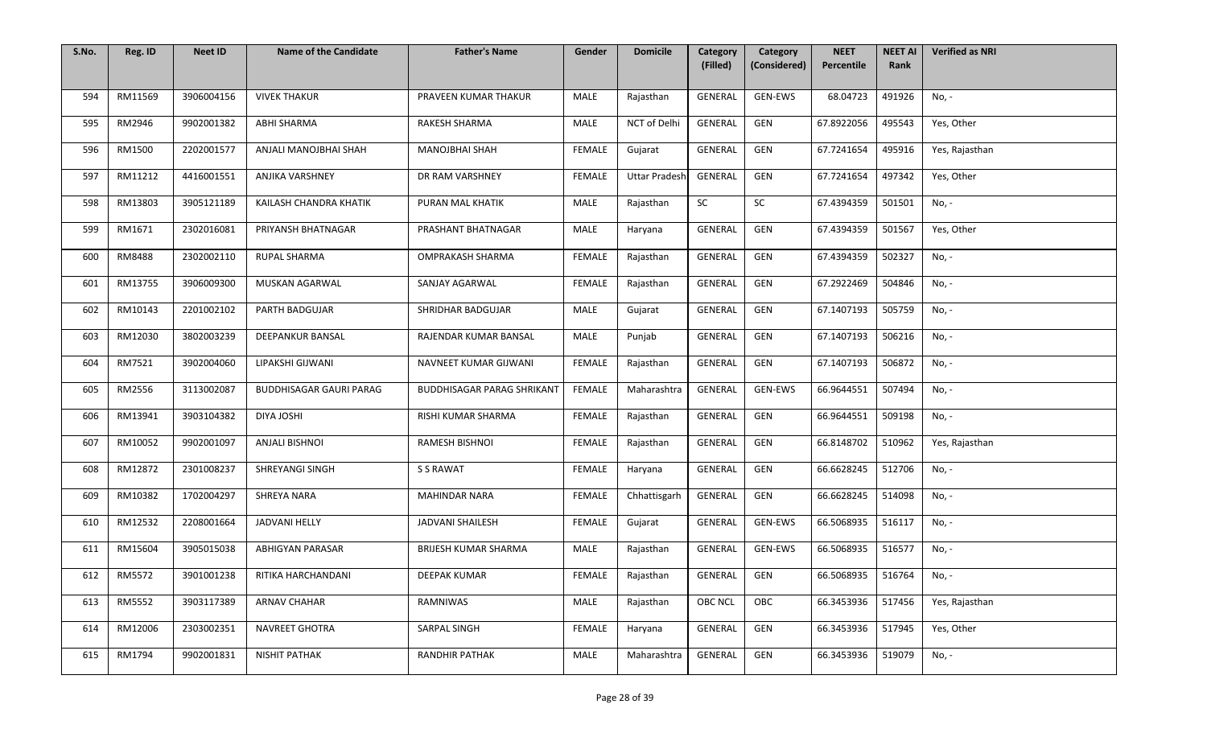| S.No. | Reg. ID | <b>Neet ID</b> | <b>Name of the Candidate</b>   | <b>Father's Name</b>              | Gender        | <b>Domicile</b>      | Category<br>(Filled) | Category<br>(Considered) | <b>NEET</b><br>Percentile | <b>NEET AI</b><br>Rank | <b>Verified as NRI</b> |
|-------|---------|----------------|--------------------------------|-----------------------------------|---------------|----------------------|----------------------|--------------------------|---------------------------|------------------------|------------------------|
|       |         |                |                                |                                   |               |                      |                      |                          |                           |                        |                        |
| 594   | RM11569 | 3906004156     | <b>VIVEK THAKUR</b>            | PRAVEEN KUMAR THAKUR              | MALE          | Rajasthan            | GENERAL              | GEN-EWS                  | 68.04723                  | 491926                 | No, -                  |
| 595   | RM2946  | 9902001382     | ABHI SHARMA                    | RAKESH SHARMA                     | MALE          | NCT of Delhi         | GENERAL              | GEN                      | 67.8922056                | 495543                 | Yes, Other             |
| 596   | RM1500  | 2202001577     | ANJALI MANOJBHAI SHAH          | <b>MANOJBHAI SHAH</b>             | <b>FEMALE</b> | Gujarat              | <b>GENERAL</b>       | GEN                      | 67.7241654                | 495916                 | Yes, Rajasthan         |
| 597   | RM11212 | 4416001551     | <b>ANJIKA VARSHNEY</b>         | DR RAM VARSHNEY                   | <b>FEMALE</b> | <b>Uttar Pradesh</b> | GENERAL              | GEN                      | 67.7241654                | 497342                 | Yes, Other             |
| 598   | RM13803 | 3905121189     | KAILASH CHANDRA KHATIK         | PURAN MAL KHATIK                  | MALE          | Rajasthan            | SC                   | SC                       | 67.4394359                | 501501                 | No, -                  |
| 599   | RM1671  | 2302016081     | PRIYANSH BHATNAGAR             | PRASHANT BHATNAGAR                | MALE          | Haryana              | GENERAL              | GEN                      | 67.4394359                | 501567                 | Yes, Other             |
| 600   | RM8488  | 2302002110     | RUPAL SHARMA                   | OMPRAKASH SHARMA                  | <b>FEMALE</b> | Rajasthan            | GENERAL              | GEN                      | 67.4394359                | 502327                 | No, -                  |
| 601   | RM13755 | 3906009300     | MUSKAN AGARWAL                 | SANJAY AGARWAL                    | <b>FEMALE</b> | Rajasthan            | GENERAL              | GEN                      | 67.2922469                | 504846                 | No, -                  |
| 602   | RM10143 | 2201002102     | <b>PARTH BADGUJAR</b>          | SHRIDHAR BADGUJAR                 | MALE          | Gujarat              | GENERAL              | GEN                      | 67.1407193                | 505759                 | No, -                  |
| 603   | RM12030 | 3802003239     | <b>DEEPANKUR BANSAL</b>        | RAJENDAR KUMAR BANSAL             | MALE          | Punjab               | GENERAL              | GEN                      | 67.1407193                | 506216                 | No, -                  |
| 604   | RM7521  | 3902004060     | LIPAKSHI GIJWANI               | NAVNEET KUMAR GIJWANI             | FEMALE        | Rajasthan            | GENERAL              | GEN                      | 67.1407193                | 506872                 | No, -                  |
| 605   | RM2556  | 3113002087     | <b>BUDDHISAGAR GAURI PARAG</b> | <b>BUDDHISAGAR PARAG SHRIKANT</b> | FEMALE        | Maharashtra          | GENERAL              | GEN-EWS                  | 66.9644551                | 507494                 | No, -                  |
| 606   | RM13941 | 3903104382     | DIYA JOSHI                     | RISHI KUMAR SHARMA                | <b>FEMALE</b> | Rajasthan            | GENERAL              | GEN                      | 66.9644551                | 509198                 | No, -                  |
| 607   | RM10052 | 9902001097     | <b>ANJALI BISHNOI</b>          | RAMESH BISHNOI                    | <b>FEMALE</b> | Rajasthan            | GENERAL              | GEN                      | 66.8148702                | 510962                 | Yes, Rajasthan         |
| 608   | RM12872 | 2301008237     | SHREYANGI SINGH                | S S RAWAT                         | FEMALE        | Haryana              | GENERAL              | GEN                      | 66.6628245                | 512706                 | No, -                  |
| 609   | RM10382 | 1702004297     | SHREYA NARA                    | <b>MAHINDAR NARA</b>              | FEMALE        | Chhattisgarh         | GENERAL              | GEN                      | 66.6628245                | 514098                 | No, -                  |
| 610   | RM12532 | 2208001664     | <b>JADVANI HELLY</b>           | <b>JADVANI SHAILESH</b>           | FEMALE        | Gujarat              | GENERAL              | GEN-EWS                  | 66.5068935                | 516117                 | No, -                  |
| 611   | RM15604 | 3905015038     | ABHIGYAN PARASAR               | <b>BRIJESH KUMAR SHARMA</b>       | MALE          | Rajasthan            | GENERAL              | GEN-EWS                  | 66.5068935                | 516577                 | No, -                  |
| 612   | RM5572  | 3901001238     | RITIKA HARCHANDANI             | DEEPAK KUMAR                      | FEMALE        | Rajasthan            | GENERAL              | GEN                      | 66.5068935                | 516764                 | No, -                  |
| 613   | RM5552  | 3903117389     | <b>ARNAV CHAHAR</b>            | RAMNIWAS                          | MALE          | Rajasthan            | <b>OBC NCL</b>       | OBC                      | 66.3453936                | 517456                 | Yes, Rajasthan         |
| 614   | RM12006 | 2303002351     | NAVREET GHOTRA                 | SARPAL SINGH                      | <b>FEMALE</b> | Haryana              | GENERAL              | GEN                      | 66.3453936                | 517945                 | Yes, Other             |
| 615   | RM1794  | 9902001831     | NISHIT PATHAK                  | RANDHIR PATHAK                    | MALE          | Maharashtra          | GENERAL              | GEN                      | 66.3453936                | 519079                 | No, -                  |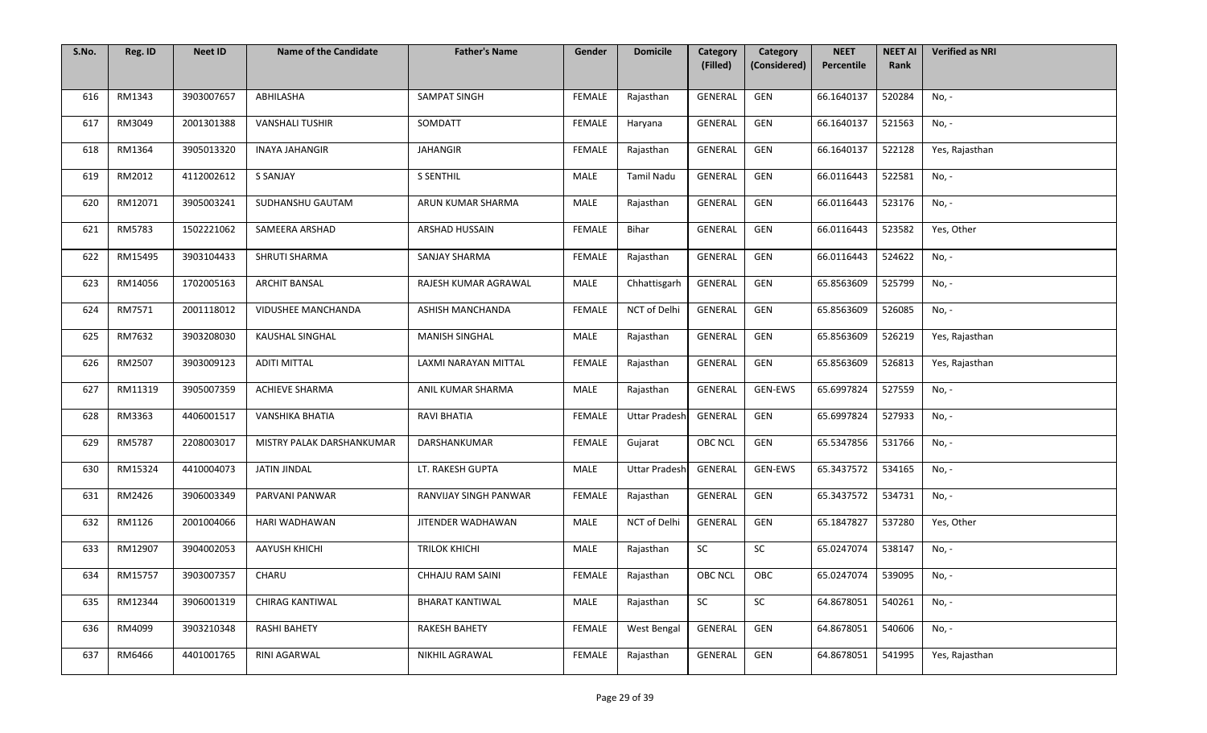| S.No. | Reg. ID | <b>Neet ID</b> | <b>Name of the Candidate</b> | <b>Father's Name</b>   | Gender        | <b>Domicile</b>      | Category<br>(Filled) | Category<br>(Considered) | <b>NEET</b><br>Percentile | <b>NEET AI</b><br>Rank | <b>Verified as NRI</b> |
|-------|---------|----------------|------------------------------|------------------------|---------------|----------------------|----------------------|--------------------------|---------------------------|------------------------|------------------------|
|       |         |                |                              |                        |               |                      |                      |                          |                           |                        |                        |
| 616   | RM1343  | 3903007657     | ABHILASHA                    | SAMPAT SINGH           | <b>FEMALE</b> | Rajasthan            | GENERAL              | GEN                      | 66.1640137                | 520284                 | No, -                  |
| 617   | RM3049  | 2001301388     | <b>VANSHALI TUSHIR</b>       | SOMDATT                | FEMALE        | Haryana              | GENERAL              | GEN                      | 66.1640137                | 521563                 | No, -                  |
| 618   | RM1364  | 3905013320     | <b>INAYA JAHANGIR</b>        | <b>JAHANGIR</b>        | <b>FEMALE</b> | Rajasthan            | GENERAL              | GEN                      | 66.1640137                | 522128                 | Yes, Rajasthan         |
| 619   | RM2012  | 4112002612     | S SANJAY                     | <b>S SENTHIL</b>       | MALE          | <b>Tamil Nadu</b>    | <b>GENERAL</b>       | GEN                      | 66.0116443                | 522581                 | No, -                  |
| 620   | RM12071 | 3905003241     | SUDHANSHU GAUTAM             | ARUN KUMAR SHARMA      | <b>MALE</b>   | Rajasthan            | GENERAL              | GEN                      | 66.0116443                | 523176                 | No, -                  |
| 621   | RM5783  | 1502221062     | SAMEERA ARSHAD               | ARSHAD HUSSAIN         | FEMALE        | Bihar                | GENERAL              | GEN                      | 66.0116443                | 523582                 | Yes, Other             |
| 622   | RM15495 | 3903104433     | SHRUTI SHARMA                | SANJAY SHARMA          | FEMALE        | Rajasthan            | GENERAL              | GEN                      | 66.0116443                | 524622                 | No, -                  |
| 623   | RM14056 | 1702005163     | <b>ARCHIT BANSAL</b>         | RAJESH KUMAR AGRAWAL   | MALE          | Chhattisgarh         | GENERAL              | GEN                      | 65.8563609                | 525799                 | No, -                  |
| 624   | RM7571  | 2001118012     | VIDUSHEE MANCHANDA           | ASHISH MANCHANDA       | <b>FEMALE</b> | NCT of Delhi         | GENERAL              | GEN                      | 65.8563609                | 526085                 | No, -                  |
| 625   | RM7632  | 3903208030     | KAUSHAL SINGHAL              | <b>MANISH SINGHAL</b>  | MALE          | Rajasthan            | GENERAL              | GEN                      | 65.8563609                | 526219                 | Yes, Rajasthan         |
| 626   | RM2507  | 3903009123     | <b>ADITI MITTAL</b>          | LAXMI NARAYAN MITTAL   | <b>FEMALE</b> | Rajasthan            | GENERAL              | GEN                      | 65.8563609                | 526813                 | Yes, Rajasthan         |
| 627   | RM11319 | 3905007359     | <b>ACHIEVE SHARMA</b>        | ANIL KUMAR SHARMA      | MALE          | Rajasthan            | GENERAL              | GEN-EWS                  | 65.6997824                | 527559                 | No, -                  |
| 628   | RM3363  | 4406001517     | VANSHIKA BHATIA              | <b>RAVI BHATIA</b>     | <b>FEMALE</b> | <b>Uttar Pradesh</b> | GENERAL              | GEN                      | 65.6997824                | 527933                 | No, -                  |
| 629   | RM5787  | 2208003017     | MISTRY PALAK DARSHANKUMAR    | DARSHANKUMAR           | <b>FEMALE</b> | Gujarat              | <b>OBC NCL</b>       | GEN                      | 65.5347856                | 531766                 | No, -                  |
| 630   | RM15324 | 4410004073     | JATIN JINDAL                 | LT. RAKESH GUPTA       | MALE          | <b>Uttar Pradesh</b> | GENERAL              | GEN-EWS                  | 65.3437572                | 534165                 | No, -                  |
| 631   | RM2426  | 3906003349     | PARVANI PANWAR               | RANVIJAY SINGH PANWAR  | <b>FEMALE</b> | Rajasthan            | GENERAL              | GEN                      | 65.3437572                | 534731                 | No, -                  |
| 632   | RM1126  | 2001004066     | HARI WADHAWAN                | JITENDER WADHAWAN      | MALE          | NCT of Delhi         | GENERAL              | GEN                      | 65.1847827                | 537280                 | Yes, Other             |
| 633   | RM12907 | 3904002053     | <b>AAYUSH KHICHI</b>         | <b>TRILOK KHICHI</b>   | MALE          | Rajasthan            | SC                   | SC                       | 65.0247074                | 538147                 | No, -                  |
| 634   | RM15757 | 3903007357     | CHARU                        | CHHAJU RAM SAINI       | FEMALE        | Rajasthan            | OBC NCL              | OBC                      | 65.0247074                | 539095                 | No, -                  |
| 635   | RM12344 | 3906001319     | <b>CHIRAG KANTIWAL</b>       | <b>BHARAT KANTIWAL</b> | MALE          | Rajasthan            | SC                   | SC                       | 64.8678051                | 540261                 | No, -                  |
| 636   | RM4099  | 3903210348     | <b>RASHI BAHETY</b>          | <b>RAKESH BAHETY</b>   | <b>FEMALE</b> | West Bengal          | GENERAL              | GEN                      | 64.8678051                | 540606                 | No, -                  |
| 637   | RM6466  | 4401001765     | RINI AGARWAL                 | NIKHIL AGRAWAL         | <b>FEMALE</b> | Rajasthan            | GENERAL              | GEN                      | 64.8678051                | 541995                 | Yes, Rajasthan         |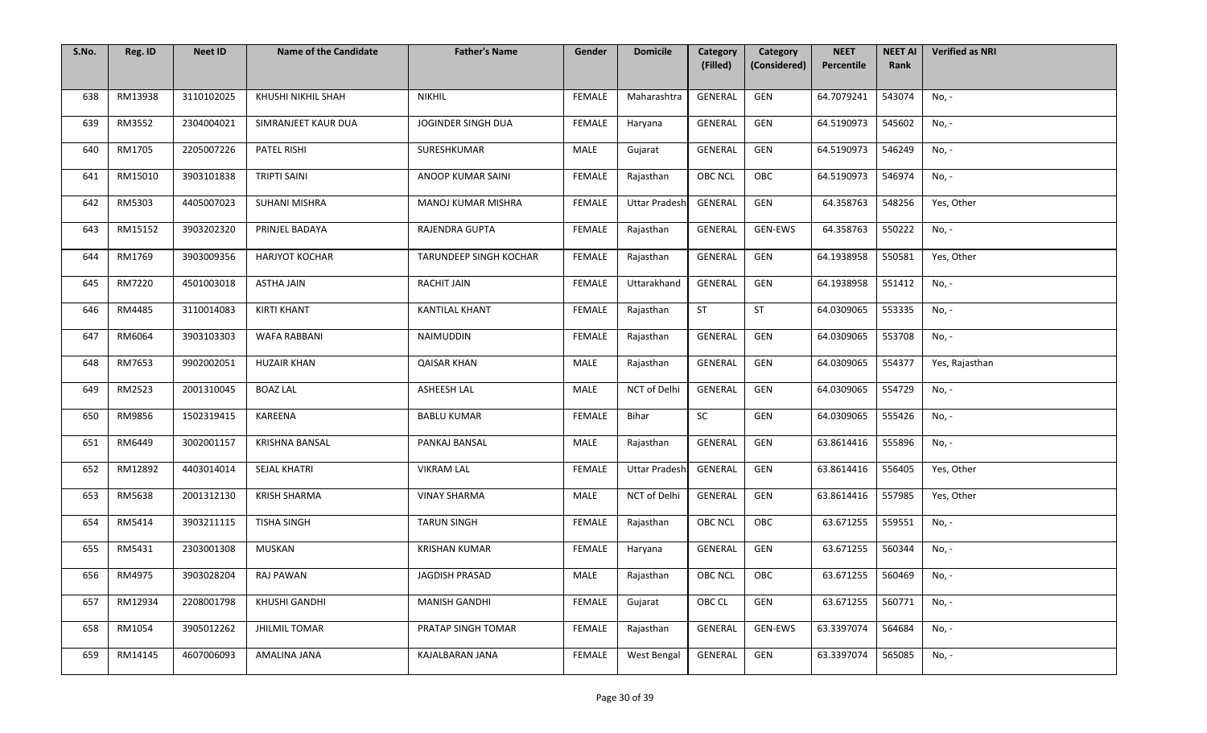| S.No. | Reg. ID | <b>Neet ID</b> | <b>Name of the Candidate</b> | <b>Father's Name</b>          | Gender        | <b>Domicile</b>      | Category<br>(Filled) | Category<br>(Considered) | <b>NEET</b><br>Percentile | <b>NEET AI</b><br>Rank | <b>Verified as NRI</b> |
|-------|---------|----------------|------------------------------|-------------------------------|---------------|----------------------|----------------------|--------------------------|---------------------------|------------------------|------------------------|
|       |         |                |                              |                               |               |                      |                      |                          |                           |                        |                        |
| 638   | RM13938 | 3110102025     | KHUSHI NIKHIL SHAH           | <b>NIKHIL</b>                 | FEMALE        | Maharashtra          | GENERAL              | GEN                      | 64.7079241                | 543074                 | No, -                  |
| 639   | RM3552  | 2304004021     | SIMRANJEET KAUR DUA          | JOGINDER SINGH DUA            | FEMALE        | Haryana              | GENERAL              | GEN                      | 64.5190973                | 545602                 | No, -                  |
| 640   | RM1705  | 2205007226     | <b>PATEL RISHI</b>           | SURESHKUMAR                   | MALE          | Gujarat              | GENERAL              | GEN                      | 64.5190973                | 546249                 | No, -                  |
| 641   | RM15010 | 3903101838     | <b>TRIPTI SAINI</b>          | ANOOP KUMAR SAINI             | FEMALE        | Rajasthan            | <b>OBC NCL</b>       | OBC                      | 64.5190973                | 546974                 | No, -                  |
| 642   | RM5303  | 4405007023     | <b>SUHANI MISHRA</b>         | MANOJ KUMAR MISHRA            | FEMALE        | <b>Uttar Pradesh</b> | GENERAL              | GEN                      | 64.358763                 | 548256                 | Yes, Other             |
| 643   | RM15152 | 3903202320     | PRINJEL BADAYA               | RAJENDRA GUPTA                | FEMALE        | Rajasthan            | GENERAL              | GEN-EWS                  | 64.358763                 | 550222                 | No, -                  |
| 644   | RM1769  | 3903009356     | <b>HARJYOT KOCHAR</b>        | <b>TARUNDEEP SINGH KOCHAR</b> | FEMALE        | Rajasthan            | GENERAL              | GEN                      | 64.1938958                | 550581                 | Yes, Other             |
| 645   | RM7220  | 4501003018     | <b>ASTHA JAIN</b>            | RACHIT JAIN                   | FEMALE        | Uttarakhand          | GENERAL              | GEN                      | 64.1938958                | 551412                 | No, -                  |
| 646   | RM4485  | 3110014083     | <b>KIRTI KHANT</b>           | KANTILAL KHANT                | FEMALE        | Rajasthan            | <b>ST</b>            | ST                       | 64.0309065                | 553335                 | No, -                  |
| 647   | RM6064  | 3903103303     | WAFA RABBANI                 | NAIMUDDIN                     | FEMALE        | Rajasthan            | GENERAL              | GEN                      | 64.0309065                | 553708                 | No, -                  |
| 648   | RM7653  | 9902002051     | <b>HUZAIR KHAN</b>           | <b>QAISAR KHAN</b>            | MALE          | Rajasthan            | GENERAL              | GEN                      | 64.0309065                | 554377                 | Yes, Rajasthan         |
| 649   | RM2523  | 2001310045     | <b>BOAZ LAL</b>              | ASHEESH LAL                   | MALE          | NCT of Delhi         | GENERAL              | GEN                      | 64.0309065                | 554729                 | No, -                  |
| 650   | RM9856  | 1502319415     | KAREENA                      | <b>BABLU KUMAR</b>            | FEMALE        | Bihar                | SC                   | GEN                      | 64.0309065                | 555426                 | No, -                  |
| 651   | RM6449  | 3002001157     | KRISHNA BANSAL               | PANKAJ BANSAL                 | MALE          | Rajasthan            | GENERAL              | GEN                      | 63.8614416                | 555896                 | No, -                  |
| 652   | RM12892 | 4403014014     | SEJAL KHATRI                 | <b>VIKRAM LAL</b>             | FEMALE        | <b>Uttar Pradesh</b> | GENERAL              | GEN                      | 63.8614416                | 556405                 | Yes, Other             |
| 653   | RM5638  | 2001312130     | <b>KRISH SHARMA</b>          | <b>VINAY SHARMA</b>           | MALE          | NCT of Delhi         | GENERAL              | GEN                      | 63.8614416                | 557985                 | Yes, Other             |
| 654   | RM5414  | 3903211115     | <b>TISHA SINGH</b>           | <b>TARUN SINGH</b>            | FEMALE        | Rajasthan            | <b>OBC NCL</b>       | OBC                      | 63.671255                 | 559551                 | No, -                  |
| 655   | RM5431  | 2303001308     | MUSKAN                       | <b>KRISHAN KUMAR</b>          | <b>FEMALE</b> | Haryana              | GENERAL              | GEN                      | 63.671255                 | 560344                 | No, -                  |
| 656   | RM4975  | 3903028204     | <b>RAJ PAWAN</b>             | JAGDISH PRASAD                | MALE          | Rajasthan            | OBC NCL              | OBC                      | 63.671255                 | 560469                 | No, -                  |
| 657   | RM12934 | 2208001798     | KHUSHI GANDHI                | <b>MANISH GANDHI</b>          | FEMALE        | Gujarat              | OBC CL               | GEN                      | 63.671255                 | 560771                 | No, -                  |
| 658   | RM1054  | 3905012262     | <b>JHILMIL TOMAR</b>         | PRATAP SINGH TOMAR            | <b>FEMALE</b> | Rajasthan            | GENERAL              | <b>GEN-EWS</b>           | 63.3397074                | 564684                 | No, -                  |
| 659   | RM14145 | 4607006093     | AMALINA JANA                 | KAJALBARAN JANA               | <b>FEMALE</b> | West Bengal          | GENERAL              | GEN                      | 63.3397074                | 565085                 | No, -                  |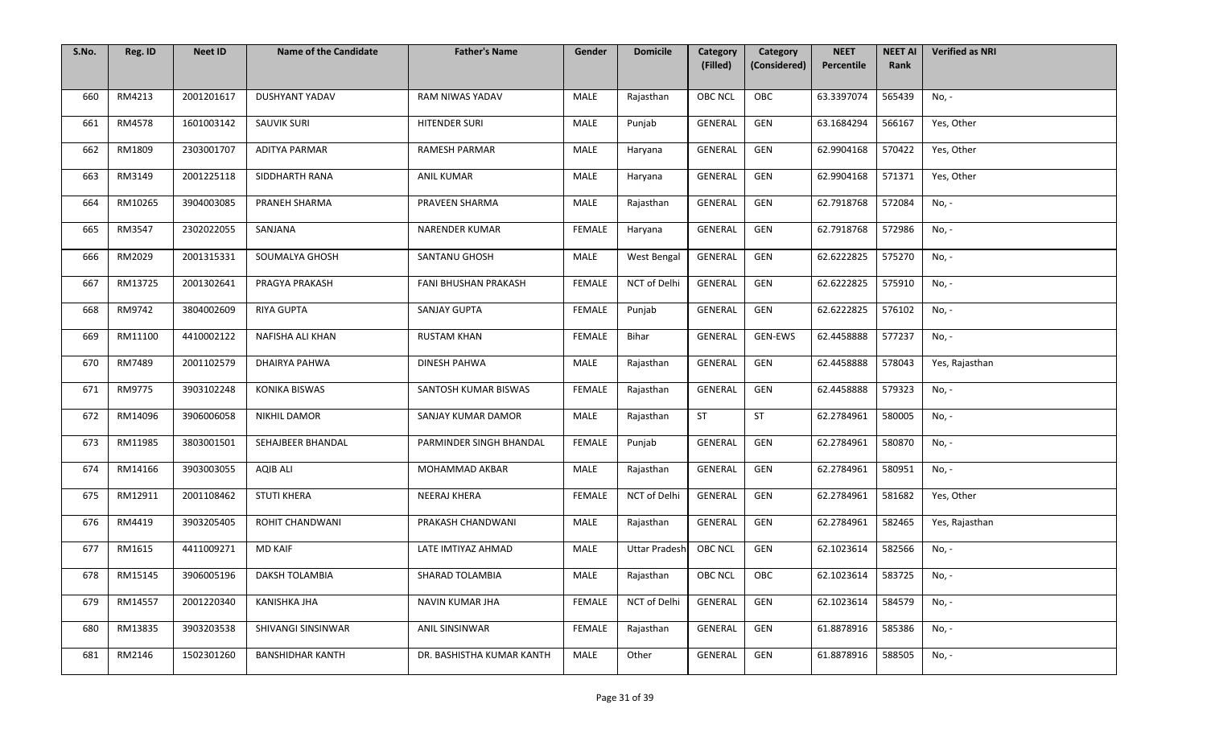| S.No. | Reg. ID | <b>Neet ID</b> | <b>Name of the Candidate</b> | <b>Father's Name</b>      | Gender        | <b>Domicile</b>      | Category<br>(Filled) | Category<br>(Considered) | <b>NEET</b><br>Percentile | <b>NEET AI</b><br>Rank | <b>Verified as NRI</b> |
|-------|---------|----------------|------------------------------|---------------------------|---------------|----------------------|----------------------|--------------------------|---------------------------|------------------------|------------------------|
|       |         |                |                              |                           |               |                      |                      |                          |                           |                        |                        |
| 660   | RM4213  | 2001201617     | <b>DUSHYANT YADAV</b>        | RAM NIWAS YADAV           | <b>MALE</b>   | Rajasthan            | <b>OBC NCL</b>       | OBC                      | 63.3397074                | 565439                 | No, -                  |
| 661   | RM4578  | 1601003142     | <b>SAUVIK SURI</b>           | HITENDER SURI             | <b>MALE</b>   | Punjab               | GENERAL              | GEN                      | 63.1684294                | 566167                 | Yes, Other             |
| 662   | RM1809  | 2303001707     | <b>ADITYA PARMAR</b>         | <b>RAMESH PARMAR</b>      | MALE          | Haryana              | <b>GENERAL</b>       | GEN                      | 62.9904168                | 570422                 | Yes, Other             |
| 663   | RM3149  | 2001225118     | SIDDHARTH RANA               | <b>ANIL KUMAR</b>         | <b>MALE</b>   | Haryana              | GENERAL              | GEN                      | 62.9904168                | 571371                 | Yes, Other             |
| 664   | RM10265 | 3904003085     | PRANEH SHARMA                | PRAVEEN SHARMA            | <b>MALE</b>   | Rajasthan            | GENERAL              | GEN                      | 62.7918768                | 572084                 | No, -                  |
| 665   | RM3547  | 2302022055     | SANJANA                      | NARENDER KUMAR            | FEMALE        | Haryana              | GENERAL              | GEN                      | 62.7918768                | 572986                 | No, -                  |
| 666   | RM2029  | 2001315331     | SOUMALYA GHOSH               | SANTANU GHOSH             | MALE          | West Bengal          | GENERAL              | GEN                      | 62.6222825                | 575270                 | No, -                  |
| 667   | RM13725 | 2001302641     | PRAGYA PRAKASH               | FANI BHUSHAN PRAKASH      | <b>FEMALE</b> | NCT of Delhi         | GENERAL              | GEN                      | 62.6222825                | 575910                 | No, -                  |
| 668   | RM9742  | 3804002609     | <b>RIYA GUPTA</b>            | <b>SANJAY GUPTA</b>       | FEMALE        | Punjab               | GENERAL              | GEN                      | 62.6222825                | 576102                 | No, -                  |
| 669   | RM11100 | 4410002122     | NAFISHA ALI KHAN             | <b>RUSTAM KHAN</b>        | FEMALE        | Bihar                | GENERAL              | GEN-EWS                  | 62.4458888                | 577237                 | No, -                  |
| 670   | RM7489  | 2001102579     | DHAIRYA PAHWA                | DINESH PAHWA              | <b>MALE</b>   | Rajasthan            | GENERAL              | GEN                      | 62.4458888                | 578043                 | Yes, Rajasthan         |
| 671   | RM9775  | 3903102248     | <b>KONIKA BISWAS</b>         | SANTOSH KUMAR BISWAS      | <b>FEMALE</b> | Rajasthan            | <b>GENERAL</b>       | GEN                      | 62.4458888                | 579323                 | No, -                  |
| 672   | RM14096 | 3906006058     | NIKHIL DAMOR                 | SANJAY KUMAR DAMOR        | MALE          | Rajasthan            | ST                   | <b>ST</b>                | 62.2784961                | 580005                 | No, -                  |
| 673   | RM11985 | 3803001501     | SEHAJBEER BHANDAL            | PARMINDER SINGH BHANDAL   | <b>FEMALE</b> | Punjab               | GENERAL              | GEN                      | 62.2784961                | 580870                 | No, -                  |
| 674   | RM14166 | 3903003055     | <b>AQIB ALI</b>              | MOHAMMAD AKBAR            | MALE          | Rajasthan            | GENERAL              | GEN                      | 62.2784961                | 580951                 | No, -                  |
| 675   | RM12911 | 2001108462     | <b>STUTI KHERA</b>           | NEERAJ KHERA              | FEMALE        | NCT of Delhi         | GENERAL              | GEN                      | 62.2784961                | 581682                 | Yes, Other             |
| 676   | RM4419  | 3903205405     | ROHIT CHANDWANI              | PRAKASH CHANDWANI         | MALE          | Rajasthan            | GENERAL              | GEN                      | 62.2784961                | 582465                 | Yes, Rajasthan         |
| 677   | RM1615  | 4411009271     | MD KAIF                      | LATE IMTIYAZ AHMAD        | MALE          | <b>Uttar Pradesh</b> | <b>OBC NCL</b>       | GEN                      | 62.1023614                | 582566                 | No, -                  |
| 678   | RM15145 | 3906005196     | DAKSH TOLAMBIA               | SHARAD TOLAMBIA           | MALE          | Rajasthan            | OBC NCL              | OBC                      | 62.1023614                | 583725                 | No, -                  |
| 679   | RM14557 | 2001220340     | KANISHKA JHA                 | NAVIN KUMAR JHA           | FEMALE        | NCT of Delhi         | GENERAL              | GEN                      | 62.1023614                | 584579                 | No, -                  |
| 680   | RM13835 | 3903203538     | SHIVANGI SINSINWAR           | ANIL SINSINWAR            | <b>FEMALE</b> | Rajasthan            | GENERAL              | GEN                      | 61.8878916                | 585386                 | No, -                  |
| 681   | RM2146  | 1502301260     | <b>BANSHIDHAR KANTH</b>      | DR. BASHISTHA KUMAR KANTH | MALE          | Other                | GENERAL              | GEN                      | 61.8878916                | 588505                 | No, -                  |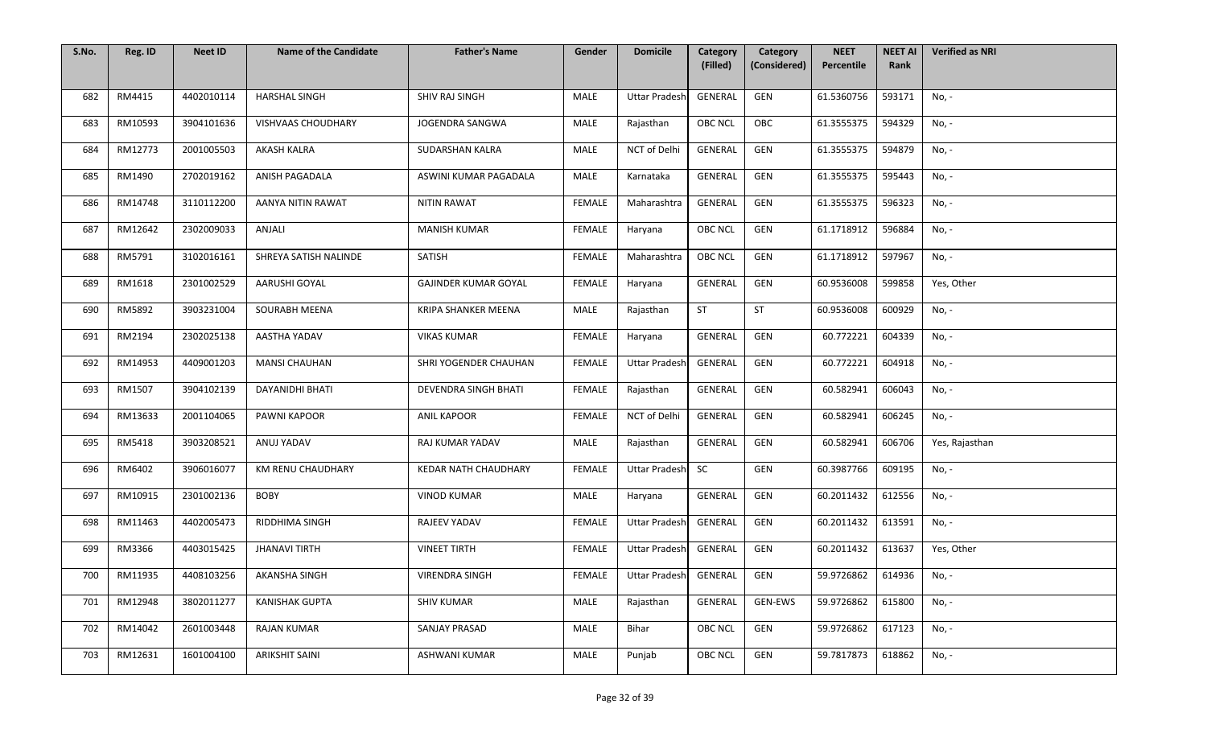| S.No. | Reg. ID | <b>Neet ID</b> | <b>Name of the Candidate</b> | <b>Father's Name</b>        | Gender        | <b>Domicile</b>      | Category<br>(Filled) | Category<br>(Considered) | <b>NEET</b><br>Percentile | <b>NEET AI</b><br>Rank | <b>Verified as NRI</b> |
|-------|---------|----------------|------------------------------|-----------------------------|---------------|----------------------|----------------------|--------------------------|---------------------------|------------------------|------------------------|
|       |         |                |                              |                             |               |                      |                      |                          |                           |                        |                        |
| 682   | RM4415  | 4402010114     | <b>HARSHAL SINGH</b>         | SHIV RAJ SINGH              | MALE          | <b>Uttar Pradesh</b> | GENERAL              | GEN                      | 61.5360756                | 593171                 | No, -                  |
| 683   | RM10593 | 3904101636     | VISHVAAS CHOUDHARY           | JOGENDRA SANGWA             | MALE          | Rajasthan            | OBC NCL              | OBC                      | 61.3555375                | 594329                 | No, -                  |
| 684   | RM12773 | 2001005503     | AKASH KALRA                  | SUDARSHAN KALRA             | MALE          | NCT of Delhi         | GENERAL              | GEN                      | 61.3555375                | 594879                 | No, -                  |
| 685   | RM1490  | 2702019162     | ANISH PAGADALA               | ASWINI KUMAR PAGADALA       | MALE          | Karnataka            | GENERAL              | GEN                      | 61.3555375                | 595443                 | No, -                  |
| 686   | RM14748 | 3110112200     | AANYA NITIN RAWAT            | <b>NITIN RAWAT</b>          | FEMALE        | Maharashtra          | GENERAL              | GEN                      | 61.3555375                | 596323                 | No, -                  |
| 687   | RM12642 | 2302009033     | ANJALI                       | <b>MANISH KUMAR</b>         | <b>FEMALE</b> | Haryana              | <b>OBC NCL</b>       | GEN                      | 61.1718912                | 596884                 | No, -                  |
| 688   | RM5791  | 3102016161     | SHREYA SATISH NALINDE        | SATISH                      | FEMALE        | Maharashtra          | <b>OBC NCL</b>       | GEN                      | 61.1718912                | 597967                 | No, -                  |
| 689   | RM1618  | 2301002529     | AARUSHI GOYAL                | <b>GAJINDER KUMAR GOYAL</b> | FEMALE        | Haryana              | GENERAL              | GEN                      | 60.9536008                | 599858                 | Yes, Other             |
| 690   | RM5892  | 3903231004     | <b>SOURABH MEENA</b>         | <b>KRIPA SHANKER MEENA</b>  | MALE          | Rajasthan            | <b>ST</b>            | ST                       | 60.9536008                | 600929                 | No, -                  |
| 691   | RM2194  | 2302025138     | AASTHA YADAV                 | <b>VIKAS KUMAR</b>          | <b>FEMALE</b> | Haryana              | GENERAL              | GEN                      | 60.772221                 | 604339                 | No, -                  |
| 692   | RM14953 | 4409001203     | <b>MANSI CHAUHAN</b>         | SHRI YOGENDER CHAUHAN       | <b>FEMALE</b> | <b>Uttar Pradesh</b> | GENERAL              | GEN                      | 60.772221                 | 604918                 | No, -                  |
| 693   | RM1507  | 3904102139     | DAYANIDHI BHATI              | <b>DEVENDRA SINGH BHATI</b> | FEMALE        | Rajasthan            | GENERAL              | GEN                      | 60.582941                 | 606043                 | No, -                  |
| 694   | RM13633 | 2001104065     | PAWNI KAPOOR                 | <b>ANIL KAPOOR</b>          | <b>FEMALE</b> | NCT of Delhi         | GENERAL              | GEN                      | 60.582941                 | 606245                 | No, -                  |
| 695   | RM5418  | 3903208521     | ANUJ YADAV                   | RAJ KUMAR YADAV             | MALE          | Rajasthan            | GENERAL              | GEN                      | 60.582941                 | 606706                 | Yes, Rajasthan         |
| 696   | RM6402  | 3906016077     | KM RENU CHAUDHARY            | KEDAR NATH CHAUDHARY        | FEMALE        | <b>Uttar Pradesh</b> | SC                   | GEN                      | 60.3987766                | 609195                 | No, -                  |
| 697   | RM10915 | 2301002136     | <b>BOBY</b>                  | <b>VINOD KUMAR</b>          | MALE          | Haryana              | GENERAL              | GEN                      | 60.2011432                | 612556                 | No, -                  |
| 698   | RM11463 | 4402005473     | RIDDHIMA SINGH               | RAJEEV YADAV                | FEMALE        | <b>Uttar Pradesh</b> | GENERAL              | GEN                      | 60.2011432                | 613591                 | No, -                  |
| 699   | RM3366  | 4403015425     | <b>JHANAVI TIRTH</b>         | <b>VINEET TIRTH</b>         | FEMALE        | <b>Uttar Pradesh</b> | GENERAL              | GEN                      | 60.2011432                | 613637                 | Yes, Other             |
| 700   | RM11935 | 4408103256     | <b>AKANSHA SINGH</b>         | <b>VIRENDRA SINGH</b>       | FEMALE        | <b>Uttar Pradesh</b> | GENERAL              | GEN                      | 59.9726862                | 614936                 | No, -                  |
| 701   | RM12948 | 3802011277     | <b>KANISHAK GUPTA</b>        | <b>SHIV KUMAR</b>           | MALE          | Rajasthan            | GENERAL              | GEN-EWS                  | 59.9726862                | 615800                 | No, -                  |
| 702   | RM14042 | 2601003448     | RAJAN KUMAR                  | SANJAY PRASAD               | MALE          | Bihar                | OBC NCL              | GEN                      | 59.9726862                | 617123                 | No, -                  |
| 703   | RM12631 | 1601004100     | ARIKSHIT SAINI               | ASHWANI KUMAR               | MALE          | Punjab               | OBC NCL              | GEN                      | 59.7817873                | 618862                 | No, -                  |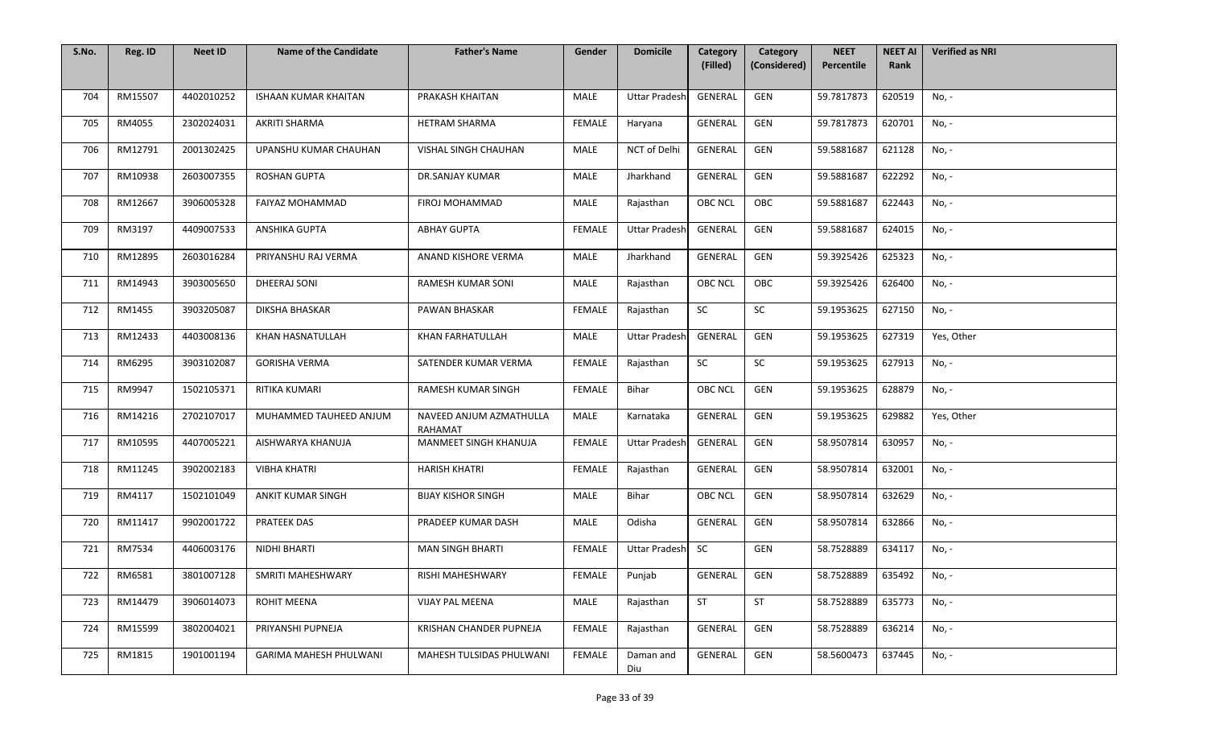| S.No. | Reg. ID | <b>Neet ID</b> | <b>Name of the Candidate</b>  | <b>Father's Name</b>                      | Gender        | <b>Domicile</b>      | Category<br>(Filled) | Category<br>(Considered) | <b>NEET</b><br>Percentile | <b>NEET AI</b><br>Rank | <b>Verified as NRI</b> |
|-------|---------|----------------|-------------------------------|-------------------------------------------|---------------|----------------------|----------------------|--------------------------|---------------------------|------------------------|------------------------|
|       |         |                |                               |                                           |               |                      |                      |                          |                           |                        |                        |
| 704   | RM15507 | 4402010252     | <b>ISHAAN KUMAR KHAITAN</b>   | PRAKASH KHAITAN                           | <b>MALE</b>   | <b>Uttar Pradesh</b> | GENERAL              | GEN                      | 59.7817873                | 620519                 | No, -                  |
| 705   | RM4055  | 2302024031     | AKRITI SHARMA                 | HETRAM SHARMA                             | <b>FEMALE</b> | Haryana              | GENERAL              | GEN                      | 59.7817873                | 620701                 | No, -                  |
| 706   | RM12791 | 2001302425     | UPANSHU KUMAR CHAUHAN         | VISHAL SINGH CHAUHAN                      | MALE          | NCT of Delhi         | <b>GENERAL</b>       | GEN                      | 59.5881687                | 621128                 | No, -                  |
| 707   | RM10938 | 2603007355     | <b>ROSHAN GUPTA</b>           | DR.SANJAY KUMAR                           | <b>MALE</b>   | Jharkhand            | <b>GENERAL</b>       | GEN                      | 59.5881687                | 622292                 | No, -                  |
| 708   | RM12667 | 3906005328     | FAIYAZ MOHAMMAD               | FIROJ MOHAMMAD                            | MALE          | Rajasthan            | OBC NCL              | OBC                      | 59.5881687                | 622443                 | No, -                  |
| 709   | RM3197  | 4409007533     | ANSHIKA GUPTA                 | <b>ABHAY GUPTA</b>                        | <b>FEMALE</b> | <b>Uttar Pradesh</b> | GENERAL              | GEN                      | 59.5881687                | 624015                 | No, -                  |
| 710   | RM12895 | 2603016284     | PRIYANSHU RAJ VERMA           | ANAND KISHORE VERMA                       | MALE          | Jharkhand            | GENERAL              | GEN                      | 59.3925426                | 625323                 | No, -                  |
| 711   | RM14943 | 3903005650     | DHEERAJ SONI                  | RAMESH KUMAR SONI                         | MALE          | Rajasthan            | <b>OBC NCL</b>       | OBC                      | 59.3925426                | 626400                 | No, -                  |
| 712   | RM1455  | 3903205087     | DIKSHA BHASKAR                | PAWAN BHASKAR                             | <b>FEMALE</b> | Rajasthan            | SC                   | SC                       | 59.1953625                | 627150                 | No, -                  |
| 713   | RM12433 | 4403008136     | KHAN HASNATULLAH              | KHAN FARHATULLAH                          | MALE          | <b>Uttar Pradesh</b> | GENERAL              | GEN                      | 59.1953625                | 627319                 | Yes, Other             |
| 714   | RM6295  | 3903102087     | <b>GORISHA VERMA</b>          | SATENDER KUMAR VERMA                      | <b>FEMALE</b> | Rajasthan            | SC                   | SC                       | 59.1953625                | 627913                 | No, -                  |
| 715   | RM9947  | 1502105371     | RITIKA KUMARI                 | RAMESH KUMAR SINGH                        | FEMALE        | Bihar                | OBC NCL              | GEN                      | 59.1953625                | 628879                 | No, -                  |
| 716   | RM14216 | 2702107017     | MUHAMMED TAUHEED ANJUM        | NAVEED ANJUM AZMATHULLA<br><b>RAHAMAT</b> | MALE          | Karnataka            | GENERAL              | GEN                      | 59.1953625                | 629882                 | Yes, Other             |
| 717   | RM10595 | 4407005221     | AISHWARYA KHANUJA             | MANMEET SINGH KHANUJA                     | <b>FEMALE</b> | <b>Uttar Pradesh</b> | GENERAL              | GEN                      | 58.9507814                | 630957                 | No, -                  |
| 718   | RM11245 | 3902002183     | <b>VIBHA KHATRI</b>           | <b>HARISH KHATRI</b>                      | <b>FEMALE</b> | Rajasthan            | GENERAL              | GEN                      | 58.9507814                | 632001                 | No, -                  |
| 719   | RM4117  | 1502101049     | <b>ANKIT KUMAR SINGH</b>      | <b>BIJAY KISHOR SINGH</b>                 | <b>MALE</b>   | Bihar                | <b>OBC NCL</b>       | GEN                      | 58.9507814                | 632629                 | No, -                  |
| 720   | RM11417 | 9902001722     | <b>PRATEEK DAS</b>            | PRADEEP KUMAR DASH                        | MALE          | Odisha               | GENERAL              | GEN                      | 58.9507814                | 632866                 | No, -                  |
| 721   | RM7534  | 4406003176     | NIDHI BHARTI                  | <b>MAN SINGH BHARTI</b>                   | <b>FEMALE</b> | Uttar Pradesh        | <b>SC</b>            | GEN                      | 58.7528889                | 634117                 | No, -                  |
| 722   | RM6581  | 3801007128     | SMRITI MAHESHWARY             | RISHI MAHESHWARY                          | FEMALE        | Punjab               | GENERAL              | GEN                      | 58.7528889                | 635492                 | No, -                  |
| 723   | RM14479 | 3906014073     | ROHIT MEENA                   | VIJAY PAL MEENA                           | <b>MALE</b>   | Rajasthan            | <b>ST</b>            | <b>ST</b>                | 58.7528889                | 635773                 | No, -                  |
| 724   | RM15599 | 3802004021     | PRIYANSHI PUPNEJA             | KRISHAN CHANDER PUPNEJA                   | <b>FEMALE</b> | Rajasthan            | GENERAL              | GEN                      | 58.7528889                | 636214                 | No, -                  |
| 725   | RM1815  | 1901001194     | <b>GARIMA MAHESH PHULWANI</b> | MAHESH TULSIDAS PHULWANI                  | FEMALE        | Daman and<br>Diu     | GENERAL              | GEN                      | 58.5600473                | 637445                 | No, -                  |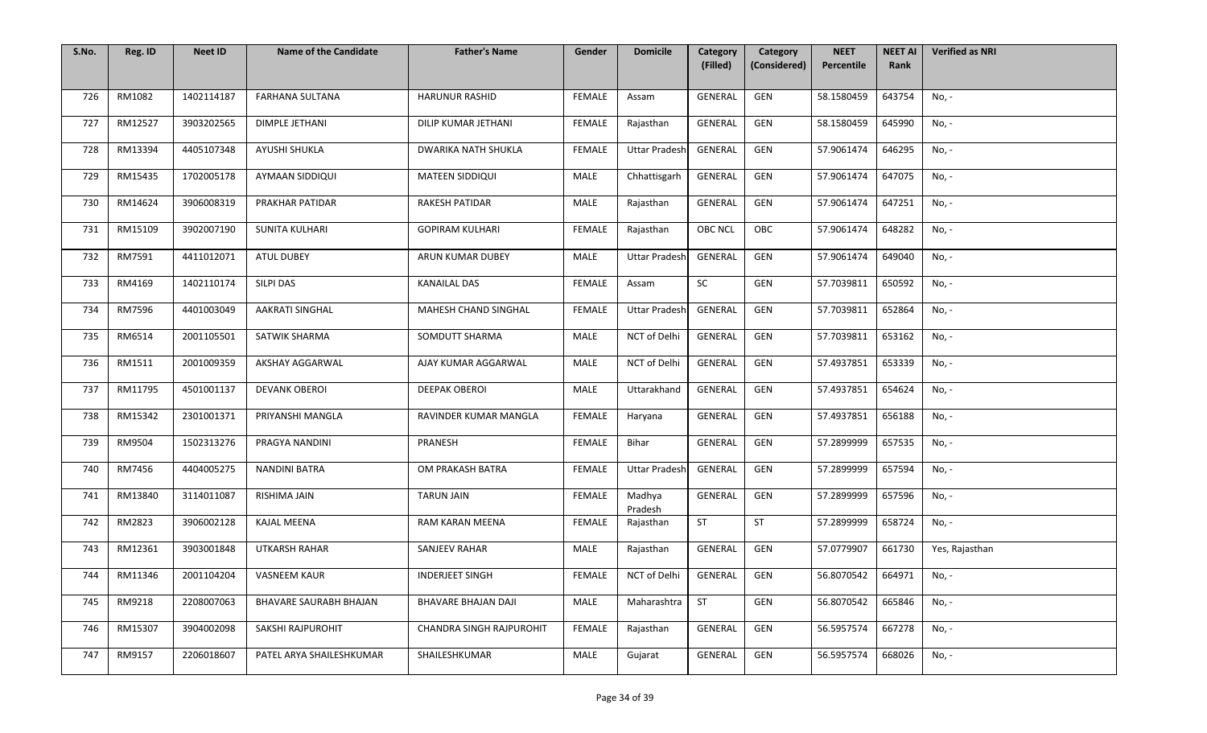| S.No. | Reg. ID | <b>Neet ID</b> | <b>Name of the Candidate</b> | <b>Father's Name</b>            | Gender        | <b>Domicile</b>      | Category<br>(Filled) | Category<br>(Considered) | <b>NEET</b><br>Percentile | <b>NEET AI</b><br>Rank | <b>Verified as NRI</b> |
|-------|---------|----------------|------------------------------|---------------------------------|---------------|----------------------|----------------------|--------------------------|---------------------------|------------------------|------------------------|
|       |         |                |                              |                                 |               |                      |                      |                          |                           |                        |                        |
| 726   | RM1082  | 1402114187     | <b>FARHANA SULTANA</b>       | <b>HARUNUR RASHID</b>           | <b>FEMALE</b> | Assam                | GENERAL              | GEN                      | 58.1580459                | 643754                 | No, -                  |
| 727   | RM12527 | 3903202565     | <b>DIMPLE JETHANI</b>        | DILIP KUMAR JETHANI             | FEMALE        | Rajasthan            | GENERAL              | GEN                      | 58.1580459                | 645990                 | No, -                  |
| 728   | RM13394 | 4405107348     | AYUSHI SHUKLA                | <b>DWARIKA NATH SHUKLA</b>      | <b>FEMALE</b> | <b>Uttar Pradesh</b> | <b>GENERAL</b>       | GEN                      | 57.9061474                | 646295                 | No, -                  |
| 729   | RM15435 | 1702005178     | AYMAAN SIDDIQUI              | <b>MATEEN SIDDIQUI</b>          | <b>MALE</b>   | Chhattisgarh         | GENERAL              | GEN                      | 57.9061474                | 647075                 | No, -                  |
| 730   | RM14624 | 3906008319     | PRAKHAR PATIDAR              | RAKESH PATIDAR                  | <b>MALE</b>   | Rajasthan            | GENERAL              | GEN                      | 57.9061474                | 647251                 | No, -                  |
| 731   | RM15109 | 3902007190     | SUNITA KULHARI               | <b>GOPIRAM KULHARI</b>          | <b>FEMALE</b> | Rajasthan            | OBC NCL              | OBC                      | 57.9061474                | 648282                 | No, -                  |
| 732   | RM7591  | 4411012071     | <b>ATUL DUBEY</b>            | ARUN KUMAR DUBEY                | <b>MALE</b>   | <b>Uttar Pradesh</b> | GENERAL              | GEN                      | 57.9061474                | 649040                 | No, -                  |
| 733   | RM4169  | 1402110174     | SILPI DAS                    | <b>KANAILAL DAS</b>             | FEMALE        | Assam                | SC                   | GEN                      | 57.7039811                | 650592                 | No, -                  |
| 734   | RM7596  | 4401003049     | <b>AAKRATI SINGHAL</b>       | MAHESH CHAND SINGHAL            | <b>FEMALE</b> | <b>Uttar Pradesh</b> | GENERAL              | GEN                      | 57.7039811                | 652864                 | No, -                  |
| 735   | RM6514  | 2001105501     | SATWIK SHARMA                | SOMDUTT SHARMA                  | MALE          | NCT of Delhi         | GENERAL              | GEN                      | 57.7039811                | 653162                 | No, -                  |
| 736   | RM1511  | 2001009359     | AKSHAY AGGARWAL              | AJAY KUMAR AGGARWAL             | <b>MALE</b>   | NCT of Delhi         | GENERAL              | GEN                      | 57.4937851                | 653339                 | No, -                  |
| 737   | RM11795 | 4501001137     | <b>DEVANK OBEROI</b>         | <b>DEEPAK OBEROI</b>            | MALE          | Uttarakhand          | GENERAL              | GEN                      | 57.4937851                | 654624                 | No, -                  |
| 738   | RM15342 | 2301001371     | PRIYANSHI MANGLA             | RAVINDER KUMAR MANGLA           | FEMALE        | Haryana              | <b>GENERAL</b>       | GEN                      | 57.4937851                | 656188                 | No, -                  |
| 739   | RM9504  | 1502313276     | PRAGYA NANDINI               | PRANESH                         | <b>FEMALE</b> | Bihar                | GENERAL              | GEN                      | 57.2899999                | 657535                 | No, -                  |
| 740   | RM7456  | 4404005275     | <b>NANDINI BATRA</b>         | OM PRAKASH BATRA                | FEMALE        | <b>Uttar Pradesh</b> | GENERAL              | GEN                      | 57.2899999                | 657594                 | No, -                  |
| 741   | RM13840 | 3114011087     | RISHIMA JAIN                 | <b>TARUN JAIN</b>               | FEMALE        | Madhya<br>Pradesh    | GENERAL              | GEN                      | 57.2899999                | 657596                 | No, -                  |
| 742   | RM2823  | 3906002128     | <b>KAJAL MEENA</b>           | RAM KARAN MEENA                 | FEMALE        | Rajasthan            | <b>ST</b>            | ST                       | 57.2899999                | 658724                 | No, -                  |
| 743   | RM12361 | 3903001848     | <b>UTKARSH RAHAR</b>         | SANJEEV RAHAR                   | MALE          | Rajasthan            | GENERAL              | GEN                      | 57.0779907                | 661730                 | Yes, Rajasthan         |
| 744   | RM11346 | 2001104204     | <b>VASNEEM KAUR</b>          | <b>INDERJEET SINGH</b>          | FEMALE        | NCT of Delhi         | GENERAL              | GEN                      | 56.8070542                | 664971                 | No, -                  |
| 745   | RM9218  | 2208007063     | BHAVARE SAURABH BHAJAN       | BHAVARE BHAJAN DAJI             | <b>MALE</b>   | Maharashtra          | <b>ST</b>            | GEN                      | 56.8070542                | 665846                 | No, -                  |
| 746   | RM15307 | 3904002098     | <b>SAKSHI RAJPUROHIT</b>     | <b>CHANDRA SINGH RAJPUROHIT</b> | <b>FEMALE</b> | Rajasthan            | GENERAL              | GEN                      | 56.5957574                | 667278                 | No, -                  |
| 747   | RM9157  | 2206018607     | PATEL ARYA SHAILESHKUMAR     | SHAILESHKUMAR                   | <b>MALE</b>   | Gujarat              | GENERAL              | GEN                      | 56.5957574                | 668026                 | No, -                  |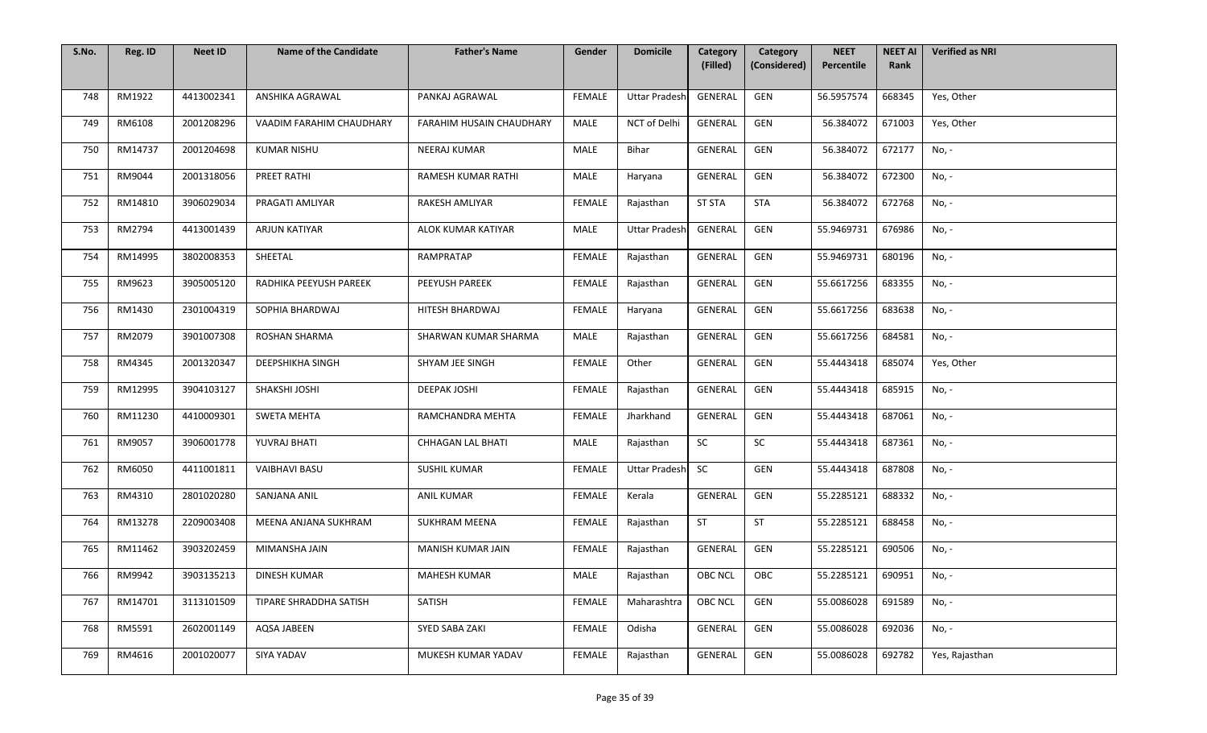| S.No. | Reg. ID | <b>Neet ID</b> | <b>Name of the Candidate</b> | <b>Father's Name</b>     | Gender        | <b>Domicile</b>      | Category       | Category     | <b>NEET</b> | <b>NEET AI</b> | <b>Verified as NRI</b> |
|-------|---------|----------------|------------------------------|--------------------------|---------------|----------------------|----------------|--------------|-------------|----------------|------------------------|
|       |         |                |                              |                          |               |                      | (Filled)       | (Considered) | Percentile  | Rank           |                        |
| 748   | RM1922  | 4413002341     | ANSHIKA AGRAWAL              | PANKAJ AGRAWAL           | <b>FEMALE</b> | <b>Uttar Pradesh</b> | GENERAL        | GEN          | 56.5957574  | 668345         | Yes, Other             |
| 749   | RM6108  | 2001208296     | VAADIM FARAHIM CHAUDHARY     | FARAHIM HUSAIN CHAUDHARY | MALE          | NCT of Delhi         | GENERAL        | GEN          | 56.384072   | 671003         | Yes, Other             |
| 750   | RM14737 | 2001204698     | <b>KUMAR NISHU</b>           | NEERAJ KUMAR             | MALE          | Bihar                | GENERAL        | GEN          | 56.384072   | 672177         | $No, -$                |
| 751   | RM9044  | 2001318056     | PREET RATHI                  | RAMESH KUMAR RATHI       | MALE          | Haryana              | GENERAL        | GEN          | 56.384072   | 672300         | No, -                  |
| 752   | RM14810 | 3906029034     | PRAGATI AMLIYAR              | RAKESH AMLIYAR           | <b>FEMALE</b> | Rajasthan            | <b>ST STA</b>  | <b>STA</b>   | 56.384072   | 672768         | No, -                  |
| 753   | RM2794  | 4413001439     | ARJUN KATIYAR                | ALOK KUMAR KATIYAR       | <b>MALE</b>   | <b>Uttar Pradesh</b> | GENERAL        | GEN          | 55.9469731  | 676986         | No, -                  |
| 754   | RM14995 | 3802008353     | SHEETAL                      | RAMPRATAP                | <b>FEMALE</b> | Rajasthan            | GENERAL        | GEN          | 55.9469731  | 680196         | No, -                  |
| 755   | RM9623  | 3905005120     | RADHIKA PEEYUSH PAREEK       | PEEYUSH PAREEK           | <b>FEMALE</b> | Rajasthan            | GENERAL        | GEN          | 55.6617256  | 683355         | No, -                  |
| 756   | RM1430  | 2301004319     | SOPHIA BHARDWAJ              | HITESH BHARDWAJ          | <b>FEMALE</b> | Haryana              | GENERAL        | GEN          | 55.6617256  | 683638         | No, -                  |
| 757   | RM2079  | 3901007308     | ROSHAN SHARMA                | SHARWAN KUMAR SHARMA     | MALE          | Rajasthan            | GENERAL        | GEN          | 55.6617256  | 684581         | No, -                  |
| 758   | RM4345  | 2001320347     | DEEPSHIKHA SINGH             | SHYAM JEE SINGH          | FEMALE        | Other                | GENERAL        | GEN          | 55.4443418  | 685074         | Yes, Other             |
| 759   | RM12995 | 3904103127     | SHAKSHI JOSHI                | <b>DEEPAK JOSHI</b>      | <b>FEMALE</b> | Rajasthan            | <b>GENERAL</b> | GEN          | 55.4443418  | 685915         | No, -                  |
| 760   | RM11230 | 4410009301     | <b>SWETA MEHTA</b>           | RAMCHANDRA MEHTA         | <b>FEMALE</b> | Jharkhand            | <b>GENERAL</b> | GEN          | 55.4443418  | 687061         | No, -                  |
| 761   | RM9057  | 3906001778     | YUVRAJ BHATI                 | CHHAGAN LAL BHATI        | MALE          | Rajasthan            | SC             | SC           | 55.4443418  | 687361         | No, -                  |
| 762   | RM6050  | 4411001811     | <b>VAIBHAVI BASU</b>         | <b>SUSHIL KUMAR</b>      | FEMALE        | <b>Uttar Pradesh</b> | <b>SC</b>      | GEN          | 55.4443418  | 687808         | No, -                  |
| 763   | RM4310  | 2801020280     | SANJANA ANIL                 | <b>ANIL KUMAR</b>        | FEMALE        | Kerala               | GENERAL        | GEN          | 55.2285121  | 688332         | No, -                  |
| 764   | RM13278 | 2209003408     | MEENA ANJANA SUKHRAM         | SUKHRAM MEENA            | <b>FEMALE</b> | Rajasthan            | ST             | <b>ST</b>    | 55.2285121  | 688458         | No, -                  |
| 765   | RM11462 | 3903202459     | MIMANSHA JAIN                | MANISH KUMAR JAIN        | <b>FEMALE</b> | Rajasthan            | GENERAL        | GEN          | 55.2285121  | 690506         | No, -                  |
| 766   | RM9942  | 3903135213     | DINESH KUMAR                 | <b>MAHESH KUMAR</b>      | MALE          | Rajasthan            | OBC NCL        | OBC          | 55.2285121  | 690951         | No, -                  |
| 767   | RM14701 | 3113101509     | TIPARE SHRADDHA SATISH       | SATISH                   | FEMALE        | Maharashtra          | <b>OBC NCL</b> | GEN          | 55.0086028  | 691589         | No, -                  |
| 768   | RM5591  | 2602001149     | AQSA JABEEN                  | SYED SABA ZAKI           | FEMALE        | Odisha               | GENERAL        | GEN          | 55.0086028  | 692036         | No, -                  |
| 769   | RM4616  | 2001020077     | SIYA YADAV                   | MUKESH KUMAR YADAV       | FEMALE        | Rajasthan            | GENERAL        | GEN          | 55.0086028  | 692782         | Yes, Rajasthan         |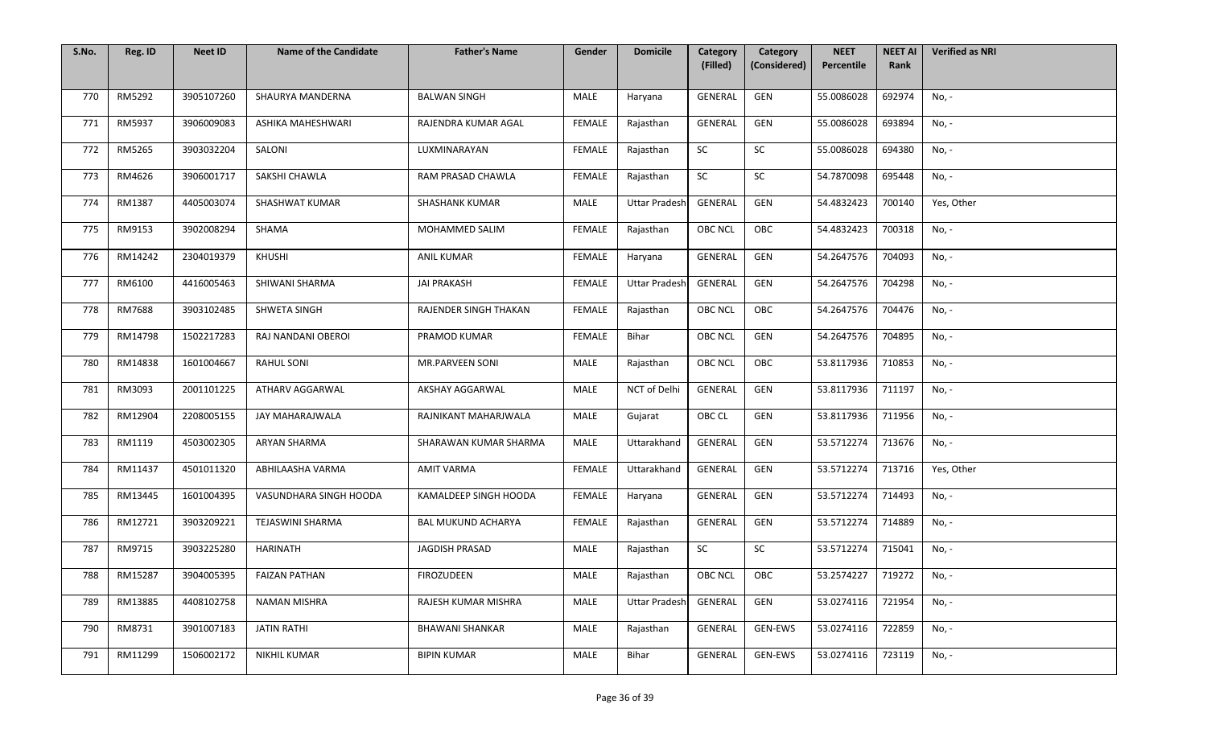| S.No. | Reg. ID | <b>Neet ID</b> | <b>Name of the Candidate</b> | <b>Father's Name</b>      | Gender        | <b>Domicile</b>      | Category<br>(Filled) | Category<br>(Considered) | <b>NEET</b><br>Percentile | <b>NEET AI</b><br>Rank | <b>Verified as NRI</b> |
|-------|---------|----------------|------------------------------|---------------------------|---------------|----------------------|----------------------|--------------------------|---------------------------|------------------------|------------------------|
|       |         |                |                              |                           |               |                      |                      |                          |                           |                        |                        |
| 770   | RM5292  | 3905107260     | SHAURYA MANDERNA             | <b>BALWAN SINGH</b>       | MALE          | Haryana              | GENERAL              | GEN                      | 55.0086028                | 692974                 | No, -                  |
| 771   | RM5937  | 3906009083     | ASHIKA MAHESHWARI            | RAJENDRA KUMAR AGAL       | FEMALE        | Rajasthan            | GENERAL              | GEN                      | 55.0086028                | 693894                 | No, -                  |
| 772   | RM5265  | 3903032204     | SALONI                       | LUXMINARAYAN              | FEMALE        | Rajasthan            | ${\sf SC}$           | $\sf SC$                 | 55.0086028                | 694380                 | No, -                  |
| 773   | RM4626  | 3906001717     | SAKSHI CHAWLA                | RAM PRASAD CHAWLA         | <b>FEMALE</b> | Rajasthan            | SC                   | SC                       | 54.7870098                | 695448                 | No, -                  |
| 774   | RM1387  | 4405003074     | <b>SHASHWAT KUMAR</b>        | <b>SHASHANK KUMAR</b>     | MALE          | <b>Uttar Pradesh</b> | GENERAL              | GEN                      | 54.4832423                | 700140                 | Yes, Other             |
| 775   | RM9153  | 3902008294     | SHAMA                        | MOHAMMED SALIM            | <b>FEMALE</b> | Rajasthan            | OBC NCL              | OBC                      | 54.4832423                | 700318                 | No, -                  |
| 776   | RM14242 | 2304019379     | KHUSHI                       | <b>ANIL KUMAR</b>         | <b>FEMALE</b> | Haryana              | GENERAL              | GEN                      | 54.2647576                | 704093                 | No, -                  |
| 777   | RM6100  | 4416005463     | SHIWANI SHARMA               | <b>JAI PRAKASH</b>        | <b>FEMALE</b> | <b>Uttar Pradesh</b> | GENERAL              | GEN                      | 54.2647576                | 704298                 | No, -                  |
| 778   | RM7688  | 3903102485     | SHWETA SINGH                 | RAJENDER SINGH THAKAN     | <b>FEMALE</b> | Rajasthan            | <b>OBC NCL</b>       | OBC                      | 54.2647576                | 704476                 | No, -                  |
| 779   | RM14798 | 1502217283     | RAJ NANDANI OBEROI           | PRAMOD KUMAR              | <b>FEMALE</b> | Bihar                | <b>OBC NCL</b>       | GEN                      | 54.2647576                | 704895                 | No, -                  |
| 780   | RM14838 | 1601004667     | <b>RAHUL SONI</b>            | <b>MR.PARVEEN SONI</b>    | <b>MALE</b>   | Rajasthan            | <b>OBC NCL</b>       | OBC                      | 53.8117936                | 710853                 | No, -                  |
| 781   | RM3093  | 2001101225     | ATHARV AGGARWAL              | AKSHAY AGGARWAL           | MALE          | NCT of Delhi         | GENERAL              | GEN                      | 53.8117936                | 711197                 | No, -                  |
| 782   | RM12904 | 2208005155     | JAY MAHARAJWALA              | RAJNIKANT MAHARJWALA      | MALE          | Gujarat              | OBC CL               | GEN                      | 53.8117936                | 711956                 | No, -                  |
| 783   | RM1119  | 4503002305     | ARYAN SHARMA                 | SHARAWAN KUMAR SHARMA     | <b>MALE</b>   | Uttarakhand          | GENERAL              | GEN                      | 53.5712274                | 713676                 | No, -                  |
| 784   | RM11437 | 4501011320     | ABHILAASHA VARMA             | AMIT VARMA                | <b>FEMALE</b> | Uttarakhand          | GENERAL              | GEN                      | 53.5712274                | 713716                 | Yes, Other             |
| 785   | RM13445 | 1601004395     | VASUNDHARA SINGH HOODA       | KAMALDEEP SINGH HOODA     | <b>FEMALE</b> | Haryana              | GENERAL              | GEN                      | 53.5712274                | 714493                 | No, -                  |
| 786   | RM12721 | 3903209221     | <b>TEJASWINI SHARMA</b>      | <b>BAL MUKUND ACHARYA</b> | <b>FEMALE</b> | Rajasthan            | GENERAL              | GEN                      | 53.5712274                | 714889                 | No, -                  |
| 787   | RM9715  | 3903225280     | <b>HARINATH</b>              | <b>JAGDISH PRASAD</b>     | MALE          | Rajasthan            | SC                   | SC                       | 53.5712274                | 715041                 | No, -                  |
| 788   | RM15287 | 3904005395     | <b>FAIZAN PATHAN</b>         | <b>FIROZUDEEN</b>         | MALE          | Rajasthan            | OBC NCL              | OBC                      | 53.2574227                | 719272                 | No, -                  |
| 789   | RM13885 | 4408102758     | <b>NAMAN MISHRA</b>          | RAJESH KUMAR MISHRA       | MALE          | <b>Uttar Pradesh</b> | GENERAL              | GEN                      | 53.0274116                | 721954                 | No, -                  |
| 790   | RM8731  | 3901007183     | <b>JATIN RATHI</b>           | <b>BHAWANI SHANKAR</b>    | MALE          | Rajasthan            | GENERAL              | <b>GEN-EWS</b>           | 53.0274116                | 722859                 | No, -                  |
| 791   | RM11299 | 1506002172     | NIKHIL KUMAR                 | <b>BIPIN KUMAR</b>        | MALE          | Bihar                | GENERAL              | <b>GEN-EWS</b>           | 53.0274116                | 723119                 | No, -                  |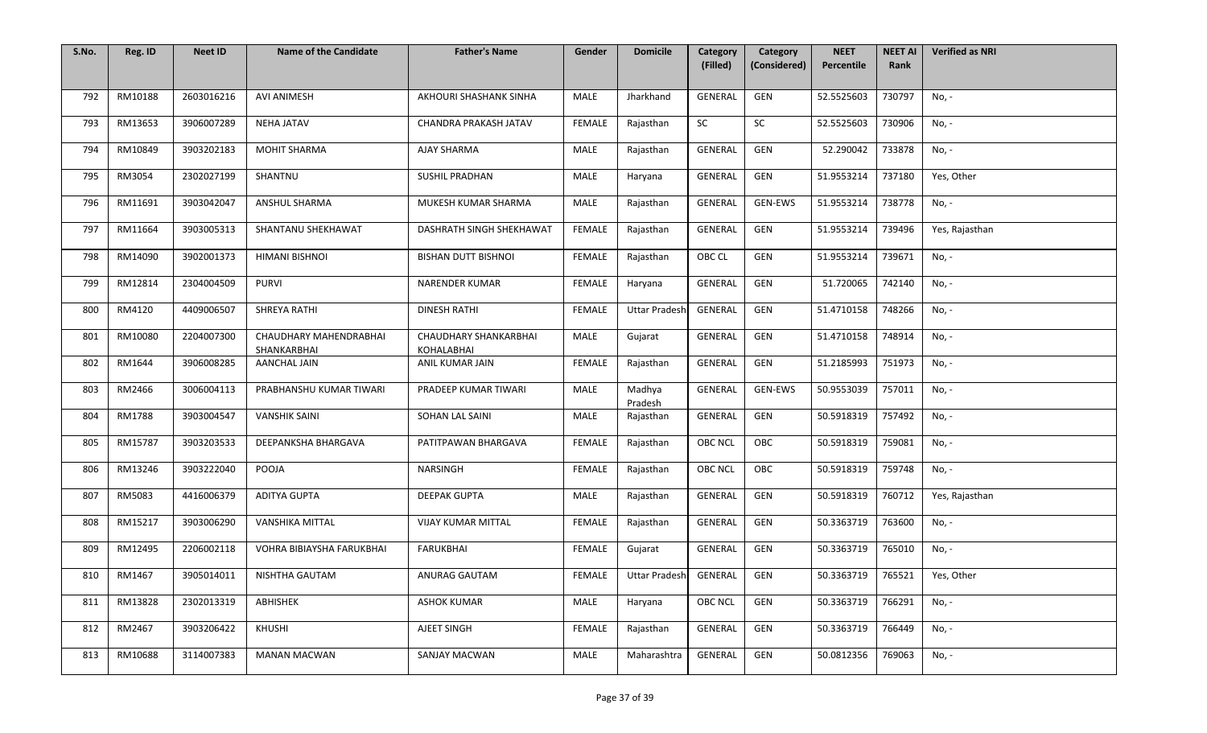| S.No. | Reg. ID | <b>Neet ID</b> | <b>Name of the Candidate</b>          | <b>Father's Name</b>                | Gender        | <b>Domicile</b>      | Category<br>(Filled) | Category<br>(Considered) | <b>NEET</b><br>Percentile | <b>NEET AI</b><br>Rank | <b>Verified as NRI</b> |
|-------|---------|----------------|---------------------------------------|-------------------------------------|---------------|----------------------|----------------------|--------------------------|---------------------------|------------------------|------------------------|
|       |         |                |                                       |                                     |               |                      |                      |                          |                           |                        |                        |
| 792   | RM10188 | 2603016216     | AVI ANIMESH                           | AKHOURI SHASHANK SINHA              | MALE          | Jharkhand            | GENERAL              | GEN                      | 52.5525603                | 730797                 | No, -                  |
| 793   | RM13653 | 3906007289     | <b>NEHA JATAV</b>                     | CHANDRA PRAKASH JATAV               | <b>FEMALE</b> | Rajasthan            | SC                   | SC                       | 52.5525603                | 730906                 | No, -                  |
| 794   | RM10849 | 3903202183     | <b>MOHIT SHARMA</b>                   | AJAY SHARMA                         | MALE          | Rajasthan            | GENERAL              | GEN                      | 52.290042                 | 733878                 | No, -                  |
| 795   | RM3054  | 2302027199     | SHANTNU                               | <b>SUSHIL PRADHAN</b>               | MALE          | Haryana              | GENERAL              | GEN                      | 51.9553214                | 737180                 | Yes, Other             |
| 796   | RM11691 | 3903042047     | ANSHUL SHARMA                         | MUKESH KUMAR SHARMA                 | MALE          | Rajasthan            | GENERAL              | GEN-EWS                  | 51.9553214                | 738778                 | No, -                  |
| 797   | RM11664 | 3903005313     | SHANTANU SHEKHAWAT                    | DASHRATH SINGH SHEKHAWAT            | <b>FEMALE</b> | Rajasthan            | GENERAL              | GEN                      | 51.9553214                | 739496                 | Yes, Rajasthan         |
| 798   | RM14090 | 3902001373     | HIMANI BISHNOI                        | <b>BISHAN DUTT BISHNOI</b>          | FEMALE        | Rajasthan            | OBC CL               | GEN                      | 51.9553214                | 739671                 | No, -                  |
| 799   | RM12814 | 2304004509     | <b>PURVI</b>                          | <b>NARENDER KUMAR</b>               | FEMALE        | Haryana              | GENERAL              | GEN                      | 51.720065                 | 742140                 | No, -                  |
| 800   | RM4120  | 4409006507     | SHREYA RATHI                          | <b>DINESH RATHI</b>                 | <b>FEMALE</b> | <b>Uttar Pradesh</b> | GENERAL              | GEN                      | 51.4710158                | 748266                 | No, -                  |
| 801   | RM10080 | 2204007300     | CHAUDHARY MAHENDRABHAI<br>SHANKARBHAI | CHAUDHARY SHANKARBHAI<br>KOHALABHAI | MALE          | Gujarat              | GENERAL              | GEN                      | 51.4710158                | 748914                 | No, -                  |
| 802   | RM1644  | 3906008285     | <b>AANCHAL JAIN</b>                   | ANIL KUMAR JAIN                     | <b>FEMALE</b> | Rajasthan            | GENERAL              | GEN                      | 51.2185993                | 751973                 | No, -                  |
| 803   | RM2466  | 3006004113     | PRABHANSHU KUMAR TIWARI               | PRADEEP KUMAR TIWARI                | <b>MALE</b>   | Madhya<br>Pradesh    | GENERAL              | GEN-EWS                  | 50.9553039                | 757011                 | No, -                  |
| 804   | RM1788  | 3903004547     | <b>VANSHIK SAINI</b>                  | SOHAN LAL SAINI                     | MALE          | Rajasthan            | <b>GENERAL</b>       | GEN                      | 50.5918319                | 757492                 | No, -                  |
| 805   | RM15787 | 3903203533     | DEEPANKSHA BHARGAVA                   | PATITPAWAN BHARGAVA                 | <b>FEMALE</b> | Rajasthan            | <b>OBC NCL</b>       | OBC                      | 50.5918319                | 759081                 | No, -                  |
| 806   | RM13246 | 3903222040     | POOJA                                 | NARSINGH                            | <b>FEMALE</b> | Rajasthan            | <b>OBC NCL</b>       | OBC                      | 50.5918319                | 759748                 | No, -                  |
| 807   | RM5083  | 4416006379     | <b>ADITYA GUPTA</b>                   | <b>DEEPAK GUPTA</b>                 | MALE          | Rajasthan            | GENERAL              | GEN                      | 50.5918319                | 760712                 | Yes, Rajasthan         |
| 808   | RM15217 | 3903006290     | <b>VANSHIKA MITTAL</b>                | <b>VIJAY KUMAR MITTAL</b>           | FEMALE        | Rajasthan            | GENERAL              | GEN                      | 50.3363719                | 763600                 | No, -                  |
| 809   | RM12495 | 2206002118     | VOHRA BIBIAYSHA FARUKBHAI             | <b>FARUKBHAI</b>                    | <b>FEMALE</b> | Gujarat              | GENERAL              | GEN                      | 50.3363719                | 765010                 | No, -                  |
| 810   | RM1467  | 3905014011     | NISHTHA GAUTAM                        | ANURAG GAUTAM                       | FEMALE        | <b>Uttar Pradesh</b> | GENERAL              | GEN                      | 50.3363719                | 765521                 | Yes, Other             |
| 811   | RM13828 | 2302013319     | ABHISHEK                              | <b>ASHOK KUMAR</b>                  | MALE          | Haryana              | <b>OBC NCL</b>       | GEN                      | 50.3363719                | 766291                 | No, -                  |
| 812   | RM2467  | 3903206422     | KHUSHI                                | AJEET SINGH                         | <b>FEMALE</b> | Rajasthan            | GENERAL              | GEN                      | 50.3363719                | 766449                 | No, -                  |
| 813   | RM10688 | 3114007383     | <b>MANAN MACWAN</b>                   | SANJAY MACWAN                       | MALE          | Maharashtra          | <b>GENERAL</b>       | GEN                      | 50.0812356                | 769063                 | No, -                  |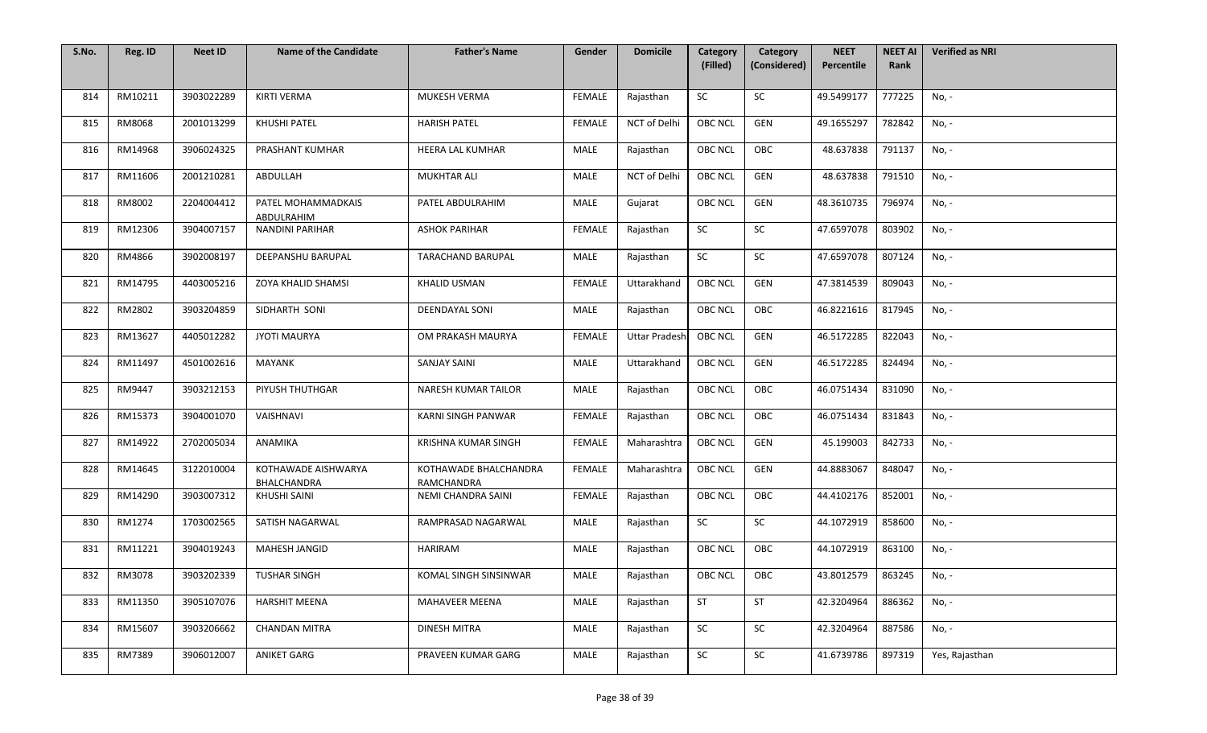| S.No. | Reg. ID | <b>Neet ID</b> | <b>Name of the Candidate</b>       | <b>Father's Name</b>                | Gender        | <b>Domicile</b>      | Category<br>(Filled) | Category<br>(Considered) | <b>NEET</b><br>Percentile | <b>NEET AI</b><br>Rank | <b>Verified as NRI</b> |
|-------|---------|----------------|------------------------------------|-------------------------------------|---------------|----------------------|----------------------|--------------------------|---------------------------|------------------------|------------------------|
|       |         |                |                                    |                                     |               |                      |                      |                          |                           |                        |                        |
| 814   | RM10211 | 3903022289     | <b>KIRTI VERMA</b>                 | MUKESH VERMA                        | <b>FEMALE</b> | Rajasthan            | <b>SC</b>            | SC                       | 49.5499177                | 777225                 | No, -                  |
| 815   | RM8068  | 2001013299     | KHUSHI PATEL                       | <b>HARISH PATEL</b>                 | FEMALE        | NCT of Delhi         | <b>OBC NCL</b>       | GEN                      | 49.1655297                | 782842                 | No, -                  |
| 816   | RM14968 | 3906024325     | PRASHANT KUMHAR                    | <b>HEERA LAL KUMHAR</b>             | MALE          | Rajasthan            | <b>OBC NCL</b>       | OBC                      | 48.637838                 | 791137                 | No, -                  |
| 817   | RM11606 | 2001210281     | ABDULLAH                           | <b>MUKHTAR ALI</b>                  | MALE          | NCT of Delhi         | <b>OBC NCL</b>       | GEN                      | 48.637838                 | 791510                 | No, -                  |
| 818   | RM8002  | 2204004412     | PATEL MOHAMMADKAIS<br>ABDULRAHIM   | PATEL ABDULRAHIM                    | MALE          | Gujarat              | <b>OBC NCL</b>       | GEN                      | 48.3610735                | 796974                 | No, -                  |
| 819   | RM12306 | 3904007157     | <b>NANDINI PARIHAR</b>             | <b>ASHOK PARIHAR</b>                | <b>FEMALE</b> | Rajasthan            | SC                   | SC                       | 47.6597078                | 803902                 | No, -                  |
| 820   | RM4866  | 3902008197     | DEEPANSHU BARUPAL                  | <b>TARACHAND BARUPAL</b>            | MALE          | Rajasthan            | SC                   | SC                       | 47.6597078                | 807124                 | No, -                  |
| 821   | RM14795 | 4403005216     | <b>ZOYA KHALID SHAMSI</b>          | <b>KHALID USMAN</b>                 | <b>FEMALE</b> | Uttarakhand          | <b>OBC NCL</b>       | GEN                      | 47.3814539                | 809043                 | No, -                  |
| 822   | RM2802  | 3903204859     | SIDHARTH SONI                      | <b>DEENDAYAL SONI</b>               | MALE          | Rajasthan            | <b>OBC NCL</b>       | OBC                      | 46.8221616                | 817945                 | No, -                  |
| 823   | RM13627 | 4405012282     | <b>JYOTI MAURYA</b>                | OM PRAKASH MAURYA                   | <b>FEMALE</b> | <b>Uttar Pradesh</b> | <b>OBC NCL</b>       | GEN                      | 46.5172285                | 822043                 | No, -                  |
| 824   | RM11497 | 4501002616     | MAYANK                             | <b>SANJAY SAINI</b>                 | MALE          | <b>Uttarakhand</b>   | <b>OBC NCL</b>       | GEN                      | 46.5172285                | 824494                 | No, -                  |
| 825   | RM9447  | 3903212153     | PIYUSH THUTHGAR                    | NARESH KUMAR TAILOR                 | MALE          | Rajasthan            | OBC NCL              | OBC                      | 46.0751434                | 831090                 | No, -                  |
| 826   | RM15373 | 3904001070     | VAISHNAVI                          | KARNI SINGH PANWAR                  | <b>FEMALE</b> | Rajasthan            | <b>OBC NCL</b>       | OBC                      | 46.0751434                | 831843                 | No, -                  |
| 827   | RM14922 | 2702005034     | ANAMIKA                            | <b>KRISHNA KUMAR SINGH</b>          | <b>FEMALE</b> | Maharashtra          | <b>OBC NCL</b>       | GEN                      | 45.199003                 | 842733                 | No, -                  |
| 828   | RM14645 | 3122010004     | KOTHAWADE AISHWARYA<br>BHALCHANDRA | KOTHAWADE BHALCHANDRA<br>RAMCHANDRA | <b>FEMALE</b> | Maharashtra          | <b>OBC NCL</b>       | GEN                      | 44.8883067                | 848047                 | No, -                  |
| 829   | RM14290 | 3903007312     | KHUSHI SAINI                       | NEMI CHANDRA SAINI                  | <b>FEMALE</b> | Rajasthan            | OBC NCL              | OBC                      | 44.4102176                | 852001                 | No, -                  |
| 830   | RM1274  | 1703002565     | SATISH NAGARWAL                    | RAMPRASAD NAGARWAL                  | MALE          | Rajasthan            | SC                   | SC                       | 44.1072919                | 858600                 | No, -                  |
| 831   | RM11221 | 3904019243     | MAHESH JANGID                      | <b>HARIRAM</b>                      | MALE          | Rajasthan            | <b>OBC NCL</b>       | OBC                      | 44.1072919                | 863100                 | No, -                  |
| 832   | RM3078  | 3903202339     | <b>TUSHAR SINGH</b>                | KOMAL SINGH SINSINWAR               | MALE          | Rajasthan            | OBC NCL              | OBC                      | 43.8012579                | 863245                 | No, -                  |
| 833   | RM11350 | 3905107076     | <b>HARSHIT MEENA</b>               | <b>MAHAVEER MEENA</b>               | MALE          | Rajasthan            | <b>ST</b>            | <b>ST</b>                | 42.3204964                | 886362                 | No, -                  |
| 834   | RM15607 | 3903206662     | <b>CHANDAN MITRA</b>               | <b>DINESH MITRA</b>                 | <b>MALE</b>   | Rajasthan            | SC                   | SC                       | 42.3204964                | 887586                 | No, -                  |
| 835   | RM7389  | 3906012007     | ANIKET GARG                        | PRAVEEN KUMAR GARG                  | MALE          | Rajasthan            | SC                   | SC                       | 41.6739786                | 897319                 | Yes, Rajasthan         |